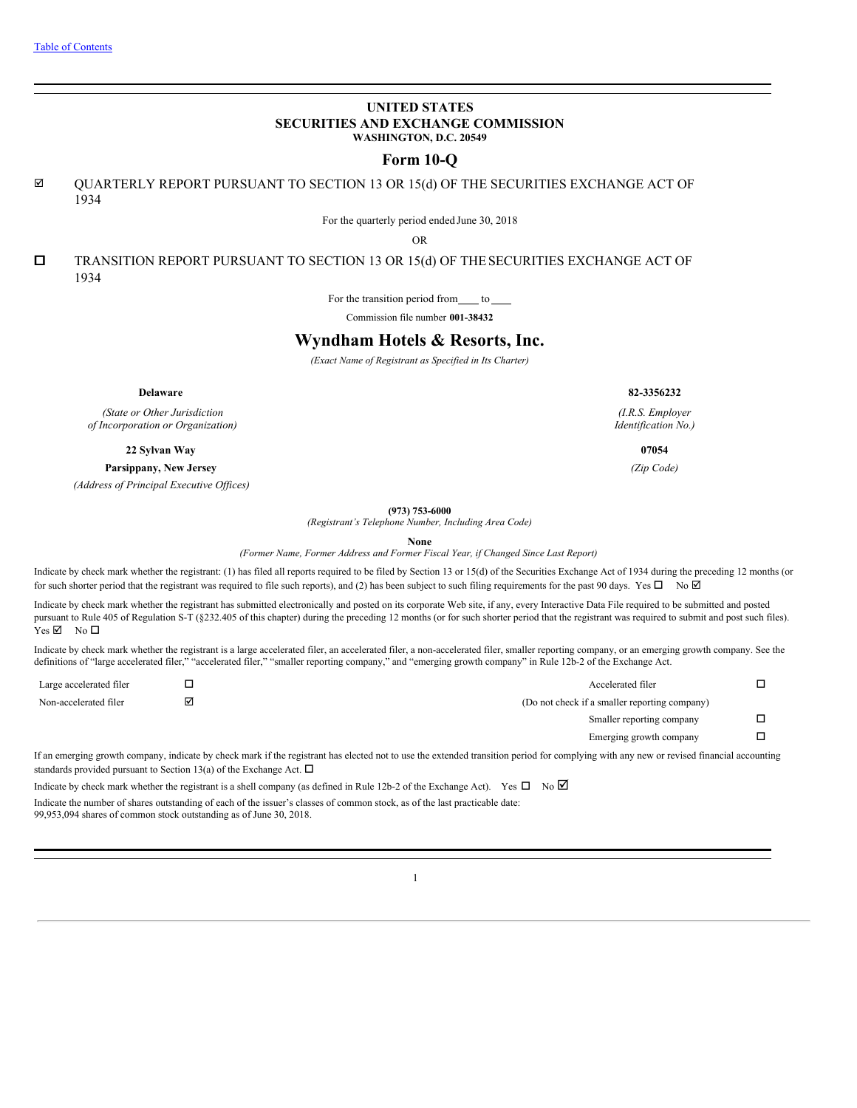# **UNITED STATES SECURITIES AND EXCHANGE COMMISSION WASHINGTON, D.C. 20549**

# **Form 10-Q**

 $\boxtimes$  QUARTERLY REPORT PURSUANT TO SECTION 13 OR 15(d) OF THE SECURITIES EXCHANGE ACT OF 1934

For the quarterly period ended June 30, 2018

OR

 $\square$  TRANSITION REPORT PURSUANT TO SECTION 13 OR 15(d) OF THE SECURITIES EXCHANGE ACT OF 1934

For the transition period from  $\_\_$  to  $\_\_$ 

Commission file number **001-38432**

# **Wyndham Hotels & Resorts, Inc.**

*(Exact Name of Registrant as Specified in Its Charter)*

*(State or Other Jurisdiction of Incorporation or Organization)*

**22 Sylvan Way 07054**

**Parsippany, New Jersey** *(Zip Code)*

*(Address of Principal Executive Of ices)*

**(973) 753-6000**

*(Registrant's Telephone Number, Including Area Code)*

**None**

*(Former Name, Former Address and Former Fiscal Year, if Changed Since Last Report)*

Indicate by check mark whether the registrant: (1) has filed all reports required to be filed by Section 13 or 15(d) of the Securities Exchange Act of 1934 during the preceding 12 months (or for such shorter period that the registrant was required to file such reports), and (2) has been subject to such filing requirements for the past 90 days. Yes  $\Box$  No  $\Box$ 

Indicate by check mark whether the registrant has submitted electronically and posted on its corporate Web site, if any, every Interactive Data File required to be submitted and posted pursuant to Rule 405 of Regulation S-T (§232.405 of this chapter) during the preceding 12 months (or for such shorter period that the registrant was required to submit and post such files).  $Yes \nightharpoonup$  No  $\square$ 

Indicate by check mark whether the registrant is a large accelerated filer, an accelerated filer, a non-accelerated filer, smaller reporting company, or an emerging growth company. See the definitions of "large accelerated filer," "accelerated filer," "smaller reporting company," and "emerging growth company" in Rule 12b-2 of the Exchange Act.

| Large accelerated filer | ┙ | Accelerated filer                             |  |
|-------------------------|---|-----------------------------------------------|--|
| Non-accelerated filer   | ☑ | (Do not check if a smaller reporting company) |  |
|                         |   | Smaller reporting company                     |  |
|                         |   | Emerging growth company                       |  |

If an emerging growth company, indicate by check mark if the registrant has elected not to use the extended transition period for complying with any new or revised financial accounting standards provided pursuant to Section 13(a) of the Exchange Act.  $\Box$ 

Indicate by check mark whether the registrant is a shell company (as defined in Rule 12b-2 of the Exchange Act). Yes  $\Box$  No  $\Box$ Indicate the number of shares outstanding of each of the issuer's classes of common stock, as of the last practicable date: 99,953,094 shares of common stock outstanding as of June 30, 2018.

1

**Delaware 82-3356232**

*(I.R.S. Employer Identification No.)*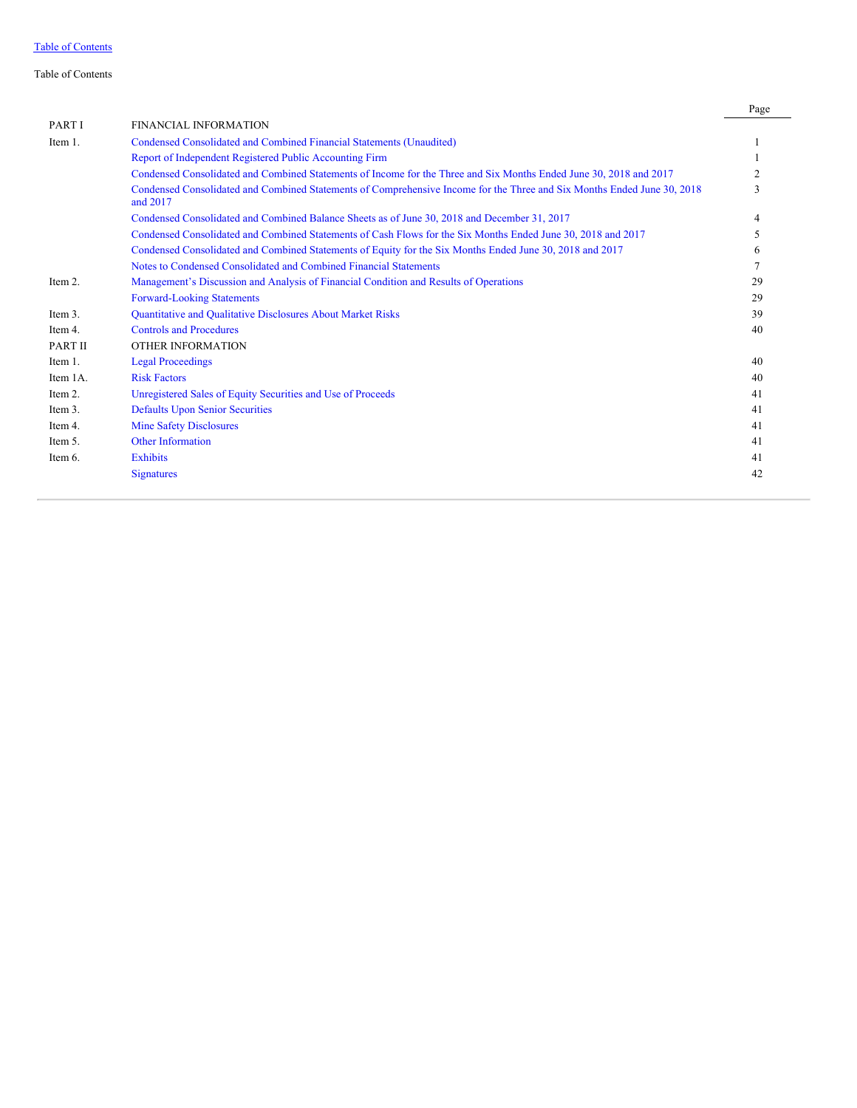Table of Contents

|              |                                                                                                                                     | Page |
|--------------|-------------------------------------------------------------------------------------------------------------------------------------|------|
| <b>PARTI</b> | FINANCIAL INFORMATION                                                                                                               |      |
| Item 1.      | Condensed Consolidated and Combined Financial Statements (Unaudited)                                                                |      |
|              | Report of Independent Registered Public Accounting Firm                                                                             |      |
|              | Condensed Consolidated and Combined Statements of Income for the Three and Six Months Ended June 30, 2018 and 2017                  | 2    |
|              | Condensed Consolidated and Combined Statements of Comprehensive Income for the Three and Six Months Ended June 30, 2018<br>and 2017 | 3    |
|              | Condensed Consolidated and Combined Balance Sheets as of June 30, 2018 and December 31, 2017                                        |      |
|              | Condensed Consolidated and Combined Statements of Cash Flows for the Six Months Ended June 30, 2018 and 2017                        | 5    |
|              | Condensed Consolidated and Combined Statements of Equity for the Six Months Ended June 30, 2018 and 2017                            | 6    |
|              | Notes to Condensed Consolidated and Combined Financial Statements                                                                   |      |
| Item 2.      | Management's Discussion and Analysis of Financial Condition and Results of Operations                                               | 29   |
|              | <b>Forward-Looking Statements</b>                                                                                                   | 29   |
| Item 3.      | Quantitative and Qualitative Disclosures About Market Risks                                                                         | 39   |
| Item 4.      | <b>Controls and Procedures</b>                                                                                                      | 40   |
| PART II      | OTHER INFORMATION                                                                                                                   |      |
| Item 1.      | <b>Legal Proceedings</b>                                                                                                            | 40   |
| Item 1A.     | <b>Risk Factors</b>                                                                                                                 | 40   |
| Item 2.      | Unregistered Sales of Equity Securities and Use of Proceeds                                                                         | 41   |
| Item 3.      | <b>Defaults Upon Senior Securities</b>                                                                                              | 41   |
| Item 4.      | <b>Mine Safety Disclosures</b>                                                                                                      | 41   |
| Item 5.      | <b>Other Information</b>                                                                                                            | 41   |
| Item 6.      | <b>Exhibits</b>                                                                                                                     | 41   |
|              | <b>Signatures</b>                                                                                                                   | 42   |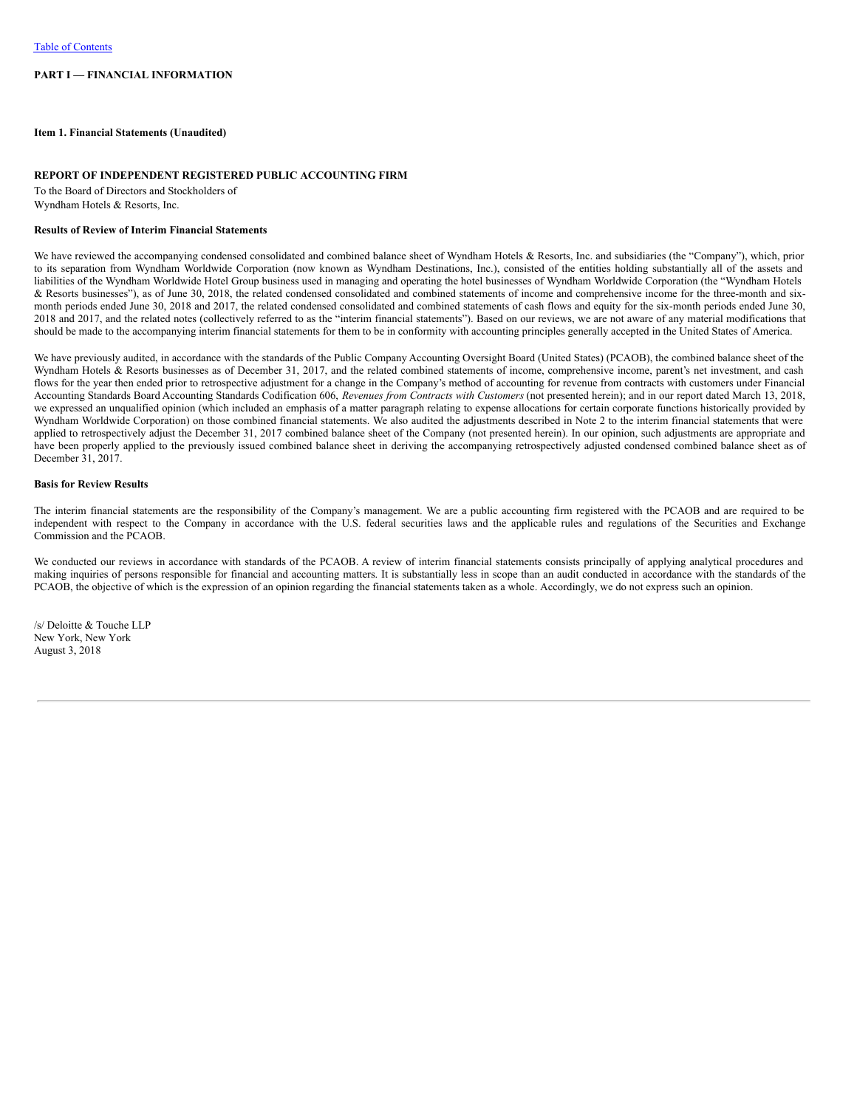# **PART I — FINANCIAL INFORMATION**

<span id="page-2-0"></span>**Item 1. Financial Statements (Unaudited)**

# <span id="page-2-1"></span>**REPORT OF INDEPENDENT REGISTERED PUBLIC ACCOUNTING FIRM**

To the Board of Directors and Stockholders of Wyndham Hotels & Resorts, Inc.

### **Results of Review of Interim Financial Statements**

We have reviewed the accompanying condensed consolidated and combined balance sheet of Wyndham Hotels & Resorts, Inc. and subsidiaries (the "Company"), which, prior to its separation from Wyndham Worldwide Corporation (now known as Wyndham Destinations, Inc.), consisted of the entities holding substantially all of the assets and liabilities of the Wyndham Worldwide Hotel Group business used in managing and operating the hotel businesses of Wyndham Worldwide Corporation (the "Wyndham Hotels & Resorts businesses"), as of June 30, 2018, the related condensed consolidated and combined statements of income and comprehensive income for the three-month and sixmonth periods ended June 30, 2018 and 2017, the related condensed consolidated and combined statements of cash flows and equity for the six-month periods ended June 30, 2018 and 2017, and the related notes (collectively referred to as the "interim financial statements"). Based on our reviews, we are not aware of any material modifications that should be made to the accompanying interim financial statements for them to be in conformity with accounting principles generally accepted in the United States of America.

We have previously audited, in accordance with the standards of the Public Company Accounting Oversight Board (United States) (PCAOB), the combined balance sheet of the Wyndham Hotels & Resorts businesses as of December 31, 2017, and the related combined statements of income, comprehensive income, parent's net investment, and cash flows for the year then ended prior to retrospective adjustment for a change in the Company's method of accounting for revenue from contracts with customers under Financial Accounting Standards Board Accounting Standards Codification 606, *Revenues from Contracts with Customers* (not presented herein); and in our report dated March 13, 2018, we expressed an unqualified opinion (which included an emphasis of a matter paragraph relating to expense allocations for certain corporate functions historically provided by Wyndham Worldwide Corporation) on those combined financial statements. We also audited the adjustments described in Note 2 to the interim financial statements that were applied to retrospectively adjust the December 31, 2017 combined balance sheet of the Company (not presented herein). In our opinion, such adjustments are appropriate and have been properly applied to the previously issued combined balance sheet in deriving the accompanying retrospectively adjusted condensed combined balance sheet as of December 31, 2017.

# **Basis for Review Results**

The interim financial statements are the responsibility of the Company's management. We are a public accounting firm registered with the PCAOB and are required to be independent with respect to the Company in accordance with the U.S. federal securities laws and the applicable rules and regulations of the Securities and Exchange Commission and the PCAOB.

We conducted our reviews in accordance with standards of the PCAOB. A review of interim financial statements consists principally of applying analytical procedures and making inquiries of persons responsible for financial and accounting matters. It is substantially less in scope than an audit conducted in accordance with the standards of the PCAOB, the objective of which is the expression of an opinion regarding the financial statements taken as a whole. Accordingly, we do not express such an opinion.

/s/ Deloitte & Touche LLP New York, New York August 3, 2018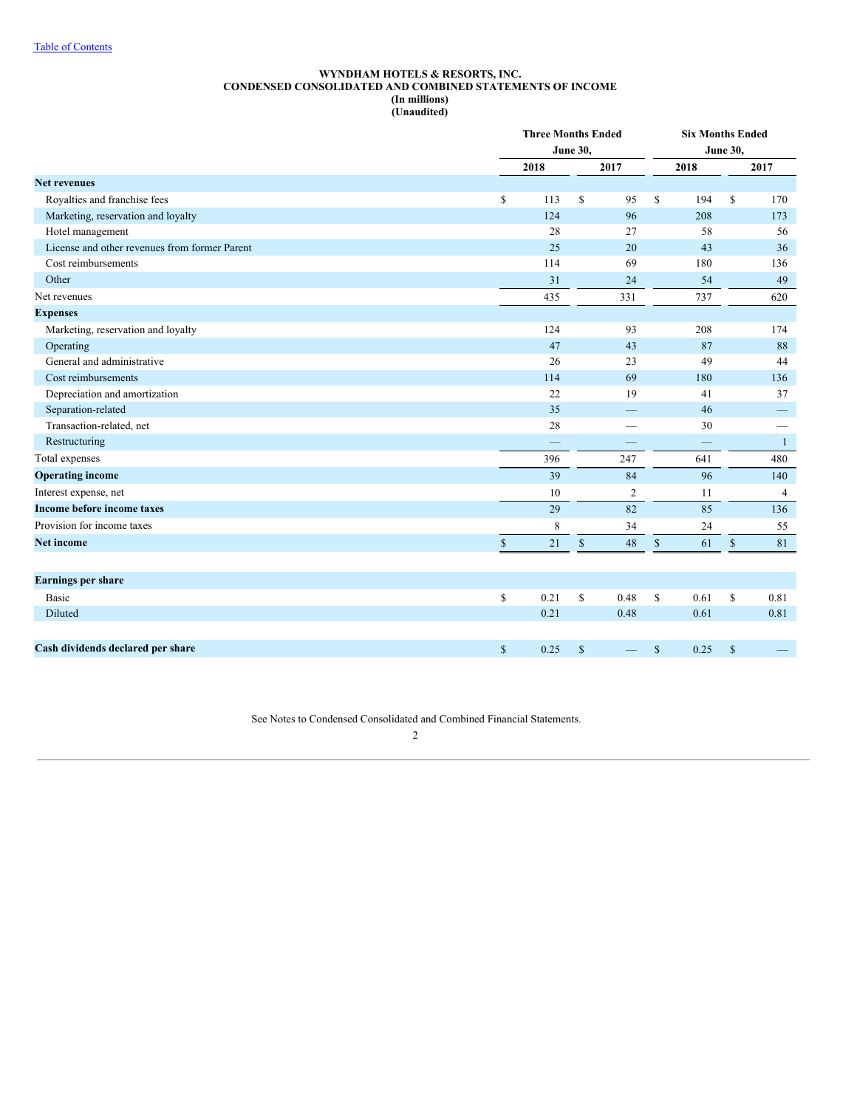### **WYNDHAM HOTELS & RESORTS, INC. CONDENSED CONSOLIDATED AND COMBINED STATEMENTS OF INCOME (In millions) (Unaudited)**

<span id="page-3-0"></span>

|                                               |              | <b>Three Months Ended</b><br><b>June 30,</b> |              |                | <b>Six Months Ended</b> |      |              |                          |
|-----------------------------------------------|--------------|----------------------------------------------|--------------|----------------|-------------------------|------|--------------|--------------------------|
|                                               |              | 2018                                         |              | 2017           |                         | 2018 |              | 2017                     |
| <b>Net revenues</b>                           |              |                                              |              |                |                         |      |              |                          |
| Royalties and franchise fees                  | \$           | 113                                          | \$           | 95             | S                       | 194  | S            | 170                      |
| Marketing, reservation and loyalty            |              | 124                                          |              | 96             |                         | 208  |              | 173                      |
| Hotel management                              |              | 28                                           |              | 27             |                         | 58   |              | 56                       |
| License and other revenues from former Parent |              | 25                                           |              | 20             |                         | 43   |              | 36                       |
| Cost reimbursements                           |              | 114                                          |              | 69             |                         | 180  |              | 136                      |
| Other                                         |              | 31                                           |              | 24             |                         | 54   |              | 49                       |
| Net revenues                                  |              | 435                                          |              | 331            |                         | 737  |              | 620                      |
| <b>Expenses</b>                               |              |                                              |              |                |                         |      |              |                          |
| Marketing, reservation and loyalty            |              | 124                                          |              | 93             |                         | 208  |              | 174                      |
| Operating                                     |              | 47                                           |              | 43             |                         | 87   |              | 88                       |
| General and administrative                    |              | 26                                           |              | 23             |                         | 49   |              | 44                       |
| Cost reimbursements                           |              | 114                                          |              | 69             |                         | 180  |              | 136                      |
| Depreciation and amortization                 |              | 22                                           |              | 19             |                         | 41   |              | 37                       |
| Separation-related                            |              | 35                                           |              |                |                         | 46   |              |                          |
| Transaction-related, net                      |              | 28                                           |              | -              |                         | 30   |              | $\overline{\phantom{0}}$ |
| Restructuring                                 |              |                                              |              |                |                         |      |              | $\mathbf{1}$             |
| Total expenses                                |              | 396                                          |              | 247            |                         | 641  |              | 480                      |
| <b>Operating income</b>                       |              | 39                                           |              | 84             |                         | 96   |              | 140                      |
| Interest expense, net                         |              | 10                                           |              | $\overline{c}$ |                         | 11   |              | $\overline{4}$           |
| Income before income taxes                    |              | 29                                           |              | 82             |                         | 85   |              | 136                      |
| Provision for income taxes                    |              | 8                                            |              | 34             |                         | 24   |              | 55                       |
| <b>Net income</b>                             | $\mathbb{S}$ | 21                                           | $\mathbb S$  | 48             | $\mathbb{S}$            | 61   | $\mathbb{S}$ | 81                       |
|                                               |              |                                              |              |                |                         |      |              |                          |
| <b>Earnings per share</b>                     |              |                                              |              |                |                         |      |              |                          |
| <b>Basic</b>                                  | \$           | 0.21                                         | \$           | 0.48           | \$                      | 0.61 | $\mathbb{S}$ | 0.81                     |
| Diluted                                       |              | 0.21                                         |              | 0.48           |                         | 0.61 |              | 0.81                     |
|                                               |              |                                              |              |                |                         |      |              |                          |
| Cash dividends declared per share             | $\mathbb{S}$ | 0.25                                         | $\mathbb{S}$ |                | $\mathbb{S}$            | 0.25 | $\mathbb{S}$ |                          |

See Notes to Condensed Consolidated and Combined Financial Statements.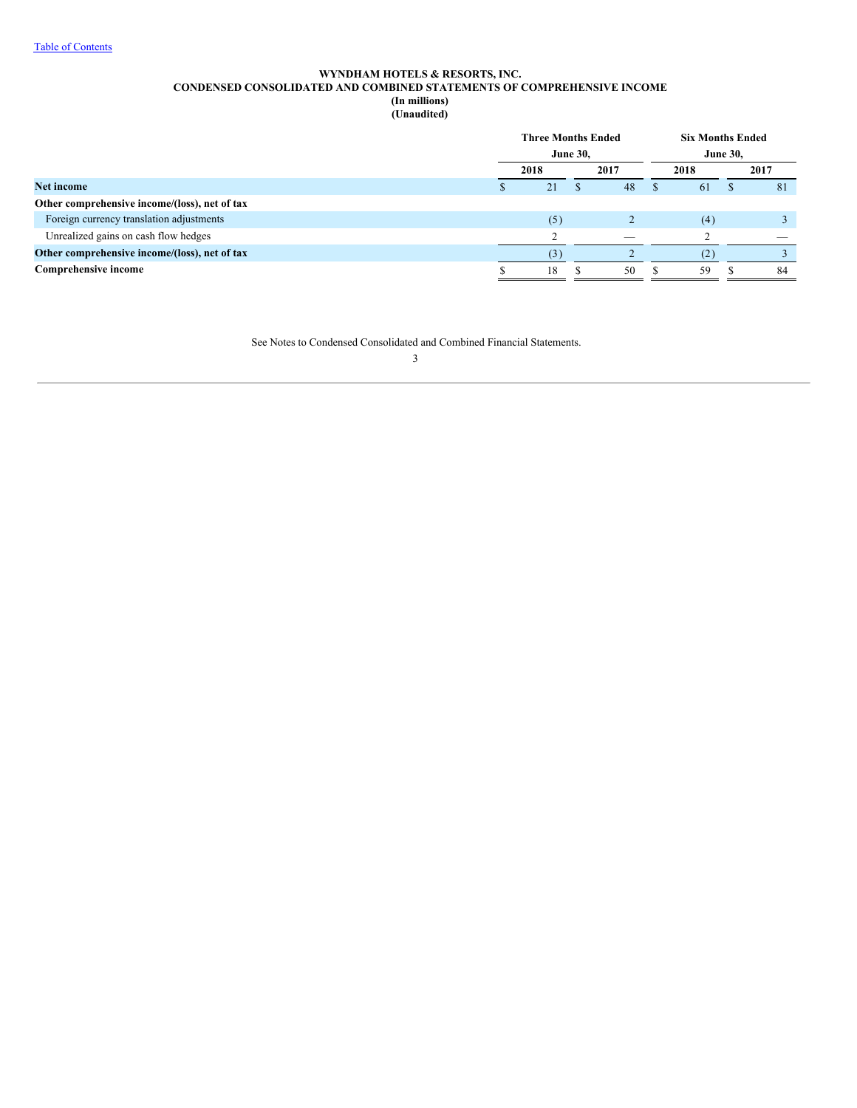# **WYNDHAM HOTELS & RESORTS, INC. CONDENSED CONSOLIDATED AND COMBINED STATEMENTS OF COMPREHENSIVE INCOME (In millions)**

**(Unaudited)**

<span id="page-4-0"></span>

|                                               |                 | <b>Three Months Ended</b> |  |      | <b>Six Months Ended</b> |                 |      |    |  |  |  |
|-----------------------------------------------|-----------------|---------------------------|--|------|-------------------------|-----------------|------|----|--|--|--|
|                                               | <b>June 30,</b> |                           |  |      |                         | <b>June 30,</b> |      |    |  |  |  |
|                                               | 2018            |                           |  | 2017 |                         | 2018            | 2017 |    |  |  |  |
| Net income                                    |                 | 21                        |  | 48   | Ф                       | 61              |      | 81 |  |  |  |
| Other comprehensive income/(loss), net of tax |                 |                           |  |      |                         |                 |      |    |  |  |  |
| Foreign currency translation adjustments      |                 | (5)                       |  |      |                         | (4)             |      |    |  |  |  |
| Unrealized gains on cash flow hedges          |                 |                           |  |      |                         |                 |      |    |  |  |  |
| Other comprehensive income/(loss), net of tax |                 |                           |  |      |                         | (2)             |      |    |  |  |  |
| Comprehensive income                          |                 | 18                        |  | 50   |                         | 59              |      | 84 |  |  |  |
|                                               |                 |                           |  |      |                         |                 |      |    |  |  |  |

See Notes to Condensed Consolidated and Combined Financial Statements.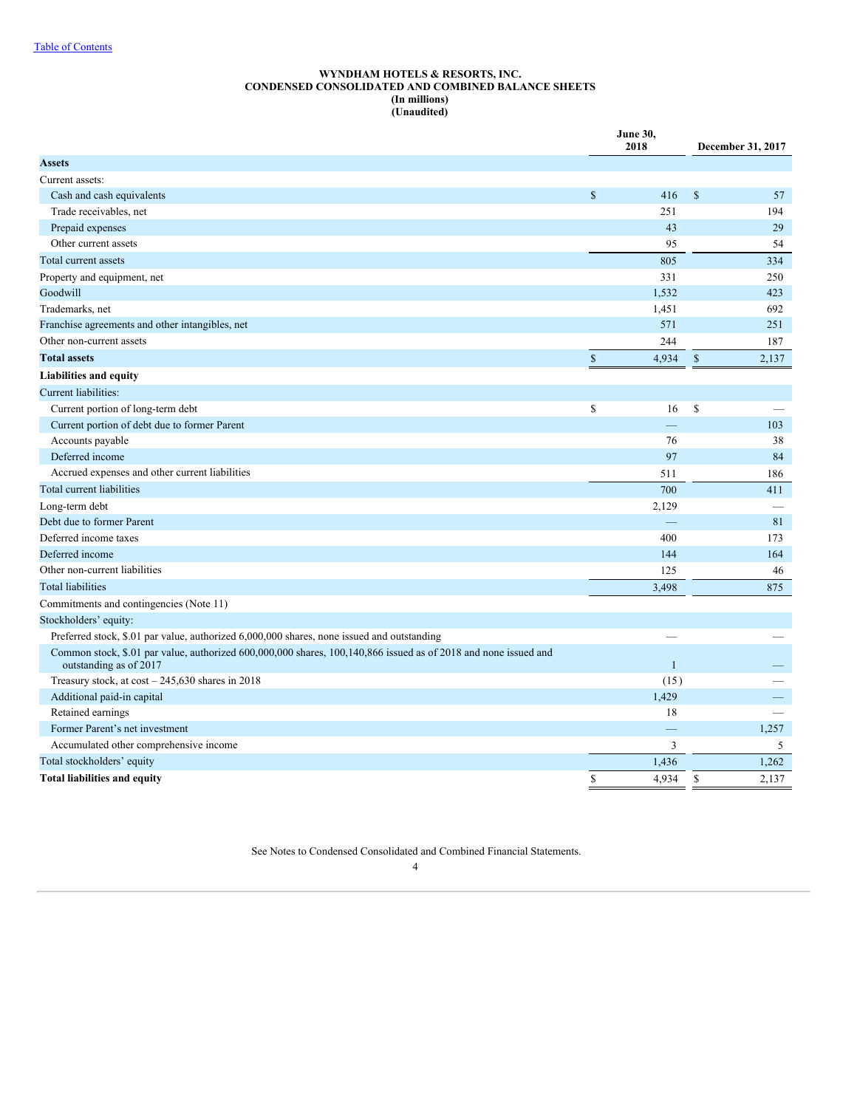### **WYNDHAM HOTELS & RESORTS, INC. CONDENSED CONSOLIDATED AND COMBINED BALANCE SHEETS (In millions) (Unaudited)**

<span id="page-5-0"></span>

|                                                                                                                                           |              | <b>June 30,</b><br>2018 | December 31, 2017 |       |  |
|-------------------------------------------------------------------------------------------------------------------------------------------|--------------|-------------------------|-------------------|-------|--|
| <b>Assets</b>                                                                                                                             |              |                         |                   |       |  |
| Current assets:                                                                                                                           |              |                         |                   |       |  |
| Cash and cash equivalents                                                                                                                 | \$           | 416                     | $\$$              | 57    |  |
| Trade receivables, net                                                                                                                    |              | 251                     |                   | 194   |  |
| Prepaid expenses                                                                                                                          |              | 43                      |                   | 29    |  |
| Other current assets                                                                                                                      |              | 95                      |                   | 54    |  |
| Total current assets                                                                                                                      |              | 805                     |                   | 334   |  |
| Property and equipment, net                                                                                                               |              | 331                     |                   | 250   |  |
| Goodwill                                                                                                                                  |              | 1,532                   |                   | 423   |  |
| Trademarks, net                                                                                                                           |              | 1,451                   |                   | 692   |  |
| Franchise agreements and other intangibles, net                                                                                           |              | 571                     |                   | 251   |  |
| Other non-current assets                                                                                                                  |              | 244                     |                   | 187   |  |
| <b>Total assets</b>                                                                                                                       | $\mathbb{S}$ | 4,934                   | $\mathcal{S}$     | 2,137 |  |
| <b>Liabilities and equity</b>                                                                                                             |              |                         |                   |       |  |
| Current liabilities:                                                                                                                      |              |                         |                   |       |  |
| Current portion of long-term debt                                                                                                         | \$           | 16                      | \$                |       |  |
| Current portion of debt due to former Parent                                                                                              |              | -                       |                   | 103   |  |
| Accounts payable                                                                                                                          |              | 76                      |                   | 38    |  |
| Deferred income                                                                                                                           |              | 97                      |                   | 84    |  |
| Accrued expenses and other current liabilities                                                                                            |              | 511                     |                   | 186   |  |
| Total current liabilities                                                                                                                 |              | 700                     |                   | 411   |  |
| Long-term debt                                                                                                                            |              | 2,129                   |                   |       |  |
| Debt due to former Parent                                                                                                                 |              |                         |                   | 81    |  |
| Deferred income taxes                                                                                                                     |              | 400                     |                   | 173   |  |
| Deferred income                                                                                                                           |              | 144                     |                   | 164   |  |
| Other non-current liabilities                                                                                                             |              | 125                     |                   | 46    |  |
| <b>Total liabilities</b>                                                                                                                  |              | 3,498                   |                   | 875   |  |
| Commitments and contingencies (Note 11)                                                                                                   |              |                         |                   |       |  |
| Stockholders' equity:                                                                                                                     |              |                         |                   |       |  |
| Preferred stock, \$.01 par value, authorized 6,000,000 shares, none issued and outstanding                                                |              |                         |                   |       |  |
| Common stock, \$.01 par value, authorized 600,000,000 shares, 100,140,866 issued as of 2018 and none issued and<br>outstanding as of 2017 |              | $\mathbf{1}$            |                   |       |  |
| Treasury stock, at $\cos t - 245,630$ shares in 2018                                                                                      |              | (15)                    |                   |       |  |
| Additional paid-in capital                                                                                                                |              | 1,429                   |                   |       |  |
| Retained earnings                                                                                                                         |              | 18                      |                   |       |  |
| Former Parent's net investment                                                                                                            |              |                         |                   | 1,257 |  |
| Accumulated other comprehensive income                                                                                                    |              | 3                       |                   | 5     |  |
| Total stockholders' equity                                                                                                                |              | 1,436                   |                   | 1,262 |  |
| <b>Total liabilities and equity</b>                                                                                                       | \$           | 4,934                   | \$                | 2,137 |  |

See Notes to Condensed Consolidated and Combined Financial Statements.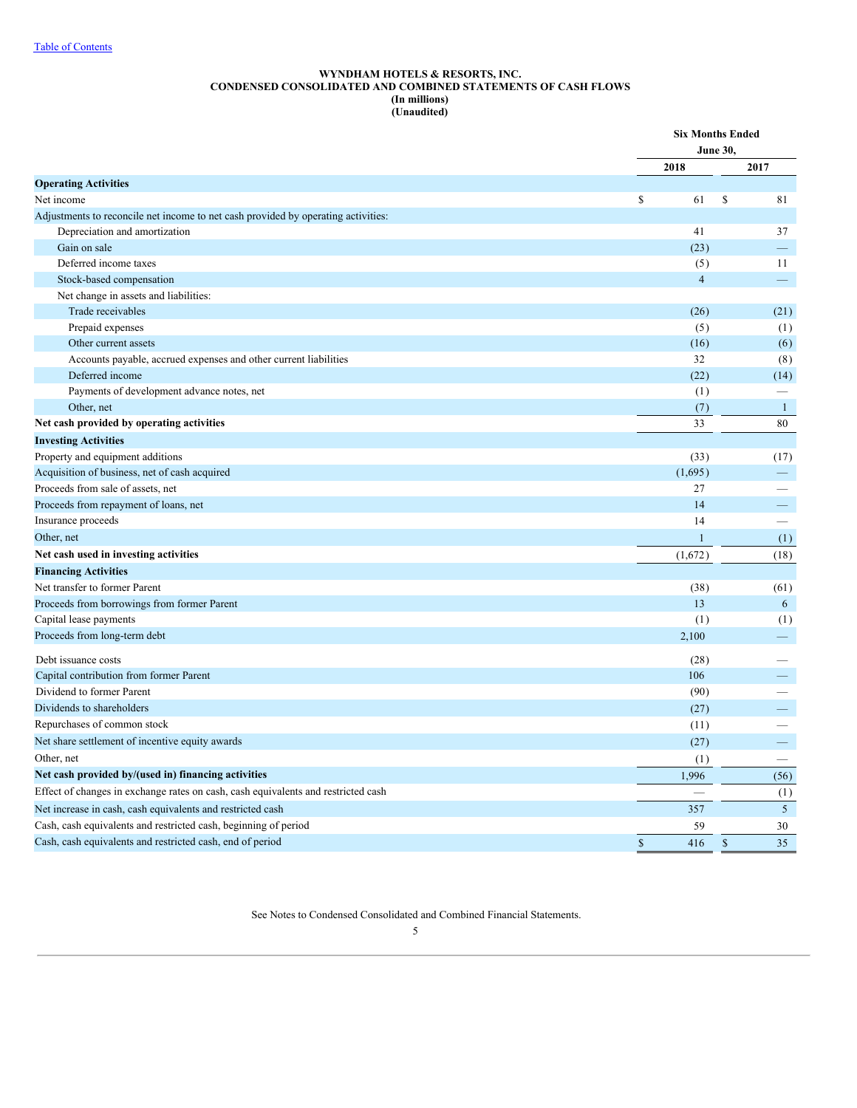### **WYNDHAM HOTELS & RESORTS, INC. CONDENSED CONSOLIDATED AND COMBINED STATEMENTS OF CASH FLOWS (In millions) (Unaudited)**

<span id="page-6-0"></span>

|                                                                                                                                                                                                                                                                                                                                                                                                |                      | <b>Six Months Ended</b><br><b>June 30,</b> |
|------------------------------------------------------------------------------------------------------------------------------------------------------------------------------------------------------------------------------------------------------------------------------------------------------------------------------------------------------------------------------------------------|----------------------|--------------------------------------------|
|                                                                                                                                                                                                                                                                                                                                                                                                | 2018                 | 2017                                       |
| <b>Operating Activities</b><br>Depreciation and amortization<br>Gain on sale<br>Deferred income taxes<br>Stock-based compensation<br>Net change in assets and liabilities:<br>Trade receivables<br>Prepaid expenses<br>Other current assets<br>Accounts payable, accrued expenses and other current liabilities<br>Deferred income<br>Payments of development advance notes, net<br>Other, net |                      |                                            |
| Net income                                                                                                                                                                                                                                                                                                                                                                                     | \$<br>61             | \$<br>81                                   |
| Adjustments to reconcile net income to net cash provided by operating activities:                                                                                                                                                                                                                                                                                                              |                      |                                            |
|                                                                                                                                                                                                                                                                                                                                                                                                | 41                   | 37                                         |
|                                                                                                                                                                                                                                                                                                                                                                                                | (23)                 | ▃                                          |
|                                                                                                                                                                                                                                                                                                                                                                                                | (5)                  | 11                                         |
|                                                                                                                                                                                                                                                                                                                                                                                                | $\overline{4}$       | $\qquad \qquad -$                          |
|                                                                                                                                                                                                                                                                                                                                                                                                |                      |                                            |
|                                                                                                                                                                                                                                                                                                                                                                                                | (26)                 | (21)                                       |
|                                                                                                                                                                                                                                                                                                                                                                                                | (5)                  | (1)                                        |
|                                                                                                                                                                                                                                                                                                                                                                                                | (16)                 | (6)                                        |
|                                                                                                                                                                                                                                                                                                                                                                                                | 32                   | (8)                                        |
|                                                                                                                                                                                                                                                                                                                                                                                                | (22)                 | (14)                                       |
|                                                                                                                                                                                                                                                                                                                                                                                                | (1)                  |                                            |
|                                                                                                                                                                                                                                                                                                                                                                                                | (7)                  | $\mathbf{1}$                               |
| Net cash provided by operating activities                                                                                                                                                                                                                                                                                                                                                      | 33                   | 80                                         |
| <b>Investing Activities</b>                                                                                                                                                                                                                                                                                                                                                                    |                      |                                            |
| Property and equipment additions                                                                                                                                                                                                                                                                                                                                                               | (33)                 | (17)                                       |
| Acquisition of business, net of cash acquired                                                                                                                                                                                                                                                                                                                                                  | (1,695)              | $\qquad \qquad -$                          |
| Proceeds from sale of assets, net                                                                                                                                                                                                                                                                                                                                                              | 27                   |                                            |
| Proceeds from repayment of loans, net                                                                                                                                                                                                                                                                                                                                                          | 14                   |                                            |
| Insurance proceeds                                                                                                                                                                                                                                                                                                                                                                             | 14                   |                                            |
| Other, net                                                                                                                                                                                                                                                                                                                                                                                     | 1                    | (1)                                        |
| Net cash used in investing activities                                                                                                                                                                                                                                                                                                                                                          | (1,672)              | (18)                                       |
| <b>Financing Activities</b>                                                                                                                                                                                                                                                                                                                                                                    |                      |                                            |
| Net transfer to former Parent                                                                                                                                                                                                                                                                                                                                                                  | (38)                 | (61)                                       |
| Proceeds from borrowings from former Parent                                                                                                                                                                                                                                                                                                                                                    | 13                   | 6                                          |
| Capital lease payments                                                                                                                                                                                                                                                                                                                                                                         | (1)                  | (1)                                        |
| Proceeds from long-term debt                                                                                                                                                                                                                                                                                                                                                                   | 2,100                | —                                          |
| Debt issuance costs                                                                                                                                                                                                                                                                                                                                                                            | (28)                 |                                            |
| Capital contribution from former Parent                                                                                                                                                                                                                                                                                                                                                        | 106                  |                                            |
| Dividend to former Parent                                                                                                                                                                                                                                                                                                                                                                      | (90)                 |                                            |
| Dividends to shareholders                                                                                                                                                                                                                                                                                                                                                                      | (27)                 |                                            |
| Repurchases of common stock                                                                                                                                                                                                                                                                                                                                                                    | (11)                 | $\overline{\phantom{0}}$                   |
| Net share settlement of incentive equity awards                                                                                                                                                                                                                                                                                                                                                | (27)                 | —                                          |
| Other, net                                                                                                                                                                                                                                                                                                                                                                                     | (1)                  | $\overline{\phantom{0}}$                   |
| Net cash provided by/(used in) financing activities                                                                                                                                                                                                                                                                                                                                            | 1,996                | (56)                                       |
| Effect of changes in exchange rates on cash, cash equivalents and restricted cash                                                                                                                                                                                                                                                                                                              |                      | (1)                                        |
| Net increase in cash, cash equivalents and restricted cash                                                                                                                                                                                                                                                                                                                                     | 357                  | $5\overline{)}$                            |
| Cash, cash equivalents and restricted cash, beginning of period                                                                                                                                                                                                                                                                                                                                | 59                   | 30                                         |
| Cash, cash equivalents and restricted cash, end of period                                                                                                                                                                                                                                                                                                                                      | $\mathsf{\$}$<br>416 | 35<br>$\mathbb{S}$                         |

See Notes to Condensed Consolidated and Combined Financial Statements.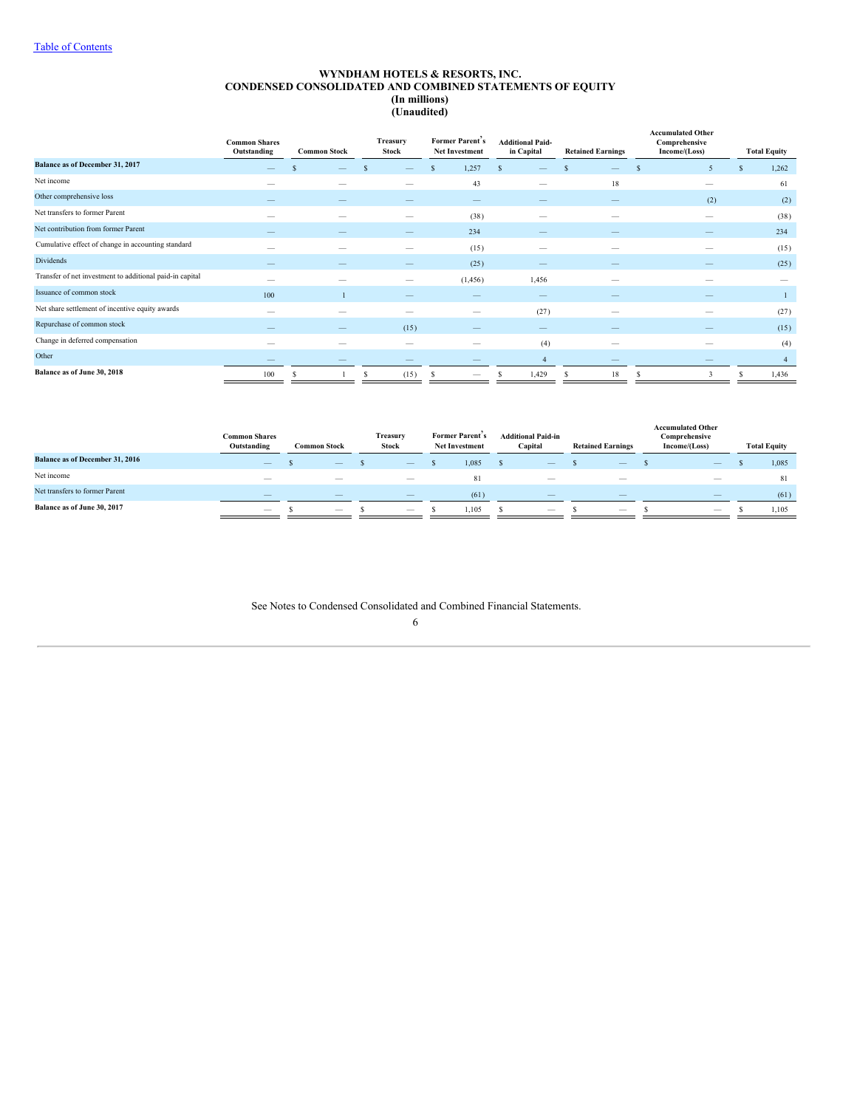### **WYNDHAM HOTELS & RESORTS, INC. CONDENSED CONSOLIDATED AND COMBINED STATEMENTS OF EQUITY (In millions) (Unaudited)**

<span id="page-7-0"></span>

|                                                          | <b>Common Shares</b><br>Outstanding |   | <b>Common Stock</b> |   | Treasury<br><b>Stock</b> |    | Former Parent's<br><b>Net Investment</b> |              | <b>Additional Paid-</b><br>in Capital |   | <b>Retained Earnings</b> |   | <b>Accumulated Other</b><br>Comprehensive<br>Income/(Loss) |     | <b>Total Equity</b> |
|----------------------------------------------------------|-------------------------------------|---|---------------------|---|--------------------------|----|------------------------------------------|--------------|---------------------------------------|---|--------------------------|---|------------------------------------------------------------|-----|---------------------|
| Balance as of December 31, 2017                          |                                     |   |                     |   |                          | -S | 1,257                                    | $\mathbf{s}$ |                                       |   |                          |   | 5                                                          | \$. | 1,262               |
| Net income                                               | $\overline{\phantom{a}}$            |   |                     |   |                          |    | 43                                       |              | –                                     |   | 18                       |   |                                                            |     | 61                  |
| Other comprehensive loss                                 |                                     |   |                     |   |                          |    | $\qquad \qquad$                          |              |                                       |   |                          |   | (2)                                                        |     | (2)                 |
| Net transfers to former Parent                           |                                     |   | -                   |   |                          |    | (38)                                     |              | $\overline{\phantom{a}}$              |   |                          |   | $\overline{\phantom{a}}$                                   |     | (38)                |
| Net contribution from former Parent                      |                                     |   |                     |   |                          |    | 234                                      |              |                                       |   |                          |   |                                                            |     | 234                 |
| Cumulative effect of change in accounting standard       |                                     |   |                     |   | $\overline{\phantom{a}}$ |    | (15)                                     |              | $\overline{\phantom{a}}$              |   |                          |   |                                                            |     | (15)                |
| Dividends                                                | $\qquad \qquad -$                   |   |                     |   |                          |    | (25)                                     |              |                                       |   |                          |   |                                                            |     | (25)                |
| Transfer of net investment to additional paid-in capital | $\overline{\phantom{a}}$            |   |                     |   |                          |    | (1, 456)                                 |              | 1,456                                 |   |                          |   |                                                            |     |                     |
| Issuance of common stock                                 | 100                                 |   |                     |   |                          |    |                                          |              |                                       |   |                          |   |                                                            |     |                     |
| Net share settlement of incentive equity awards          |                                     |   |                     |   | $\overline{\phantom{a}}$ |    | $\hspace{0.05cm}$                        |              | (27)                                  |   |                          |   |                                                            |     | (27)                |
| Repurchase of common stock                               |                                     |   |                     |   | (15)                     |    |                                          |              |                                       |   | --                       |   |                                                            |     | (15)                |
| Change in deferred compensation                          | --                                  |   |                     |   | $\overline{\phantom{a}}$ |    | --                                       |              | (4)                                   |   |                          |   | --                                                         |     | (4)                 |
| Other                                                    |                                     |   |                     |   |                          |    |                                          |              | $\overline{4}$                        |   |                          |   |                                                            |     | $\overline{4}$      |
| Balance as of June 30, 2018                              | 100                                 | s |                     | s | (15)                     | -S |                                          |              | 1,429                                 | ъ | 18                       | S | 3                                                          | S   | 1,436               |

|                                        | <b>Common Shares</b><br>Outstanding | <b>Common Stock</b>      | Treasury<br>Stock        | Former Parent's<br><b>Net Investment</b> | <b>Additional Paid-in</b><br>Capital | <b>Retained Earnings</b> | <b>Accumulated Other</b><br>Comprehensive<br>Income/(Loss) | <b>Total Equity</b> |
|----------------------------------------|-------------------------------------|--------------------------|--------------------------|------------------------------------------|--------------------------------------|--------------------------|------------------------------------------------------------|---------------------|
| <b>Balance as of December 31, 2016</b> | $\overline{\phantom{m}}$            | $\qquad \qquad - \qquad$ | $\sim$                   | 1.085                                    | $\qquad \qquad - \qquad$             | $\overline{\phantom{m}}$ | $\qquad \qquad -$                                          | 1,085               |
| Net income                             | _                                   | _                        | __                       | 81                                       | $-$                                  |                          | _                                                          | -81                 |
| Net transfers to former Parent         | $-$                                 | $-$                      | $\overline{\phantom{a}}$ | (61)                                     | $\overline{\phantom{a}}$             | $\overline{\phantom{a}}$ | $\qquad \qquad -$                                          | (61)                |
| Balance as of June 30, 2017            | $\overline{\phantom{a}}$            | $\overline{\phantom{m}}$ | $\sim$                   | 1.105                                    | $\overline{\phantom{a}}$             | $\overline{\phantom{a}}$ | $\overline{\phantom{a}}$                                   | 1.105               |

See Notes to Condensed Consolidated and Combined Financial Statements.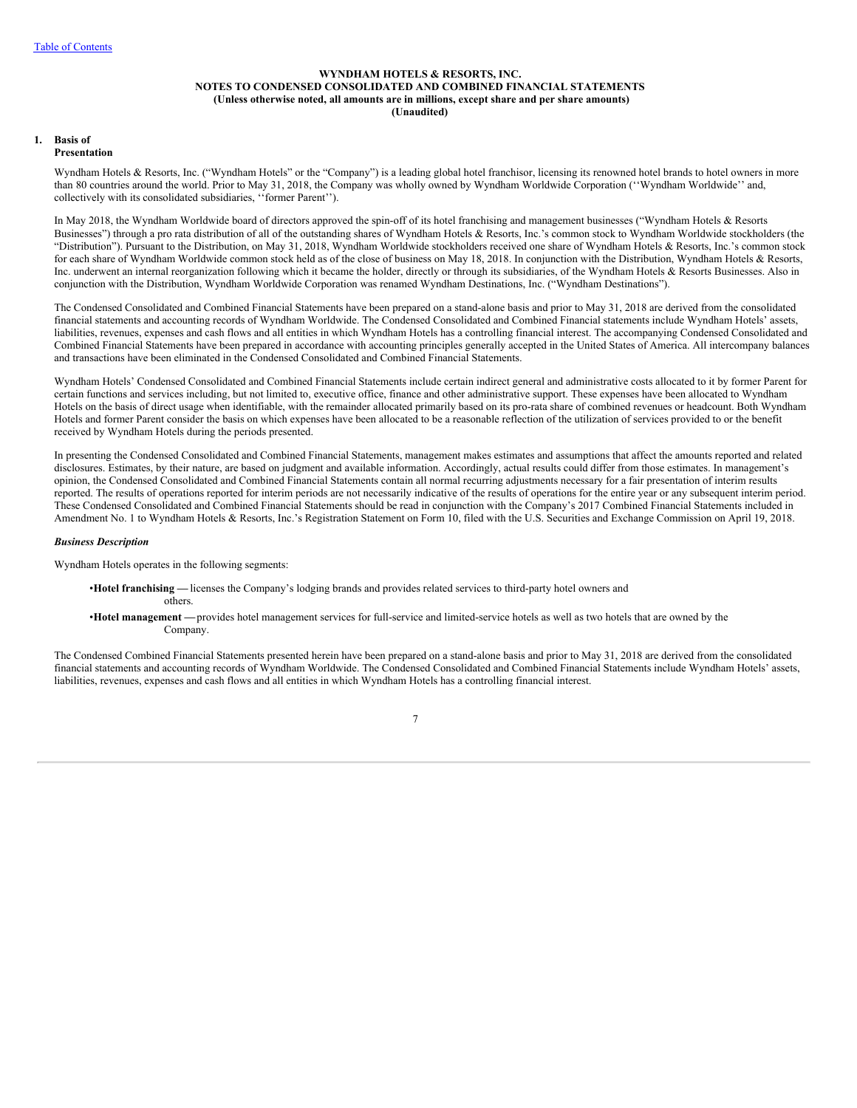# **WYNDHAM HOTELS & RESORTS, INC. NOTES TO CONDENSED CONSOLIDATED AND COMBINED FINANCIAL STATEMENTS (Unless otherwise noted, all amounts are in millions, except share and per share amounts) (Unaudited)**

#### <span id="page-8-0"></span>**1. Basis of Presentation**

Wyndham Hotels & Resorts, Inc. ("Wyndham Hotels" or the "Company") is a leading global hotel franchisor, licensing its renowned hotel brands to hotel owners in more than 80 countries around the world. Prior to May 31, 2018, the Company was wholly owned by Wyndham Worldwide Corporation (''Wyndham Worldwide'' and, collectively with its consolidated subsidiaries, ''former Parent'').

In May 2018, the Wyndham Worldwide board of directors approved the spin-off of its hotel franchising and management businesses ("Wyndham Hotels & Resorts Businesses") through a pro rata distribution of all of the outstanding shares of Wyndham Hotels & Resorts, Inc.'s common stock to Wyndham Worldwide stockholders (the "Distribution"). Pursuant to the Distribution, on May 31, 2018, Wyndham Worldwide stockholders received one share of Wyndham Hotels & Resorts, Inc.'s common stock for each share of Wyndham Worldwide common stock held as of the close of business on May 18, 2018. In conjunction with the Distribution, Wyndham Hotels & Resorts, Inc. underwent an internal reorganization following which it became the holder, directly or through its subsidiaries, of the Wyndham Hotels & Resorts Businesses. Also in conjunction with the Distribution, Wyndham Worldwide Corporation was renamed Wyndham Destinations, Inc. ("Wyndham Destinations").

The Condensed Consolidated and Combined Financial Statements have been prepared on a stand-alone basis and prior to May 31, 2018 are derived from the consolidated financial statements and accounting records of Wyndham Worldwide. The Condensed Consolidated and Combined Financial statements include Wyndham Hotels' assets, liabilities, revenues, expenses and cash flows and all entities in which Wyndham Hotels has a controlling financial interest. The accompanying Condensed Consolidated and Combined Financial Statements have been prepared in accordance with accounting principles generally accepted in the United States of America. All intercompany balances and transactions have been eliminated in the Condensed Consolidated and Combined Financial Statements.

Wyndham Hotels' Condensed Consolidated and Combined Financial Statements include certain indirect general and administrative costs allocated to it by former Parent for certain functions and services including, but not limited to, executive office, finance and other administrative support. These expenses have been allocated to Wyndham Hotels on the basis of direct usage when identifiable, with the remainder allocated primarily based on its pro-rata share of combined revenues or headcount. Both Wyndham Hotels and former Parent consider the basis on which expenses have been allocated to be a reasonable reflection of the utilization of services provided to or the benefit received by Wyndham Hotels during the periods presented.

In presenting the Condensed Consolidated and Combined Financial Statements, management makes estimates and assumptions that affect the amounts reported and related disclosures. Estimates, by their nature, are based on judgment and available information. Accordingly, actual results could differ from those estimates. In management's opinion, the Condensed Consolidated and Combined Financial Statements contain all normal recurring adjustments necessary for a fair presentation of interim results reported. The results of operations reported for interim periods are not necessarily indicative of the results of operations for the entire year or any subsequent interim period. These Condensed Consolidated and Combined Financial Statements should be read in conjunction with the Company's 2017 Combined Financial Statements included in Amendment No. 1 to Wyndham Hotels & Resorts, Inc.'s Registration Statement on Form 10, filed with the U.S. Securities and Exchange Commission on April 19, 2018.

### *Business Description*

Wyndham Hotels operates in the following segments:

- •**Hotel franchising —** licenses the Company's lodging brands and provides related services to third-party hotel owners and others.
- •**Hotel management —**provides hotel management services for full-service and limited-service hotels as well as two hotels that are owned by the Company.

The Condensed Combined Financial Statements presented herein have been prepared on a stand-alone basis and prior to May 31, 2018 are derived from the consolidated financial statements and accounting records of Wyndham Worldwide. The Condensed Consolidated and Combined Financial Statements include Wyndham Hotels' assets, liabilities, revenues, expenses and cash flows and all entities in which Wyndham Hotels has a controlling financial interest.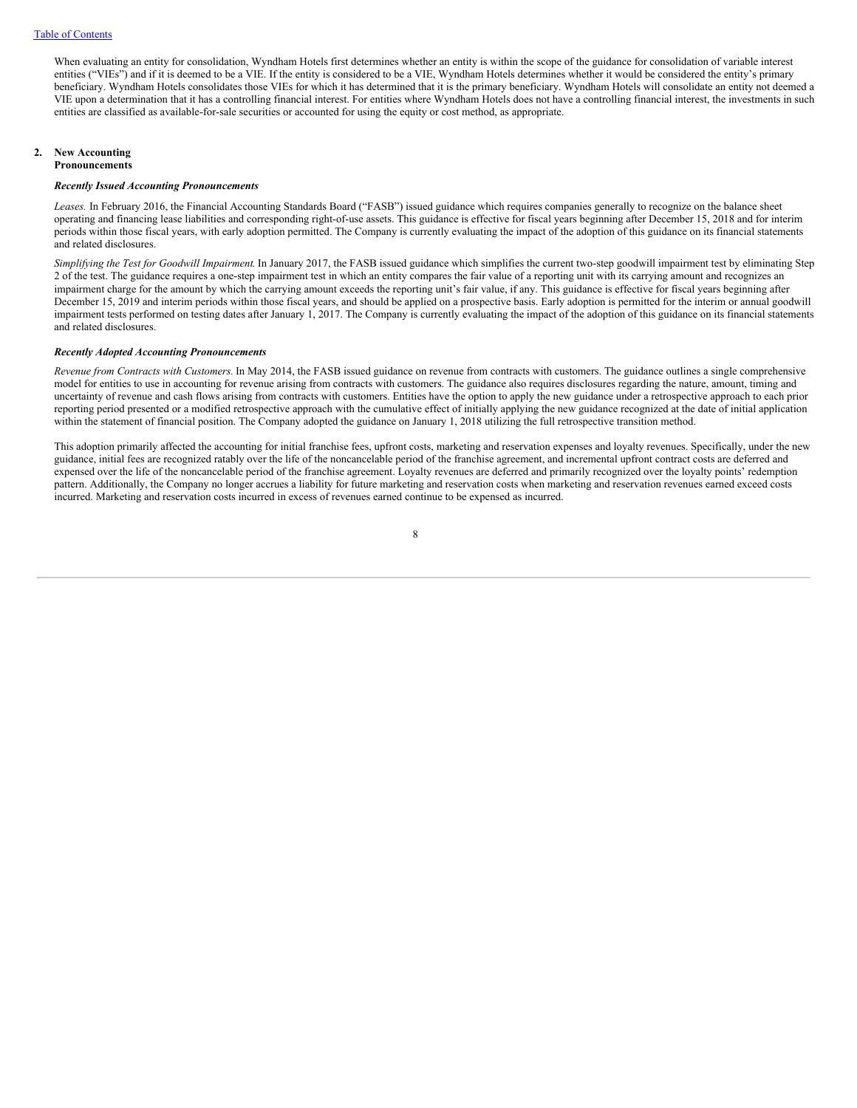When evaluating an entity for consolidation, Wyndham Hotels first determines whether an entity is within the scope of the guidance for consolidation of variable interest entities ("VIEs") and if it is deemed to be a VIE. If the entity is considered to be a VIE, Wyndham Hotels determines whether it would be considered the entity's primary beneficiary. Wyndham Hotels consolidates those VIEs for which it has determined that it is the primary beneficiary. Wyndham Hotels will consolidate an entity not deemed a VIE upon a determination that it has a controlling financial interest. For entities where Wyndham Hotels does not have a controlling financial interest, the investments in such entities are classified as available-for-sale securities or accounted for using the equity or cost method, as appropriate.

# **2. New Accounting**

# **Pronouncements**

# *Recently Issued Accounting Pronouncements*

Leases. In February 2016, the Financial Accounting Standards Board ("FASB") issued guidance which requires companies generally to recognize on the balance sheet operating and financing lease liabilities and corresponding right-of-use assets. This guidance is effective for fiscal years beginning after December 15, 2018 and for interim periods within those fiscal years, with early adoption permitted. The Company is currently evaluating the impact of the adoption of this guidance on its financial statements and related disclosures.

*Simplifying the Test for Goodwill Impairment*. In January 2017, the FASB issued guidance which simplifies the current two-step goodwill impairment test by eliminating Step 2 of the test. The guidance requires a one-step impairment test in which an entity compares the fair value of a reporting unit with its carrying amount and recognizes an impairment charge for the amount by which the carrying amount exceeds the reporting unit's fair value, if any. This guidance is effective for fiscal years beginning after December 15, 2019 and interim periods within those fiscal years, and should be applied on a prospective basis. Early adoption is permitted for the interim or annual goodwill impairment tests performed on testing dates after January 1, 2017. The Company is currently evaluating the impact of the adoption of this guidance on its financial statements and related disclosures.

### *Recently Adopted Accounting Pronouncements*

*Revenue from Contracts with Customers.* In May 2014, the FASB issued guidance on revenue from contracts with customers. The guidance outlines a single comprehensive model for entities to use in accounting for revenue arising from contracts with customers. The guidance also requires disclosures regarding the nature, amount, timing and uncertainty of revenue and cash flows arising from contracts with customers. Entities have the option to apply the new guidance under a retrospective approach to each prior reporting period presented or a modified retrospective approach with the cumulative effect of initially applying the new guidance recognized at the date of initial application within the statement of financial position. The Company adopted the guidance on January 1, 2018 utilizing the full retrospective transition method.

This adoption primarily affected the accounting for initial franchise fees, upfront costs, marketing and reservation expenses and loyalty revenues. Specifically, under the new guidance, initial fees are recognized ratably over the life of the noncancelable period of the franchise agreement, and incremental upfront contract costs are deferred and expensed over the life of the noncancelable period of the franchise agreement. Loyalty revenues are deferred and primarily recognized over the loyalty points' redemption pattern. Additionally, the Company no longer accrues a liability for future marketing and reservation costs when marketing and reservation revenues earned exceed costs incurred. Marketing and reservation costs incurred in excess of revenues earned continue to be expensed as incurred.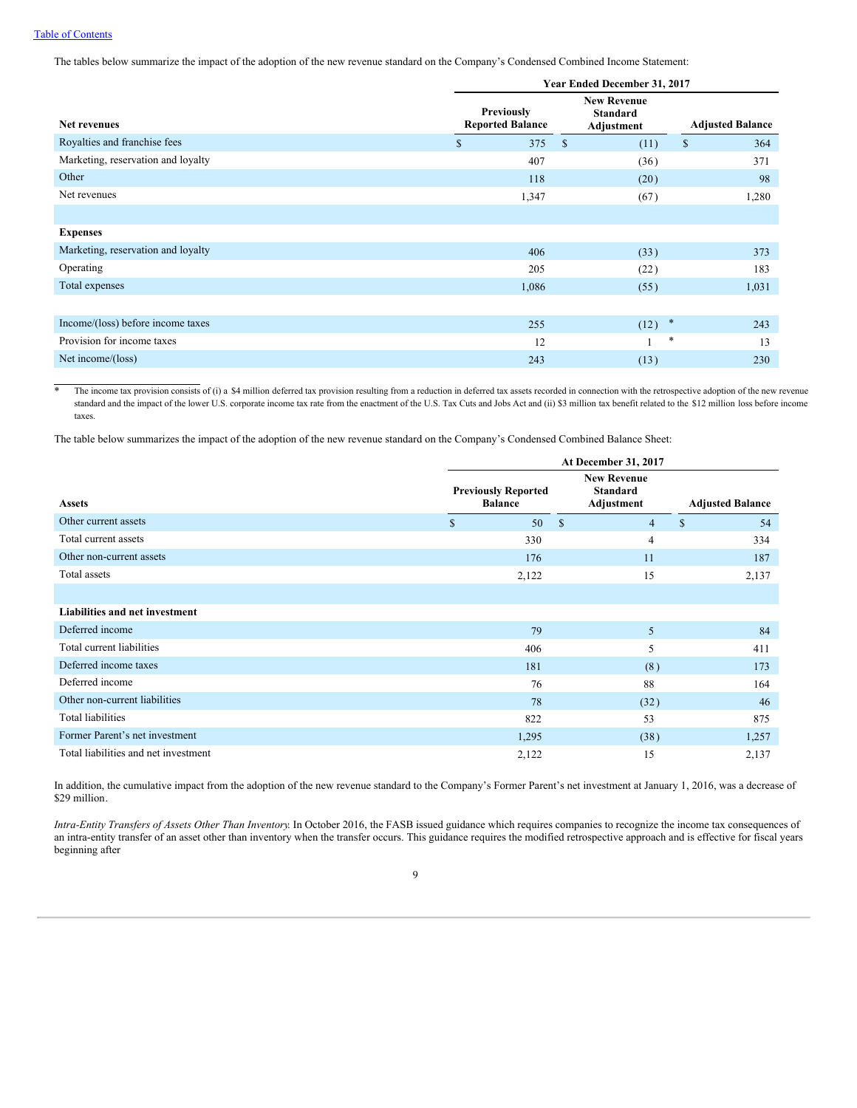The tables below summarize the impact of the adoption of the new revenue standard on the Company's Condensed Combined Income Statement:

|                                    | Year Ended December 31, 2017                 |                                                     |                         |  |  |  |  |  |  |  |  |  |
|------------------------------------|----------------------------------------------|-----------------------------------------------------|-------------------------|--|--|--|--|--|--|--|--|--|
| Net revenues                       | <b>Previously</b><br><b>Reported Balance</b> | <b>New Revenue</b><br><b>Standard</b><br>Adjustment | <b>Adjusted Balance</b> |  |  |  |  |  |  |  |  |  |
| Royalties and franchise fees       | 375<br>\$                                    | $\mathbb{S}$<br>(11)                                | \$<br>364               |  |  |  |  |  |  |  |  |  |
| Marketing, reservation and loyalty | 407                                          | (36)                                                | 371                     |  |  |  |  |  |  |  |  |  |
| Other                              | 118                                          | (20)                                                | 98                      |  |  |  |  |  |  |  |  |  |
| Net revenues                       | 1,347                                        | (67)                                                | 1,280                   |  |  |  |  |  |  |  |  |  |
|                                    |                                              |                                                     |                         |  |  |  |  |  |  |  |  |  |
| <b>Expenses</b>                    |                                              |                                                     |                         |  |  |  |  |  |  |  |  |  |
| Marketing, reservation and loyalty | 406                                          | (33)                                                | 373                     |  |  |  |  |  |  |  |  |  |
| Operating                          | 205                                          | (22)                                                | 183                     |  |  |  |  |  |  |  |  |  |
| Total expenses                     | 1,086                                        | (55)                                                | 1,031                   |  |  |  |  |  |  |  |  |  |
|                                    |                                              |                                                     |                         |  |  |  |  |  |  |  |  |  |
| Income/(loss) before income taxes  | 255                                          | $\ddot{\phantom{1}}$<br>(12)                        | 243                     |  |  |  |  |  |  |  |  |  |
| Provision for income taxes         | 12                                           |                                                     | *<br>13                 |  |  |  |  |  |  |  |  |  |
| Net income/(loss)                  | 243                                          | (13)                                                | 230                     |  |  |  |  |  |  |  |  |  |

\* The income tax provision consists of (i) a \$4 million deferred tax provision resulting from a reduction in deferred tax assets recorded in connection with the retrospective adoption of the new revenue standard and the impact of the lower U.S. corporate income tax rate from the enactment of the U.S. Tax Cuts and Jobs Act and (ii) \$3 million tax benefit related to the \$12 million loss before income taxes.

The table below summarizes the impact of the adoption of the new revenue standard on the Company's Condensed Combined Balance Sheet:

|                                      | At December 31, 2017                         |                                                     |                         |  |  |  |  |  |  |  |  |  |
|--------------------------------------|----------------------------------------------|-----------------------------------------------------|-------------------------|--|--|--|--|--|--|--|--|--|
| <b>Assets</b>                        | <b>Previously Reported</b><br><b>Balance</b> | <b>New Revenue</b><br><b>Standard</b><br>Adjustment | <b>Adjusted Balance</b> |  |  |  |  |  |  |  |  |  |
| Other current assets                 | $\mathbb{S}$<br>50                           | $\mathbf{\hat{s}}$<br>$\overline{4}$                | S<br>54                 |  |  |  |  |  |  |  |  |  |
| Total current assets                 | 330                                          | 4                                                   | 334                     |  |  |  |  |  |  |  |  |  |
| Other non-current assets             | 176                                          | 11                                                  | 187                     |  |  |  |  |  |  |  |  |  |
| Total assets                         | 2,122                                        | 15                                                  | 2,137                   |  |  |  |  |  |  |  |  |  |
|                                      |                                              |                                                     |                         |  |  |  |  |  |  |  |  |  |
| Liabilities and net investment       |                                              |                                                     |                         |  |  |  |  |  |  |  |  |  |
| Deferred income                      | 79                                           | 5                                                   | 84                      |  |  |  |  |  |  |  |  |  |
| Total current liabilities            | 406                                          | 5                                                   | 411                     |  |  |  |  |  |  |  |  |  |
| Deferred income taxes                | 181                                          | (8)                                                 | 173                     |  |  |  |  |  |  |  |  |  |
| Deferred income                      | 76                                           | 88                                                  | 164                     |  |  |  |  |  |  |  |  |  |
| Other non-current liabilities        | 78                                           | (32)                                                | 46                      |  |  |  |  |  |  |  |  |  |
| <b>Total liabilities</b>             | 822                                          | 53                                                  | 875                     |  |  |  |  |  |  |  |  |  |
| Former Parent's net investment       | 1,295                                        | (38)                                                | 1,257                   |  |  |  |  |  |  |  |  |  |
| Total liabilities and net investment | 2,122                                        | 15                                                  | 2,137                   |  |  |  |  |  |  |  |  |  |

In addition, the cumulative impact from the adoption of the new revenue standard to the Company's Former Parent's net investment at January 1, 2016, was a decrease of \$29 million.

*Intra-Entity Transfers of Assets Other Than Inventory*. In October 2016, the FASB issued guidance which requires companies to recognize the income tax consequences of an intra-entity transfer of an asset other than inventory when the transfer occurs. This guidance requires the modified retrospective approach and is effective for fiscal years beginning after

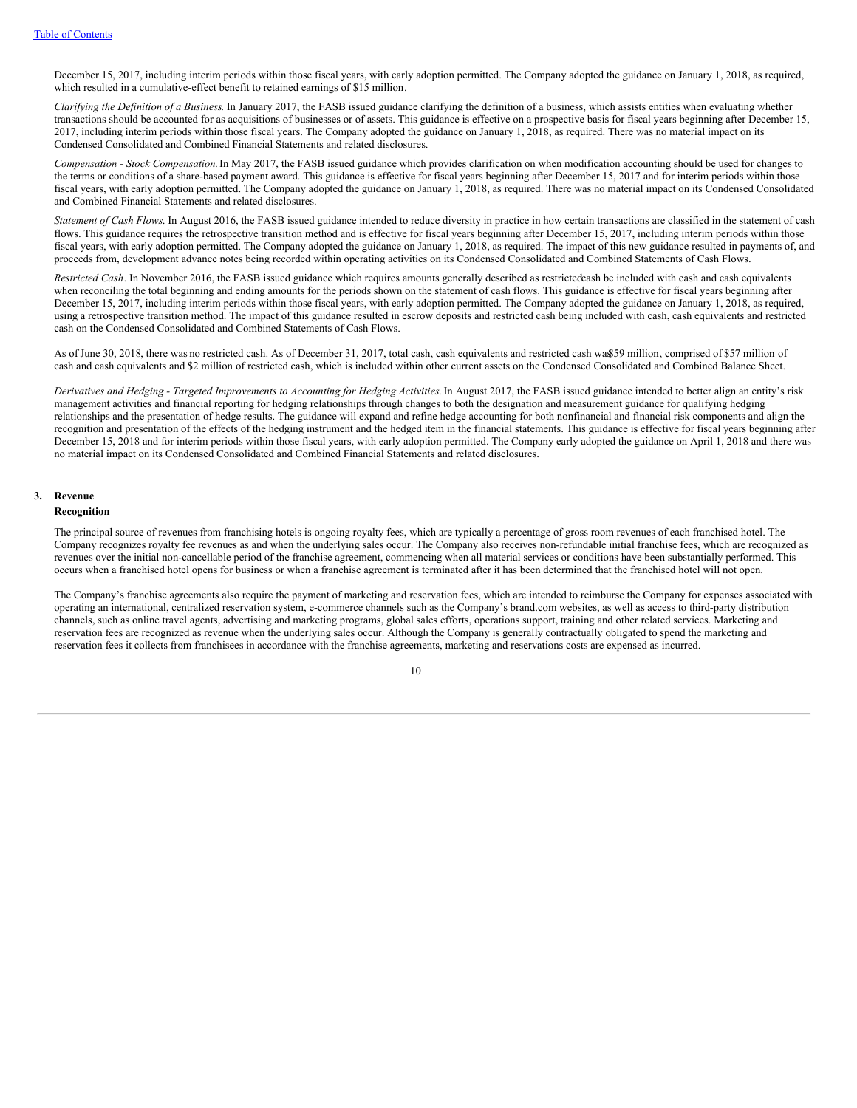December 15, 2017, including interim periods within those fiscal years, with early adoption permitted. The Company adopted the guidance on January 1, 2018, as required, which resulted in a cumulative-effect benefit to retained earnings of \$15 million.

*Clarifying the Definition of a Business*. In January 2017, the FASB issued guidance clarifying the definition of a business, which assists entities when evaluating whether transactions should be accounted for as acquisitions of businesses or of assets. This guidance is effective on a prospective basis for fiscal years beginning after December 15, 2017, including interim periods within those fiscal years. The Company adopted the guidance on January 1, 2018, as required. There was no material impact on its Condensed Consolidated and Combined Financial Statements and related disclosures.

*Compensation - Stock Compensation.*In May 2017, the FASB issued guidance which provides clarification on when modification accounting should be used for changes to the terms or conditions of a share-based payment award. This guidance is effective for fiscal years beginning after December 15, 2017 and for interim periods within those fiscal years, with early adoption permitted. The Company adopted the guidance on January 1, 2018, as required. There was no material impact on its Condensed Consolidated and Combined Financial Statements and related disclosures.

*Statement of Cash Flows*. In August 2016, the FASB issued guidance intended to reduce diversity in practice in how certain transactions are classified in the statement of cash flows. This guidance requires the retrospective transition method and is effective for fiscal years beginning after December 15, 2017, including interim periods within those fiscal years, with early adoption permitted. The Company adopted the guidance on January 1, 2018, as required. The impact of this new guidance resulted in payments of, and proceeds from, development advance notes being recorded within operating activities on its Condensed Consolidated and Combined Statements of Cash Flows.

*Restricted Cash*. In November 2016, the FASB issued guidance which requires amounts generally described as restrictedcash be included with cash and cash equivalents when reconciling the total beginning and ending amounts for the periods shown on the statement of cash flows. This guidance is effective for fiscal years beginning after December 15, 2017, including interim periods within those fiscal years, with early adoption permitted. The Company adopted the guidance on January 1, 2018, as required, using a retrospective transition method. The impact of this guidance resulted in escrow deposits and restricted cash being included with cash, cash equivalents and restricted cash on the Condensed Consolidated and Combined Statements of Cash Flows.

As of June 30, 2018, there was no restricted cash. As of December 31, 2017, total cash, cash equivalents and restricted cash was\$59 million, comprised of \$57 million of cash and cash equivalents and \$2 million of restricted cash, which is included within other current assets on the Condensed Consolidated and Combined Balance Sheet.

Derivatives and Hedging - Targeted Improvements to Accounting for Hedging Activities. In August 2017, the FASB issued guidance intended to better align an entity's risk management activities and financial reporting for hedging relationships through changes to both the designation and measurement guidance for qualifying hedging relationships and the presentation of hedge results. The guidance will expand and refine hedge accounting for both nonfinancial and financial risk components and align the recognition and presentation of the effects of the hedging instrument and the hedged item in the financial statements. This guidance is effective for fiscal years beginning after December 15, 2018 and for interim periods within those fiscal years, with early adoption permitted. The Company early adopted the guidance on April 1, 2018 and there was no material impact on its Condensed Consolidated and Combined Financial Statements and related disclosures.

### **3. Revenue**

#### **Recognition**

The principal source of revenues from franchising hotels is ongoing royalty fees, which are typically a percentage of gross room revenues of each franchised hotel. The Company recognizes royalty fee revenues as and when the underlying sales occur. The Company also receives non-refundable initial franchise fees, which are recognized as revenues over the initial non-cancellable period of the franchise agreement, commencing when all material services or conditions have been substantially performed. This occurs when a franchised hotel opens for business or when a franchise agreement is terminated after it has been determined that the franchised hotel will not open.

The Company's franchise agreements also require the payment of marketing and reservation fees, which are intended to reimburse the Company for expenses associated with operating an international, centralized reservation system, e-commerce channels such as the Company's brand.com websites, as well as access to third-party distribution channels, such as online travel agents, advertising and marketing programs, global sales efforts, operations support, training and other related services. Marketing and reservation fees are recognized as revenue when the underlying sales occur. Although the Company is generally contractually obligated to spend the marketing and reservation fees it collects from franchisees in accordance with the franchise agreements, marketing and reservations costs are expensed as incurred.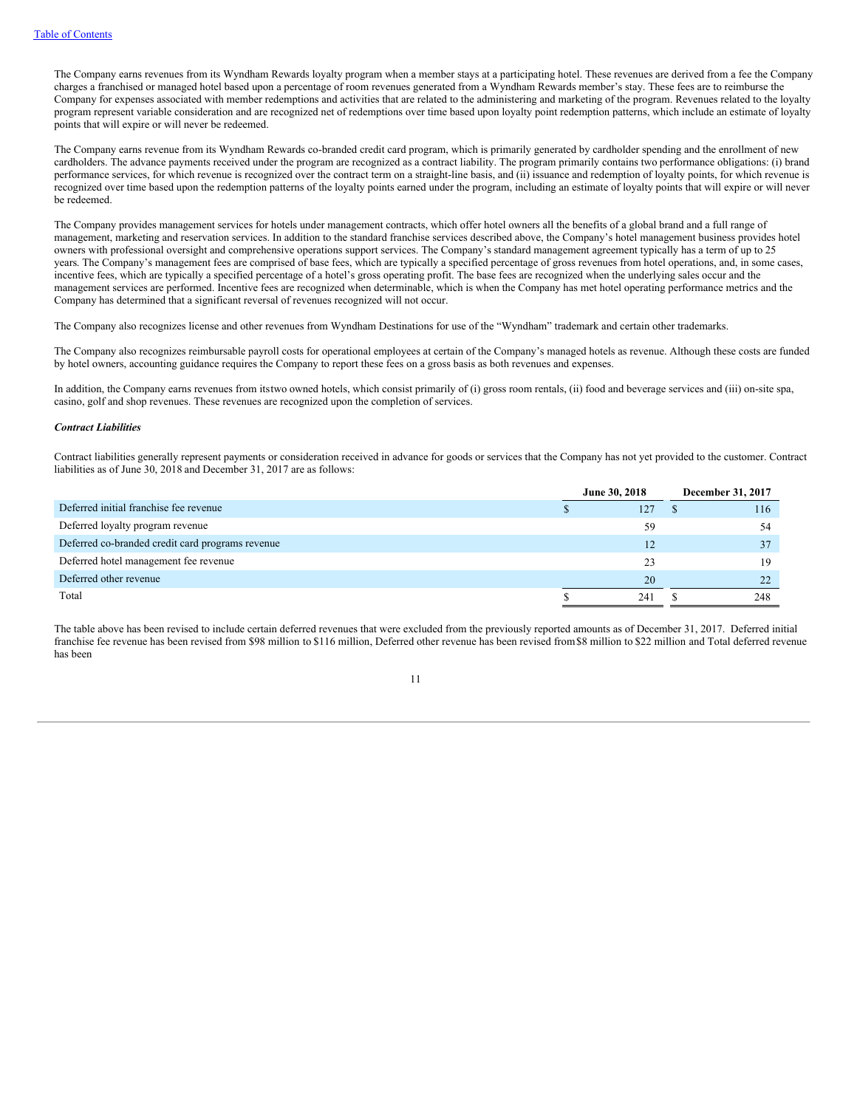The Company earns revenues from its Wyndham Rewards loyalty program when a member stays at a participating hotel. These revenues are derived from a fee the Company charges a franchised or managed hotel based upon a percentage of room revenues generated from a Wyndham Rewards member's stay. These fees are to reimburse the Company for expenses associated with member redemptions and activities that are related to the administering and marketing of the program. Revenues related to the loyalty program represent variable consideration and are recognized net of redemptions over time based upon loyalty point redemption patterns, which include an estimate of loyalty points that will expire or will never be redeemed.

The Company earns revenue from its Wyndham Rewards co-branded credit card program, which is primarily generated by cardholder spending and the enrollment of new cardholders. The advance payments received under the program are recognized as a contract liability. The program primarily contains two performance obligations: (i) brand performance services, for which revenue is recognized over the contract term on a straight-line basis, and (ii) issuance and redemption of loyalty points, for which revenue is recognized over time based upon the redemption patterns of the loyalty points earned under the program, including an estimate of loyalty points that will expire or will never be redeemed.

The Company provides management services for hotels under management contracts, which offer hotel owners all the benefits of a global brand and a full range of management, marketing and reservation services. In addition to the standard franchise services described above, the Company's hotel management business provides hotel owners with professional oversight and comprehensive operations support services. The Company's standard management agreement typically has a term of up to 25 years. The Company's management fees are comprised of base fees, which are typically a specified percentage of gross revenues from hotel operations, and, in some cases, incentive fees, which are typically a specified percentage of a hotel's gross operating profit. The base fees are recognized when the underlying sales occur and the management services are performed. Incentive fees are recognized when determinable, which is when the Company has met hotel operating performance metrics and the Company has determined that a significant reversal of revenues recognized will not occur.

The Company also recognizes license and other revenues from Wyndham Destinations for use of the "Wyndham" trademark and certain other trademarks.

The Company also recognizes reimbursable payroll costs for operational employees at certain of the Company's managed hotels as revenue. Although these costs are funded by hotel owners, accounting guidance requires the Company to report these fees on a gross basis as both revenues and expenses.

In addition, the Company earns revenues from itstwo owned hotels, which consist primarily of (i) gross room rentals, (ii) food and beverage services and (iii) on-site spa, casino, golf and shop revenues. These revenues are recognized upon the completion of services.

#### *Contract Liabilities*

Contract liabilities generally represent payments or consideration received in advance for goods or services that the Company has not yet provided to the customer. Contract liabilities as of June 30, 2018 and December 31, 2017 are as follows:

|                                                  | June 30, 2018 | December 31, 2017 |
|--------------------------------------------------|---------------|-------------------|
| Deferred initial franchise fee revenue           | 127           | 116               |
| Deferred loyalty program revenue                 | 59            | 54                |
| Deferred co-branded credit card programs revenue | 12            |                   |
| Deferred hotel management fee revenue            |               | 19                |
| Deferred other revenue                           | 20            |                   |
| Total                                            | 241           | 248               |

The table above has been revised to include certain deferred revenues that were excluded from the previously reported amounts as of December 31, 2017. Deferred initial franchise fee revenue has been revised from \$98 million to \$116 million, Deferred other revenue has been revised from\$8 million to \$22 million and Total deferred revenue has been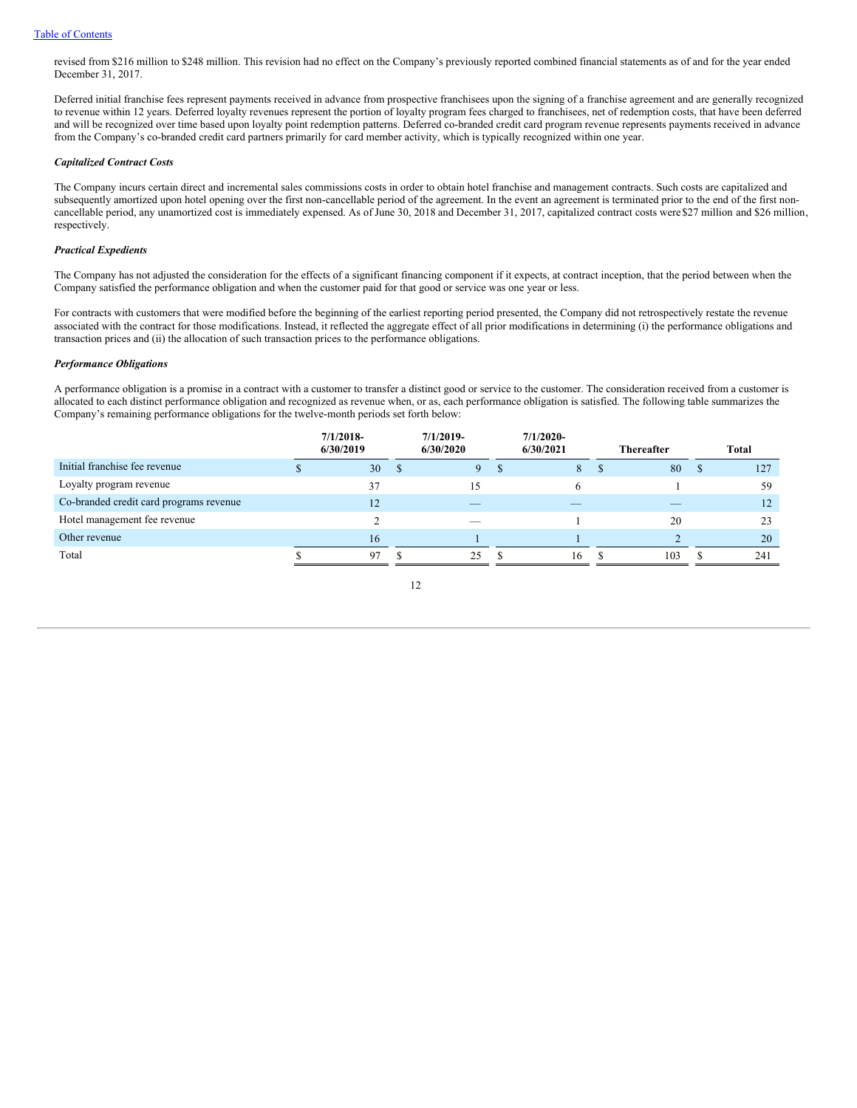revised from \$216 million to \$248 million. This revision had no effect on the Company's previously reported combined financial statements as of and for the year ended December 31, 2017.

Deferred initial franchise fees represent payments received in advance from prospective franchisees upon the signing of a franchise agreement and are generally recognized to revenue within 12 years. Deferred loyalty revenues represent the portion of loyalty program fees charged to franchisees, net of redemption costs, that have been deferred and will be recognized over time based upon loyalty point redemption patterns. Deferred co-branded credit card program revenue represents payments received in advance from the Company's co-branded credit card partners primarily for card member activity, which is typically recognized within one year.

### *Capitalized Contract Costs*

The Company incurs certain direct and incremental sales commissions costs in order to obtain hotel franchise and management contracts. Such costs are capitalized and subsequently amortized upon hotel opening over the first non-cancellable period of the agreement. In the event an agreement is terminated prior to the end of the first noncancellable period, any unamortized cost is immediately expensed. As of June 30, 2018 and December 31, 2017, capitalized contract costs were\$27 million and \$26 million, respectively.

### *Practical Expedients*

The Company has not adjusted the consideration for the effects of a significant financing component if it expects, at contract inception, that the period between when the Company satisfied the performance obligation and when the customer paid for that good or service was one year or less.

For contracts with customers that were modified before the beginning of the earliest reporting period presented, the Company did not retrospectively restate the revenue associated with the contract for those modifications. Instead, it reflected the aggregate effect of all prior modifications in determining (i) the performance obligations and transaction prices and (ii) the allocation of such transaction prices to the performance obligations.

## *Performance Obligations*

A performance obligation is a promise in a contract with a customer to transfer a distinct good or service to the customer. The consideration received from a customer is allocated to each distinct performance obligation and recognized as revenue when, or as, each performance obligation is satisfied. The following table summarizes the Company's remaining performance obligations for the twelve-month periods set forth below:

|                                         | $7/1/2018$ -<br>6/30/2019 |   | $7/1/2019$ -<br>6/30/2020 |   | $7/1/2020$ -<br>6/30/2021 | <b>Thereafter</b> |    | Total |
|-----------------------------------------|---------------------------|---|---------------------------|---|---------------------------|-------------------|----|-------|
| Initial franchise fee revenue           | 30                        | S | 9                         | Ф | 8                         | 80                | ۰D | 127   |
| Loyalty program revenue                 | 37                        |   | 15                        |   | 6                         |                   |    | 59    |
| Co-branded credit card programs revenue | 12                        |   | _                         |   |                           |                   |    | 12    |
| Hotel management fee revenue            |                           |   | _                         |   |                           | 20                |    | 23    |
| Other revenue                           | 16                        |   |                           |   |                           |                   |    | 20    |
| Total                                   | 97                        |   | 25                        |   | 16                        | 103               |    | 241   |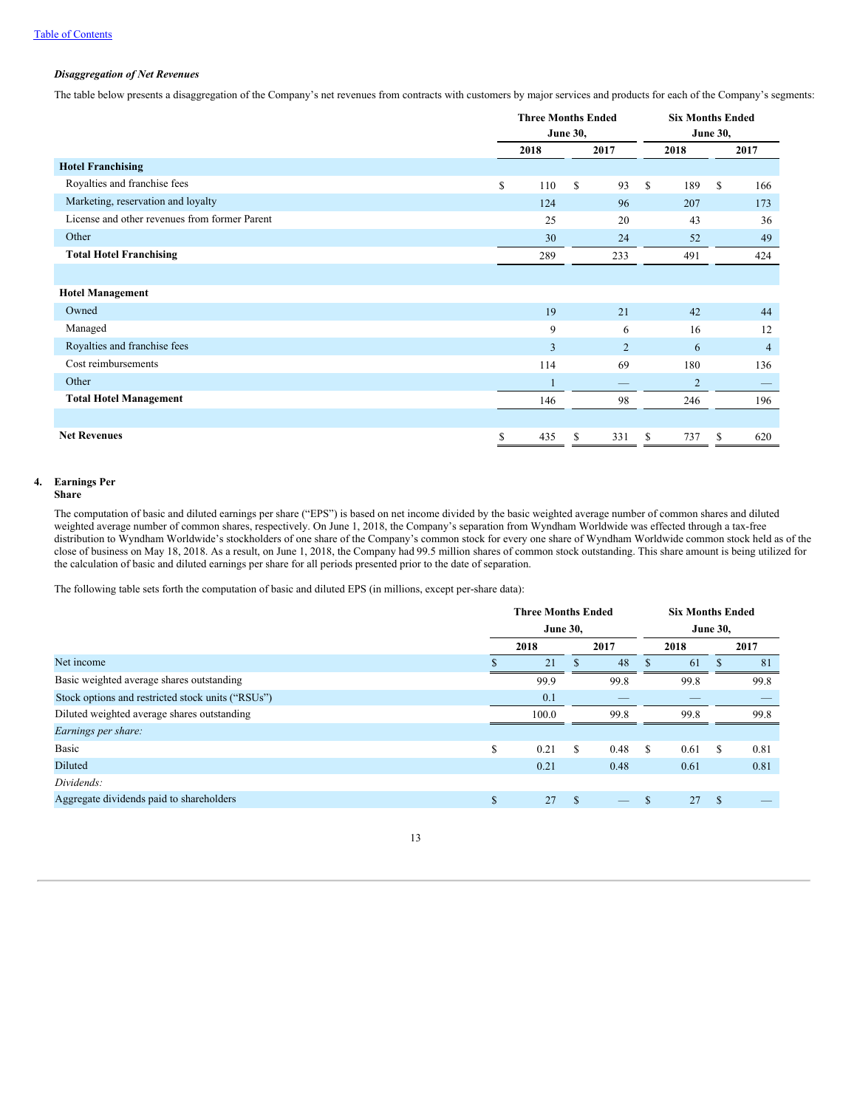# *Disaggregation of Net Revenues*

The table below presents a disaggregation of the Company's net revenues from contracts with customers by major services and products for each of the Company's segments:

|                                               | <b>Three Months Ended</b> |     |      |                |      | <b>Six Months Ended</b> |    |                |  |
|-----------------------------------------------|---------------------------|-----|------|----------------|------|-------------------------|----|----------------|--|
|                                               | <b>June 30,</b>           |     |      |                |      | <b>June 30,</b>         |    |                |  |
|                                               | 2018                      |     | 2017 |                | 2018 |                         |    | 2017           |  |
| <b>Hotel Franchising</b>                      |                           |     |      |                |      |                         |    |                |  |
| Royalties and franchise fees                  | \$                        | 110 | \$   | 93             | \$   | 189                     | \$ | 166            |  |
| Marketing, reservation and loyalty            |                           | 124 |      | 96             |      | 207                     |    | 173            |  |
| License and other revenues from former Parent |                           | 25  |      | 20             |      | 43                      |    | 36             |  |
| Other                                         |                           | 30  |      | 24             |      | 52                      |    | 49             |  |
| <b>Total Hotel Franchising</b>                |                           | 289 |      | 233            |      | 491                     |    | 424            |  |
|                                               |                           |     |      |                |      |                         |    |                |  |
| <b>Hotel Management</b>                       |                           |     |      |                |      |                         |    |                |  |
| Owned                                         |                           | 19  |      | 21             |      | 42                      |    | 44             |  |
| Managed                                       |                           | 9   |      | 6              |      | 16                      |    | 12             |  |
| Royalties and franchise fees                  |                           | 3   |      | $\overline{2}$ |      | 6                       |    | $\overline{4}$ |  |
| Cost reimbursements                           |                           | 114 |      | 69             |      | 180                     |    | 136            |  |
| Other                                         |                           | 1   |      |                |      | $\overline{2}$          |    |                |  |
| <b>Total Hotel Management</b>                 |                           | 146 |      | 98             |      | 246                     |    | 196            |  |
|                                               |                           |     |      |                |      |                         |    |                |  |
| <b>Net Revenues</b>                           | \$                        | 435 | \$   | 331            | \$   | 737                     | \$ | 620            |  |

# **4. Earnings Per**

# **Share**

The computation of basic and diluted earnings per share ("EPS") is based on net income divided by the basic weighted average number of common shares and diluted weighted average number of common shares, respectively. On June 1, 2018, the Company's separation from Wyndham Worldwide was effected through a tax-free distribution to Wyndham Worldwide's stockholders of one share of the Company's common stock for every one share of Wyndham Worldwide common stock held as of the close of business on May 18, 2018. As a result, on June 1, 2018, the Company had 99.5 million shares of common stock outstanding. This share amount is being utilized for the calculation of basic and diluted earnings per share for all periods presented prior to the date of separation.

The following table sets forth the computation of basic and diluted EPS (in millions, except per-share data):

|                                                   |                 | <b>Three Months Ended</b> |               |      |   | <b>Six Months Ended</b><br><b>June 30,</b> |               |      |  |
|---------------------------------------------------|-----------------|---------------------------|---------------|------|---|--------------------------------------------|---------------|------|--|
|                                                   | <b>June 30,</b> |                           |               |      |   |                                            |               |      |  |
|                                                   |                 | 2018                      |               | 2017 |   | 2018                                       |               | 2017 |  |
| Net income                                        |                 | 21                        |               | 48   |   | 61                                         |               | 81   |  |
| Basic weighted average shares outstanding         |                 | 99.9                      |               | 99.8 |   | 99.8                                       |               | 99.8 |  |
| Stock options and restricted stock units ("RSUs") |                 | 0.1                       |               |      |   |                                            |               |      |  |
| Diluted weighted average shares outstanding       |                 | 100.0                     |               | 99.8 |   | 99.8                                       |               | 99.8 |  |
| Earnings per share:                               |                 |                           |               |      |   |                                            |               |      |  |
| Basic                                             | \$              | 0.21                      | \$            | 0.48 | S | 0.61                                       | S             | 0.81 |  |
| Diluted                                           |                 | 0.21                      |               | 0.48 |   | 0.61                                       |               | 0.81 |  |
| Dividends:                                        |                 |                           |               |      |   |                                            |               |      |  |
| Aggregate dividends paid to shareholders          | \$              | 27                        | $\mathcal{S}$ | _    | S | 27                                         | <sup>\$</sup> |      |  |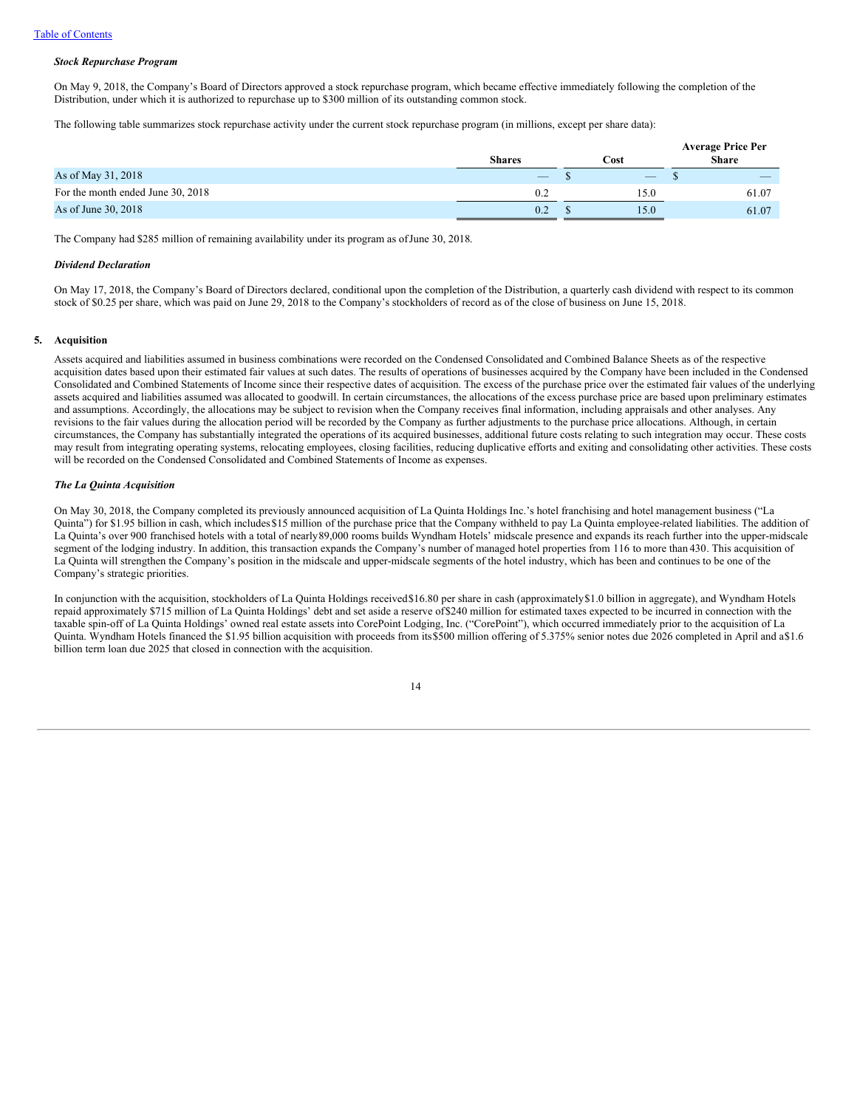### *Stock Repurchase Program*

On May 9, 2018, the Company's Board of Directors approved a stock repurchase program, which became effective immediately following the completion of the Distribution, under which it is authorized to repurchase up to \$300 million of its outstanding common stock.

The following table summarizes stock repurchase activity under the current stock repurchase program (in millions, except per share data):

|                                   | Shares            | Cost              | <b>Average Price Per</b><br><b>Share</b> |                          |  |  |
|-----------------------------------|-------------------|-------------------|------------------------------------------|--------------------------|--|--|
| As of May 31, 2018                | $\qquad \qquad -$ | $\qquad \qquad -$ |                                          | $\overline{\phantom{a}}$ |  |  |
| For the month ended June 30, 2018 | 0.2               | l 5.0             |                                          | 61.07                    |  |  |
| As of June 30, 2018               | 0.2               | 15.0              |                                          | 61.07                    |  |  |

The Company had \$285 million of remaining availability under its program as ofJune 30, 2018.

#### *Dividend Declaration*

On May 17, 2018, the Company's Board of Directors declared, conditional upon the completion of the Distribution, a quarterly cash dividend with respect to its common stock of \$0.25 per share, which was paid on June 29, 2018 to the Company's stockholders of record as of the close of business on June 15, 2018.

### **5. Acquisition**

Assets acquired and liabilities assumed in business combinations were recorded on the Condensed Consolidated and Combined Balance Sheets as of the respective acquisition dates based upon their estimated fair values at such dates. The results of operations of businesses acquired by the Company have been included in the Condensed Consolidated and Combined Statements of Income since their respective dates of acquisition. The excess of the purchase price over the estimated fair values of the underlying assets acquired and liabilities assumed was allocated to goodwill. In certain circumstances, the allocations of the excess purchase price are based upon preliminary estimates and assumptions. Accordingly, the allocations may be subject to revision when the Company receives final information, including appraisals and other analyses. Any revisions to the fair values during the allocation period will be recorded by the Company as further adjustments to the purchase price allocations. Although, in certain circumstances, the Company has substantially integrated the operations of its acquired businesses, additional future costs relating to such integration may occur. These costs may result from integrating operating systems, relocating employees, closing facilities, reducing duplicative efforts and exiting and consolidating other activities. These costs will be recorded on the Condensed Consolidated and Combined Statements of Income as expenses.

### *The La Quinta Acquisition*

On May 30, 2018, the Company completed its previously announced acquisition of La Quinta Holdings Inc.'s hotel franchising and hotel management business ("La Quinta") for \$1.95 billion in cash, which includes\$15 million of the purchase price that the Company withheld to pay La Quinta employee-related liabilities. The addition of La Quinta's over 900 franchised hotels with a total of nearly89,000 rooms builds Wyndham Hotels' midscale presence and expands its reach further into the upper-midscale segment of the lodging industry. In addition, this transaction expands the Company's number of managed hotel properties from 116 to more than 430. This acquisition of La Quinta will strengthen the Company's position in the midscale and upper-midscale segments of the hotel industry, which has been and continues to be one of the Company's strategic priorities.

In conjunction with the acquisition, stockholders of La Quinta Holdings received\$16.80 per share in cash (approximately\$1.0 billion in aggregate), and Wyndham Hotels repaid approximately \$715 million of La Quinta Holdings' debt and set aside a reserve of\$240 million for estimated taxes expected to be incurred in connection with the taxable spin-off of La Quinta Holdings' owned real estate assets into CorePoint Lodging, Inc. ("CorePoint"), which occurred immediately prior to the acquisition of La Quinta. Wyndham Hotels financed the \$1.95 billion acquisition with proceeds from its\$500 million offering of 5.375% senior notes due 2026 completed in April and a\$1.6 billion term loan due 2025 that closed in connection with the acquisition.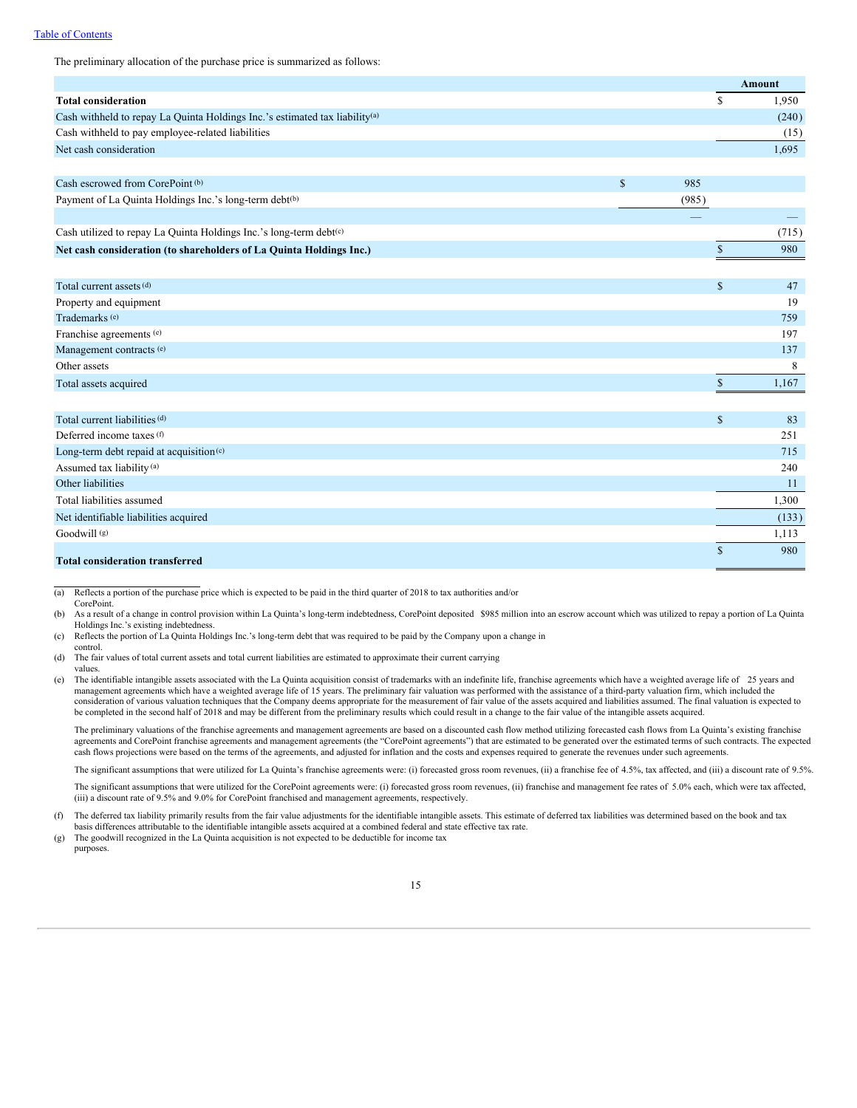# Table of Contents

The preliminary allocation of the purchase price is summarized as follows:

|                                                                                         |              |       |              | <b>Amount</b> |
|-----------------------------------------------------------------------------------------|--------------|-------|--------------|---------------|
| <b>Total consideration</b>                                                              |              |       | $\mathbb{S}$ | 1,950         |
| Cash withheld to repay La Quinta Holdings Inc.'s estimated tax liability <sup>(a)</sup> |              |       |              | (240)         |
| Cash withheld to pay employee-related liabilities                                       |              |       |              | (15)          |
| Net cash consideration                                                                  |              |       |              | 1,695         |
| Cash escrowed from CorePoint <sup>(b)</sup>                                             | $\mathbb{S}$ | 985   |              |               |
| Payment of La Quinta Holdings Inc.'s long-term debt(b)                                  |              | (985) |              |               |
|                                                                                         |              |       |              |               |
| Cash utilized to repay La Quinta Holdings Inc.'s long-term debt(c)                      |              |       |              | (715)         |
| Net cash consideration (to shareholders of La Quinta Holdings Inc.)                     |              |       | $\mathbb{S}$ | 980           |
|                                                                                         |              |       |              |               |
| Total current assets (d)                                                                |              |       | $\mathbb{S}$ | 47            |
| Property and equipment                                                                  |              |       |              | 19            |
| Trademarks <sup>(e)</sup>                                                               |              |       |              | 759           |
| Franchise agreements (e)                                                                |              |       |              | 197           |
| Management contracts (e)                                                                |              |       |              | 137           |
| Other assets                                                                            |              |       |              | 8             |
| Total assets acquired                                                                   |              |       | $\mathbb{S}$ | 1,167         |
|                                                                                         |              |       |              |               |
| Total current liabilities (d)                                                           |              |       | $\mathbb{S}$ | 83            |
| Deferred income taxes (f)                                                               |              |       |              | 251           |
| Long-term debt repaid at acquisition <sup>(c)</sup>                                     |              |       |              | 715           |
| Assumed tax liability <sup>(a)</sup>                                                    |              |       |              | 240           |
| Other liabilities                                                                       |              |       |              | 11            |
| Total liabilities assumed                                                               |              |       |              | 1,300         |
| Net identifiable liabilities acquired                                                   |              |       |              | (133)         |

Goodwill<sup>(g)</sup> (g)  $1,113$ 

### **Total consideration transferred**

(a) Reflects a portion of the purchase price which is expected to be paid in the third quarter of 2018 to tax authorities and/or CorePoint.

(b) As a result of a change in control provision within La Quinta's long-term indebtedness, CorePoint deposited \$985 million into an escrow account which was utilized to repay a portion of La Quinta Holdings Inc.'s existing indebtedness.

\$ 980

(c) Reflects the portion of La Quinta Holdings Inc.'s long-term debt that was required to be paid by the Company upon a change in

control.

(d) The fair values of total current assets and total current liabilities are estimated to approximate their current carrying values.

(e) The identifiable intangible assets associated with the La Quinta acquisition consist of trademarks with an indefinite life, franchise agreements which have a weighted average life of 25 years and management agreements which have a weighted average life of 15 years. The preliminary fair valuation was performed with the assistance of a third-party valuation firm, which included the consideration of various valuation techniques that the Company deems appropriate for the measurement of fair value of the assets acquired and liabilities assumed. The final valuation is expected to be completed in the second half of 2018 and may be different from the preliminary results which could result in a change to the fair value of the intangible assets acquired.

The preliminary valuations of the franchise agreements and management agreements are based on a discounted cash flow method utilizing forecasted cash flows from La Quinta's existing franchise agreements and CorePoint franchise agreements and management agreements (the "CorePoint agreements") that are estimated to be generated over the estimated terms of such contracts. The expected cash flows projections were based on the terms of the agreements, and adjusted for inflation and the costs and expenses required to generate the revenues under such agreements.

The significant assumptions that were utilized for La Quinta's franchise agreements were: (i) forecasted gross room revenues, (ii) a franchise fee of 4.5%, tax affected, and (iii) a discount rate of 9.5%.

The significant assumptions that were utilized for the CorePoint agreements were: (i) forecasted gross room revenues, (ii) franchise and management fee rates of 5.0% each, which were tax affected, (iii) a discount rate of 9.5% and 9.0% for CorePoint franchised and management agreements, respectively.

(f) The deferred tax liability primarily results from the fair value adjustments for the identifiable intangible assets. This estimate of deferred tax liabilities was determined based on the book and tax basis differences attributable to the identifiable intangible assets acquired at a combined federal and state effective tax rate.

(g) The goodwill recognized in the La Quinta acquisition is not expected to be deductible for income tax purposes.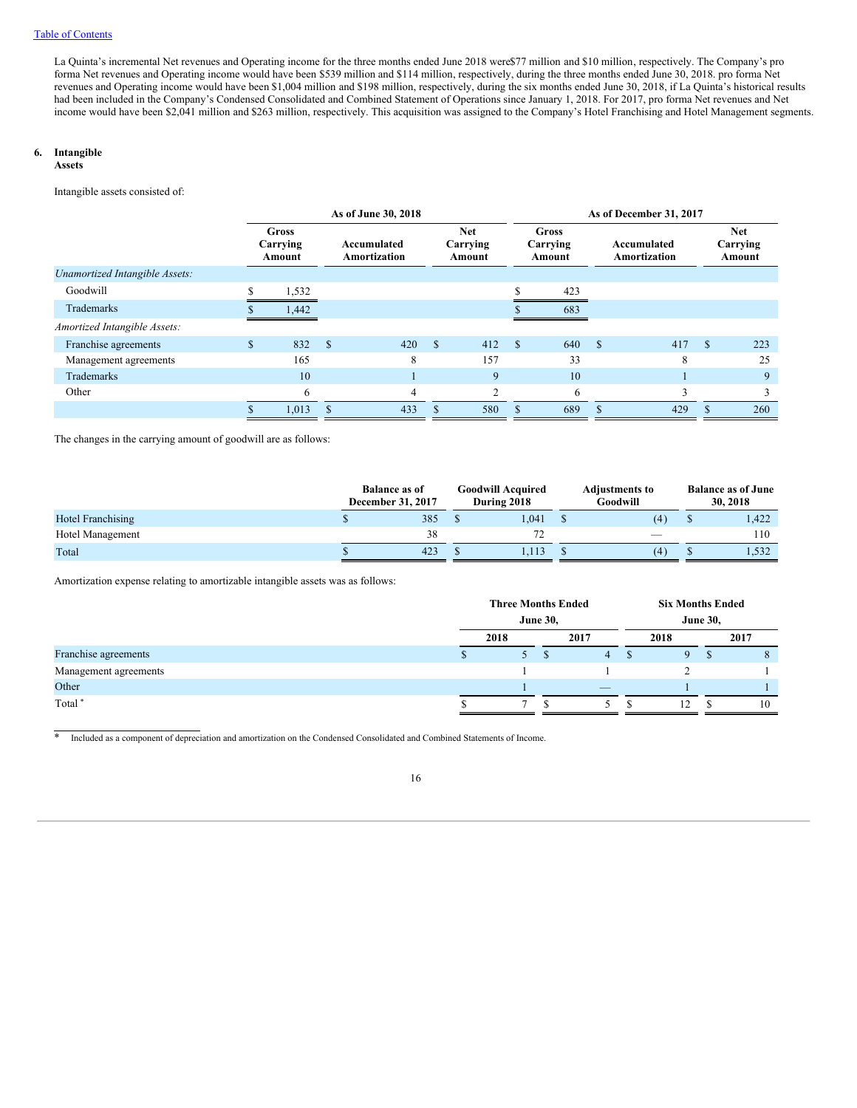La Quinta's incremental Net revenues and Operating income for the three months ended June 2018 were\$77 million and \$10 million, respectively. The Company's pro forma Net revenues and Operating income would have been \$539 million and \$114 million, respectively, during the three months ended June 30, 2018. pro forma Net revenues and Operating income would have been \$1,004 million and \$198 million, respectively, during the six months ended June 30, 2018, if La Quinta's historical results had been included in the Company's Condensed Consolidated and Combined Statement of Operations since January 1, 2018. For 2017, pro forma Net revenues and Net income would have been \$2,041 million and \$263 million, respectively. This acquisition was assigned to the Company's Hotel Franchising and Hotel Management segments.

# **6. Intangible**

### **Assets**

Intangible assets consisted of:

|                                |              | As of June 30, 2018                |             |                             |               |                                  |               |                                    | As of December 31, 2017     |     |                                  |     |  |  |  |  |
|--------------------------------|--------------|------------------------------------|-------------|-----------------------------|---------------|----------------------------------|---------------|------------------------------------|-----------------------------|-----|----------------------------------|-----|--|--|--|--|
|                                |              | <b>Gross</b><br>Carrying<br>Amount |             | Accumulated<br>Amortization |               | <b>Net</b><br>Carrying<br>Amount |               | <b>Gross</b><br>Carrying<br>Amount | Accumulated<br>Amortization |     | <b>Net</b><br>Carrying<br>Amount |     |  |  |  |  |
| Unamortized Intangible Assets: |              |                                    |             |                             |               |                                  |               |                                    |                             |     |                                  |     |  |  |  |  |
| Goodwill                       | \$           | 1,532                              |             |                             |               |                                  | ¢             | 423                                |                             |     |                                  |     |  |  |  |  |
| Trademarks                     |              | 1,442                              |             |                             |               |                                  |               | 683                                |                             |     |                                  |     |  |  |  |  |
| Amortized Intangible Assets:   |              |                                    |             |                             |               |                                  |               |                                    |                             |     |                                  |     |  |  |  |  |
| Franchise agreements           | $\mathbb{S}$ | 832                                | $\mathbf S$ | 420                         | <sup>\$</sup> | 412                              | $\mathcal{S}$ | 640                                | - \$                        | 417 | S                                | 223 |  |  |  |  |
| Management agreements          |              | 165                                |             | 8                           |               | 157                              |               | 33                                 |                             | 8   |                                  | 25  |  |  |  |  |
| Trademarks                     |              | 10                                 |             |                             |               | 9                                |               | 10                                 |                             |     |                                  | 9   |  |  |  |  |
| Other                          |              | 6                                  |             | 4                           |               | C                                |               | 6                                  |                             | 3   |                                  | 3   |  |  |  |  |
|                                |              | 1,013                              |             | 433                         |               | 580                              | \$            | 689                                |                             | 429 |                                  | 260 |  |  |  |  |

The changes in the carrying amount of goodwill are as follows:

|                   | <b>Balance as of</b><br>December 31, 2017 | <b>Goodwill Acquired</b><br>During 2018 | <b>Adjustments to</b><br>Goodwill | <b>Balance as of June</b><br>30, 2018 |  |  |
|-------------------|-------------------------------------------|-----------------------------------------|-----------------------------------|---------------------------------------|--|--|
| Hotel Franchising | 385                                       | 1.041                                   | (4)                               | 1,422                                 |  |  |
| Hotel Management  | 38                                        | 72                                      | $\sim$                            | 110                                   |  |  |
| Total             | 423                                       | 1.113                                   | (4)                               | 1,532                                 |  |  |

Amortization expense relating to amortizable intangible assets was as follows:

|                       | <b>Three Months Ended</b> |                 |  |                          |               | <b>Six Months Ended</b> |               |      |  |  |
|-----------------------|---------------------------|-----------------|--|--------------------------|---------------|-------------------------|---------------|------|--|--|
|                       |                           | <b>June 30,</b> |  |                          |               | <b>June 30,</b>         |               |      |  |  |
|                       |                           | 2018            |  | 2017                     |               | 2018                    |               | 2017 |  |  |
| Franchise agreements  |                           | 5 S             |  | $\overline{4}$           | <sup>\$</sup> |                         | ъ             | 8    |  |  |
| Management agreements |                           |                 |  |                          |               |                         |               |      |  |  |
| Other                 |                           |                 |  | $\overline{\phantom{a}}$ |               |                         |               |      |  |  |
| Total <sup>*</sup>    |                           |                 |  |                          |               | 12                      | <sup>\$</sup> | 10   |  |  |

\* Included as a component of depreciation and amortization on the Condensed Consolidated and Combined Statements of Income.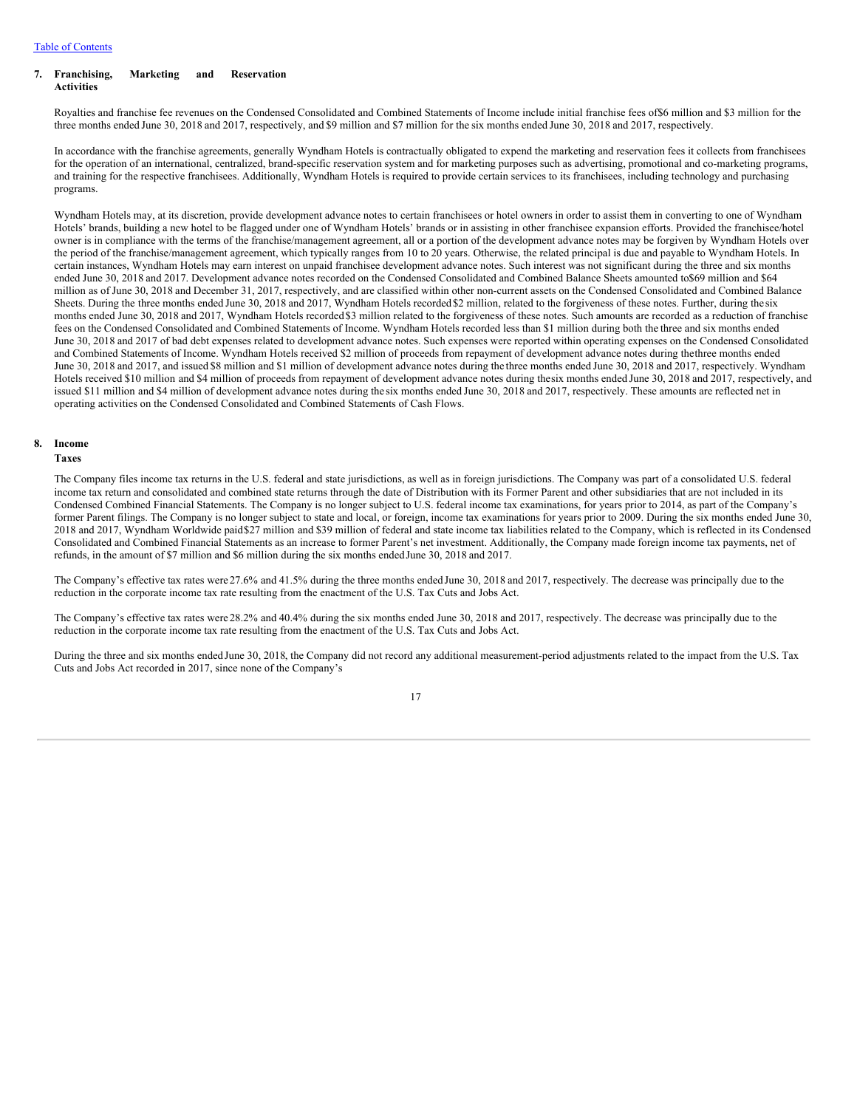### **7. Franchising, Marketing and Reservation Activities**

Royalties and franchise fee revenues on the Condensed Consolidated and Combined Statements of Income include initial franchise fees of\$6 million and \$3 million for the three months ended June 30, 2018 and 2017, respectively, and \$9 million and \$7 million for the six months ended June 30, 2018 and 2017, respectively.

In accordance with the franchise agreements, generally Wyndham Hotels is contractually obligated to expend the marketing and reservation fees it collects from franchisees for the operation of an international, centralized, brand-specific reservation system and for marketing purposes such as advertising, promotional and co-marketing programs, and training for the respective franchisees. Additionally, Wyndham Hotels is required to provide certain services to its franchisees, including technology and purchasing programs.

Wyndham Hotels may, at its discretion, provide development advance notes to certain franchisees or hotel owners in order to assist them in converting to one of Wyndham Hotels' brands, building a new hotel to be flagged under one of Wyndham Hotels' brands or in assisting in other franchisee expansion efforts. Provided the franchisee/hotel owner is in compliance with the terms of the franchise/management agreement, all or a portion of the development advance notes may be forgiven by Wyndham Hotels over the period of the franchise/management agreement, which typically ranges from 10 to 20 years. Otherwise, the related principal is due and payable to Wyndham Hotels. In certain instances, Wyndham Hotels may earn interest on unpaid franchisee development advance notes. Such interest was not significant during the three and six months ended June 30, 2018 and 2017. Development advance notes recorded on the Condensed Consolidated and Combined Balance Sheets amounted to\$69 million and \$64 million as of June 30, 2018 and December 31, 2017, respectively, and are classified within other non-current assets on the Condensed Consolidated and Combined Balance Sheets. During the three months ended June 30, 2018 and 2017, Wyndham Hotels recorded \$2 million, related to the forgiveness of these notes. Further, during the six months ended June 30, 2018 and 2017, Wyndham Hotels recorded \$3 million related to the forgiveness of these notes. Such amounts are recorded as a reduction of franchise fees on the Condensed Consolidated and Combined Statements of Income. Wyndham Hotels recorded less than \$1 million during both the three and six months ended June 30, 2018 and 2017 of bad debt expenses related to development advance notes. Such expenses were reported within operating expenses on the Condensed Consolidated and Combined Statements of Income. Wyndham Hotels received \$2 million of proceeds from repayment of development advance notes during thethree months ended June 30, 2018 and 2017, and issued \$8 million and \$1 million of development advance notes during the three months ended June 30, 2018 and 2017, respectively. Wyndham Hotels received \$10 million and \$4 million of proceeds from repayment of development advance notes during thesix months ended June 30, 2018 and 2017, respectively, and issued \$11 million and \$4 million of development advance notes during the six months ended June 30, 2018 and 2017, respectively. These amounts are reflected net in operating activities on the Condensed Consolidated and Combined Statements of Cash Flows.

# **8. Income**

### **Taxes**

The Company files income tax returns in the U.S. federal and state jurisdictions, as well as in foreign jurisdictions. The Company was part of a consolidated U.S. federal income tax return and consolidated and combined state returns through the date of Distribution with its Former Parent and other subsidiaries that are not included in its Condensed Combined Financial Statements. The Company is no longer subject to U.S. federal income tax examinations, for years prior to 2014, as part of the Company's former Parent filings. The Company is no longer subject to state and local, or foreign, income tax examinations for years prior to 2009. During the six months ended June 30, 2018 and 2017, Wyndham Worldwide paid\$27 million and \$39 million of federal and state income tax liabilities related to the Company, which is reflected in its Condensed Consolidated and Combined Financial Statements as an increase to former Parent's net investment. Additionally, the Company made foreign income tax payments, net of refunds, in the amount of \$7 million and \$6 million during the six months endedJune 30, 2018 and 2017.

The Company's effective tax rates were 27.6% and 41.5% during the three months ended June 30, 2018 and 2017, respectively. The decrease was principally due to the reduction in the corporate income tax rate resulting from the enactment of the U.S. Tax Cuts and Jobs Act.

The Company's effective tax rates were 28.2% and 40.4% during the six months ended June 30, 2018 and 2017, respectively. The decrease was principally due to the reduction in the corporate income tax rate resulting from the enactment of the U.S. Tax Cuts and Jobs Act.

During the three and six months ended June 30, 2018, the Company did not record any additional measurement-period adjustments related to the impact from the U.S. Tax Cuts and Jobs Act recorded in 2017, since none of the Company's

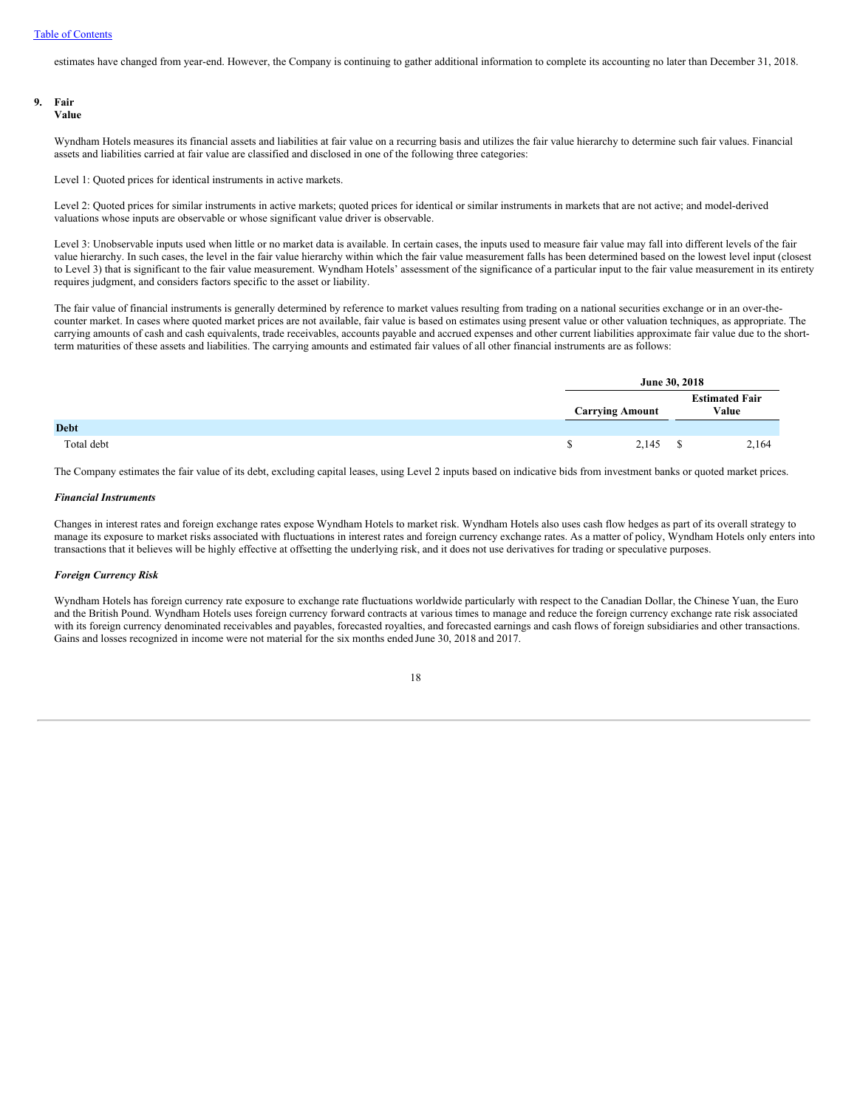estimates have changed from year-end. However, the Company is continuing to gather additional information to complete its accounting no later than December 31, 2018.

# **9. Fair**

# **Value**

Wyndham Hotels measures its financial assets and liabilities at fair value on a recurring basis and utilizes the fair value hierarchy to determine such fair values. Financial assets and liabilities carried at fair value are classified and disclosed in one of the following three categories:

Level 1: Quoted prices for identical instruments in active markets.

Level 2: Quoted prices for similar instruments in active markets; quoted prices for identical or similar instruments in markets that are not active; and model-derived valuations whose inputs are observable or whose significant value driver is observable.

Level 3: Unobservable inputs used when little or no market data is available. In certain cases, the inputs used to measure fair value may fall into different levels of the fair value hierarchy. In such cases, the level in the fair value hierarchy within which the fair value measurement falls has been determined based on the lowest level input (closest to Level 3) that is significant to the fair value measurement. Wyndham Hotels' assessment of the significance of a particular input to the fair value measurement in its entirety requires judgment, and considers factors specific to the asset or liability.

The fair value of financial instruments is generally determined by reference to market values resulting from trading on a national securities exchange or in an over-thecounter market. In cases where quoted market prices are not available, fair value is based on estimates using present value or other valuation techniques, as appropriate. The carrying amounts of cash and cash equivalents, trade receivables, accounts payable and accrued expenses and other current liabilities approximate fair value due to the shortterm maturities of these assets and liabilities. The carrying amounts and estimated fair values of all other financial instruments are as follows:

|             |                        | June 30, 2018 |                                |
|-------------|------------------------|---------------|--------------------------------|
|             | <b>Carrying Amount</b> |               | <b>Estimated Fair</b><br>Value |
| <b>Debt</b> |                        |               |                                |
| Total debt  | 2,145                  | ъ             | 2,164                          |

The Company estimates the fair value of its debt, excluding capital leases, using Level 2 inputs based on indicative bids from investment banks or quoted market prices.

# *Financial Instruments*

Changes in interest rates and foreign exchange rates expose Wyndham Hotels to market risk. Wyndham Hotels also uses cash flow hedges as part of its overall strategy to manage its exposure to market risks associated with fluctuations in interest rates and foreign currency exchange rates. As a matter of policy, Wyndham Hotels only enters into transactions that it believes will be highly effective at offsetting the underlying risk, and it does not use derivatives for trading or speculative purposes.

### *Foreign Currency Risk*

Wyndham Hotels has foreign currency rate exposure to exchange rate fluctuations worldwide particularly with respect to the Canadian Dollar, the Chinese Yuan, the Euro and the British Pound. Wyndham Hotels uses foreign currency forward contracts at various times to manage and reduce the foreign currency exchange rate risk associated with its foreign currency denominated receivables and payables, forecasted royalties, and forecasted earnings and cash flows of foreign subsidiaries and other transactions. Gains and losses recognized in income were not material for the six months ended June 30, 2018 and 2017.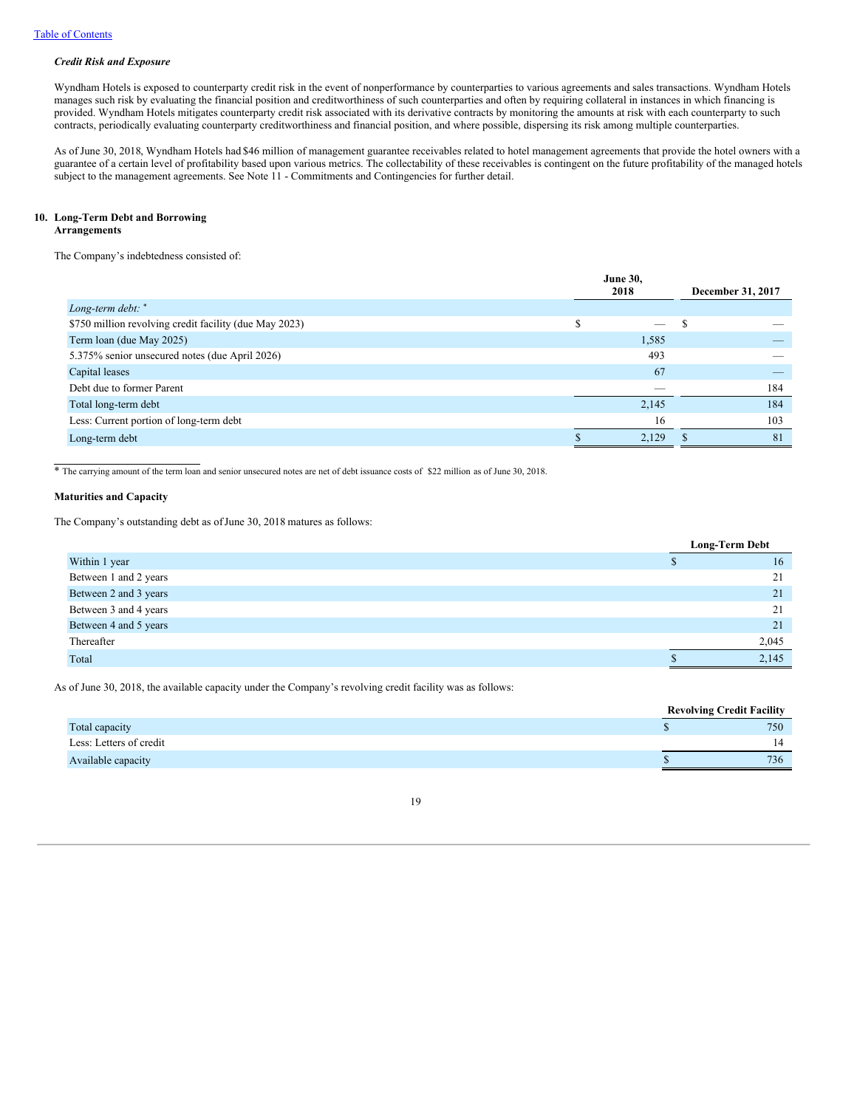# *Credit Risk and Exposure*

Wyndham Hotels is exposed to counterparty credit risk in the event of nonperformance by counterparties to various agreements and sales transactions. Wyndham Hotels manages such risk by evaluating the financial position and creditworthiness of such counterparties and often by requiring collateral in instances in which financing is provided. Wyndham Hotels mitigates counterparty credit risk associated with its derivative contracts by monitoring the amounts at risk with each counterparty to such contracts, periodically evaluating counterparty creditworthiness and financial position, and where possible, dispersing its risk among multiple counterparties.

As of June 30, 2018, Wyndham Hotels had \$46 million of management guarantee receivables related to hotel management agreements that provide the hotel owners with a guarantee of a certain level of profitability based upon various metrics. The collectability of these receivables is contingent on the future profitability of the managed hotels subject to the management agreements. See Note 11 - Commitments and Contingencies for further detail.

# **10. Long-Term Debt and Borrowing**

# **Arrangements**

The Company's indebtedness consisted of:

|                                                        | <b>June 30,</b><br>2018 |       | December 31, 2017 |  |
|--------------------------------------------------------|-------------------------|-------|-------------------|--|
| Long-term debt: *                                      |                         |       |                   |  |
| \$750 million revolving credit facility (due May 2023) |                         | —     |                   |  |
| Term loan (due May 2025)                               |                         | 1,585 |                   |  |
| 5.375% senior unsecured notes (due April 2026)         |                         | 493   |                   |  |
| Capital leases                                         |                         | 67    |                   |  |
| Debt due to former Parent                              |                         |       | 184               |  |
| Total long-term debt                                   |                         | 2,145 | 184               |  |
| Less: Current portion of long-term debt                |                         | 16    | 103               |  |
| Long-term debt                                         |                         | 2.129 | 81                |  |

\* The carrying amount of the term loan and senior unsecured notes are net of debt issuance costs of \$22 million as of June 30, 2018.

### **Maturities and Capacity**

The Company's outstanding debt as of June 30, 2018 matures as follows:

|                       | <b>Long-Term Debt</b> |       |  |  |  |  |
|-----------------------|-----------------------|-------|--|--|--|--|
| Within 1 year         |                       | 16    |  |  |  |  |
| Between 1 and 2 years |                       | 21    |  |  |  |  |
| Between 2 and 3 years |                       | 21    |  |  |  |  |
| Between 3 and 4 years |                       | 21    |  |  |  |  |
| Between 4 and 5 years |                       | 21    |  |  |  |  |
| Thereafter            |                       | 2,045 |  |  |  |  |
| Total                 |                       | 2,145 |  |  |  |  |

As of June 30, 2018, the available capacity under the Company's revolving credit facility was as follows:

|                         | <b>Revolving Credit Facility</b> |
|-------------------------|----------------------------------|
| Total capacity          | 750                              |
| Less: Letters of credit |                                  |
| Available capacity      | 736                              |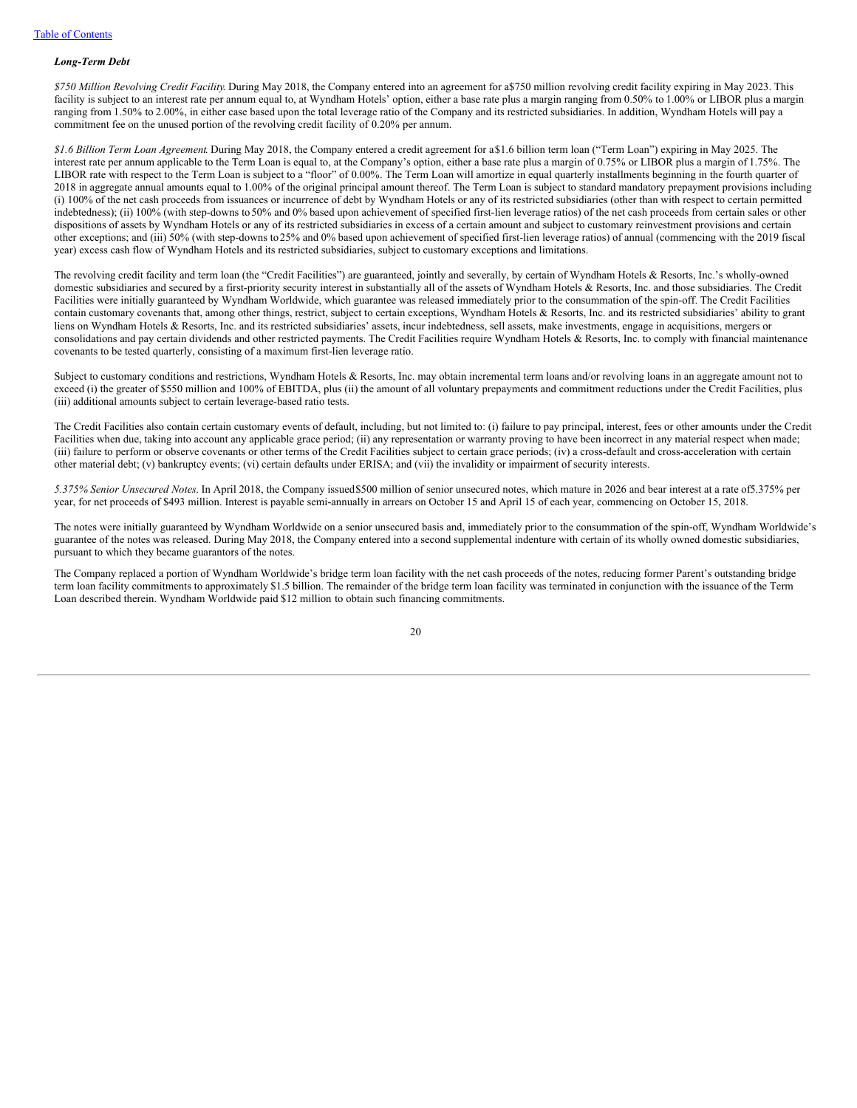#### *Long-Term Debt*

*\$750 Million Revolving Credit Facility*. During May 2018, the Company entered into an agreement for a\$750 million revolving credit facility expiring in May 2023. This facility is subject to an interest rate per annum equal to, at Wyndham Hotels' option, either a base rate plus a margin ranging from 0.50% to 1.00% or LIBOR plus a margin ranging from 1.50% to 2.00%, in either case based upon the total leverage ratio of the Company and its restricted subsidiaries. In addition, Wyndham Hotels will pay a commitment fee on the unused portion of the revolving credit facility of 0.20% per annum.

*\$1.6 Billion Term Loan Agreement*. During May 2018, the Company entered a credit agreement for a\$1.6 billion term loan ("Term Loan") expiring in May 2025. The interest rate per annum applicable to the Term Loan is equal to, at the Company's option, either a base rate plus a margin of 0.75% or LIBOR plus a margin of 1.75%. The LIBOR rate with respect to the Term Loan is subject to a "floor" of 0.00%. The Term Loan will amortize in equal quarterly installments beginning in the fourth quarter of 2018 in aggregate annual amounts equal to 1.00% of the original principal amount thereof. The Term Loan is subject to standard mandatory prepayment provisions including (i) 100% of the net cash proceeds from issuances or incurrence of debt by Wyndham Hotels or any of its restricted subsidiaries (other than with respect to certain permitted indebtedness); (ii) 100% (with step-downs to 50% and 0% based upon achievement of specified first-lien leverage ratios) of the net cash proceeds from certain sales or other dispositions of assets by Wyndham Hotels or any of its restricted subsidiaries in excess of a certain amount and subject to customary reinvestment provisions and certain other exceptions; and (iii) 50% (with step-downs to25% and 0% based upon achievement of specified first-lien leverage ratios) of annual (commencing with the 2019 fiscal year) excess cash flow of Wyndham Hotels and its restricted subsidiaries, subject to customary exceptions and limitations.

The revolving credit facility and term loan (the "Credit Facilities") are guaranteed, jointly and severally, by certain of Wyndham Hotels & Resorts, Inc.'s wholly-owned domestic subsidiaries and secured by a first-priority security interest in substantially all of the assets of Wyndham Hotels & Resorts, Inc. and those subsidiaries. The Credit Facilities were initially guaranteed by Wyndham Worldwide, which guarantee was released immediately prior to the consummation of the spin-off. The Credit Facilities contain customary covenants that, among other things, restrict, subject to certain exceptions, Wyndham Hotels & Resorts, Inc. and its restricted subsidiaries' ability to grant liens on Wyndham Hotels & Resorts, Inc. and its restricted subsidiaries' assets, incur indebtedness, sell assets, make investments, engage in acquisitions, mergers or consolidations and pay certain dividends and other restricted payments. The Credit Facilities require Wyndham Hotels & Resorts, Inc. to comply with financial maintenance covenants to be tested quarterly, consisting of a maximum first-lien leverage ratio.

Subject to customary conditions and restrictions, Wyndham Hotels & Resorts, Inc. may obtain incremental term loans and/or revolving loans in an aggregate amount not to exceed (i) the greater of \$550 million and 100% of EBITDA, plus (ii) the amount of all voluntary prepayments and commitment reductions under the Credit Facilities, plus (iii) additional amounts subject to certain leverage-based ratio tests.

The Credit Facilities also contain certain customary events of default, including, but not limited to: (i) failure to pay principal, interest, fees or other amounts under the Credit Facilities when due, taking into account any applicable grace period; (ii) any representation or warranty proving to have been incorrect in any material respect when made; (iii) failure to perform or observe covenants or other terms of the Credit Facilities subject to certain grace periods; (iv) a cross-default and cross-acceleration with certain other material debt; (v) bankruptcy events; (vi) certain defaults under ERISA; and (vii) the invalidity or impairment of security interests.

*5.375% Senior Unsecured Notes*. In April 2018, the Company issued\$500 million of senior unsecured notes, which mature in 2026 and bear interest at a rate of5.375% per year, for net proceeds of \$493 million. Interest is payable semi-annually in arrears on October 15 and April 15 of each year, commencing on October 15, 2018.

The notes were initially guaranteed by Wyndham Worldwide on a senior unsecured basis and, immediately prior to the consummation of the spin-off, Wyndham Worldwide's guarantee of the notes was released. During May 2018, the Company entered into a second supplemental indenture with certain of its wholly owned domestic subsidiaries, pursuant to which they became guarantors of the notes.

The Company replaced a portion of Wyndham Worldwide's bridge term loan facility with the net cash proceeds of the notes, reducing former Parent's outstanding bridge term loan facility commitments to approximately \$1.5 billion. The remainder of the bridge term loan facility was terminated in conjunction with the issuance of the Term Loan described therein. Wyndham Worldwide paid \$12 million to obtain such financing commitments.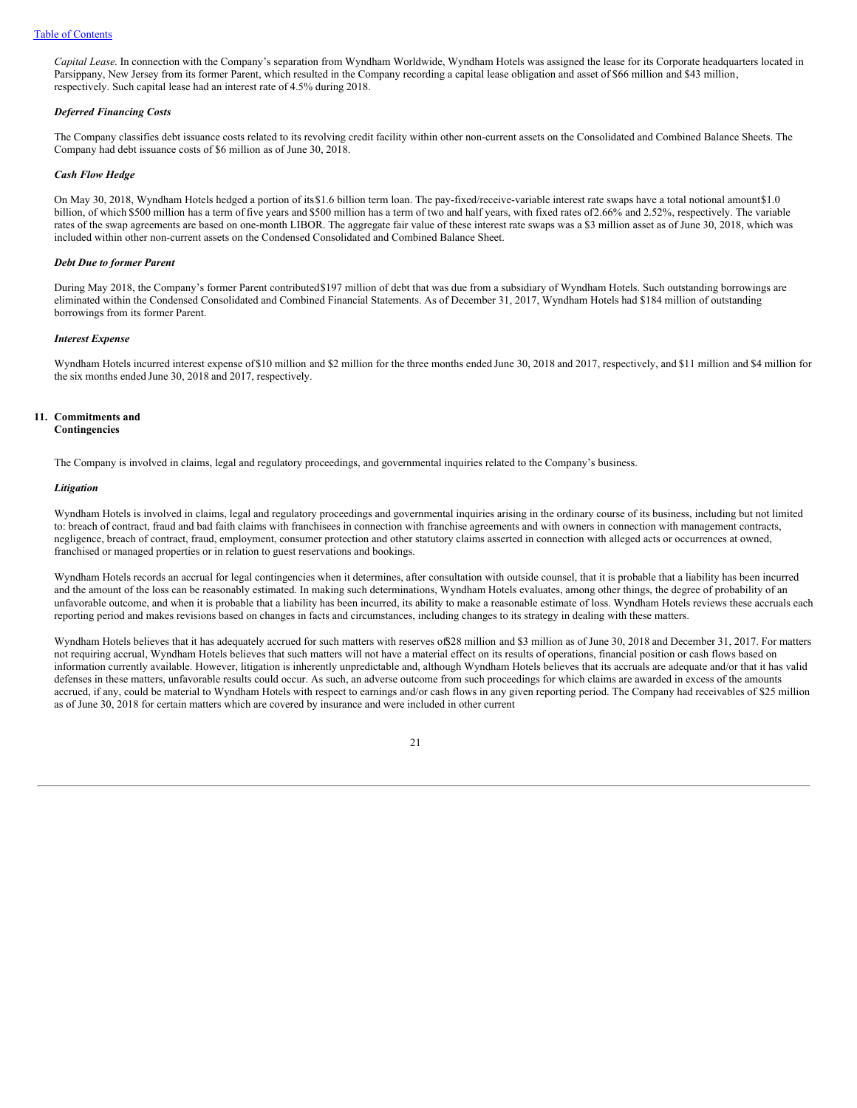*Capital Lease*. In connection with the Company's separation from Wyndham Worldwide, Wyndham Hotels was assigned the lease for its Corporate headquarters located in Parsippany, New Jersey from its former Parent, which resulted in the Company recording a capital lease obligation and asset of \$66 million and \$43 million, respectively. Such capital lease had an interest rate of 4.5% during 2018.

### *Deferred Financing Costs*

The Company classifies debt issuance costs related to its revolving credit facility within other non-current assets on the Consolidated and Combined Balance Sheets. The Company had debt issuance costs of \$6 million as of June 30, 2018.

### *Cash Flow Hedge*

On May 30, 2018, Wyndham Hotels hedged a portion of its\$1.6 billion term loan. The pay-fixed/receive-variable interest rate swaps have a total notional amount\$1.0 billion, of which \$500 million has a term of five years and \$500 million has a term of two and half years, with fixed rates of 2.66% and 2.52%, respectively. The variable rates of the swap agreements are based on one-month LIBOR. The aggregate fair value of these interest rate swaps was a \$3 million asset as of June 30, 2018, which was included within other non-current assets on the Condensed Consolidated and Combined Balance Sheet.

### *Debt Due to former Parent*

During May 2018, the Company's former Parent contributed\$197 million of debt that was due from a subsidiary of Wyndham Hotels. Such outstanding borrowings are eliminated within the Condensed Consolidated and Combined Financial Statements. As of December 31, 2017, Wyndham Hotels had \$184 million of outstanding borrowings from its former Parent.

#### *Interest Expense*

Wyndham Hotels incurred interest expense of\$10 million and \$2 million for the three months ended June 30, 2018 and 2017, respectively, and \$11 million and \$4 million for the six months ended June 30, 2018 and 2017, respectively.

### **11. Commitments and Contingencies**

The Company is involved in claims, legal and regulatory proceedings, and governmental inquiries related to the Company's business.

### *Litigation*

Wyndham Hotels is involved in claims, legal and regulatory proceedings and governmental inquiries arising in the ordinary course of its business, including but not limited to: breach of contract, fraud and bad faith claims with franchisees in connection with franchise agreements and with owners in connection with management contracts, negligence, breach of contract, fraud, employment, consumer protection and other statutory claims asserted in connection with alleged acts or occurrences at owned, franchised or managed properties or in relation to guest reservations and bookings.

Wyndham Hotels records an accrual for legal contingencies when it determines, after consultation with outside counsel, that it is probable that a liability has been incurred and the amount of the loss can be reasonably estimated. In making such determinations, Wyndham Hotels evaluates, among other things, the degree of probability of an unfavorable outcome, and when it is probable that a liability has been incurred, its ability to make a reasonable estimate of loss. Wyndham Hotels reviews these accruals each reporting period and makes revisions based on changes in facts and circumstances, including changes to its strategy in dealing with these matters.

Wyndham Hotels believes that it has adequately accrued for such matters with reserves of \$28 million and \$3 million as of June 30, 2018 and December 31, 2017. For matters not requiring accrual, Wyndham Hotels believes that such matters will not have a material effect on its results of operations, financial position or cash flows based on information currently available. However, litigation is inherently unpredictable and, although Wyndham Hotels believes that its accruals are adequate and/or that it has valid defenses in these matters, unfavorable results could occur. As such, an adverse outcome from such proceedings for which claims are awarded in excess of the amounts accrued, if any, could be material to Wyndham Hotels with respect to earnings and/or cash flows in any given reporting period. The Company had receivables of \$25 million as of June 30, 2018 for certain matters which are covered by insurance and were included in other current

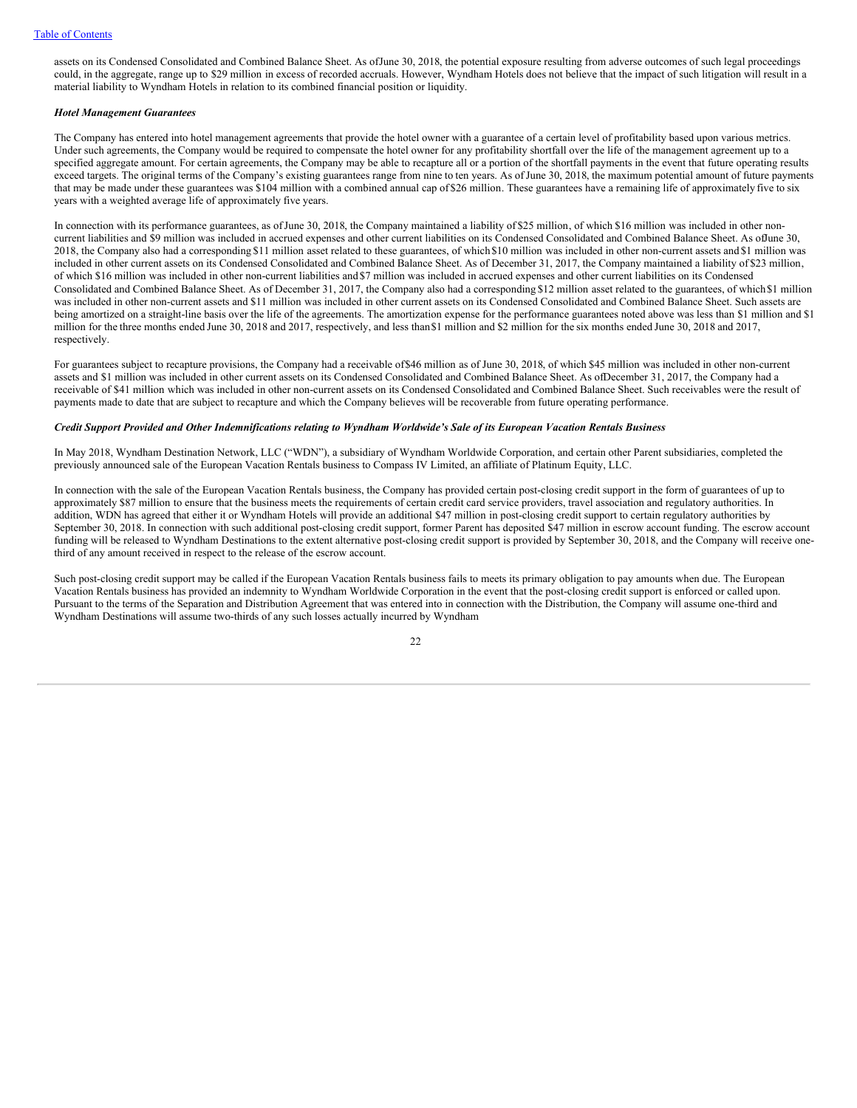assets on its Condensed Consolidated and Combined Balance Sheet. As ofJune 30, 2018, the potential exposure resulting from adverse outcomes of such legal proceedings could, in the aggregate, range up to \$29 million in excess of recorded accruals. However, Wyndham Hotels does not believe that the impact of such litigation will result in a material liability to Wyndham Hotels in relation to its combined financial position or liquidity.

# *Hotel Management Guarantees*

The Company has entered into hotel management agreements that provide the hotel owner with a guarantee of a certain level of profitability based upon various metrics. Under such agreements, the Company would be required to compensate the hotel owner for any profitability shortfall over the life of the management agreement up to a specified aggregate amount. For certain agreements, the Company may be able to recapture all or a portion of the shortfall payments in the event that future operating results exceed targets. The original terms of the Company's existing guarantees range from nine to ten years. As of June 30, 2018, the maximum potential amount of future payments that may be made under these guarantees was \$104 million with a combined annual cap of \$26 million. These guarantees have a remaining life of approximately five to six years with a weighted average life of approximately five years.

In connection with its performance guarantees, as of June 30, 2018, the Company maintained a liability of \$25 million, of which \$16 million was included in other noncurrent liabilities and \$9 million was included in accrued expenses and other current liabilities on its Condensed Consolidated and Combined Balance Sheet. As offune 30, 2018, the Company also had a corresponding \$11 million asset related to these guarantees, of which\$10 million was included in other non-current assets and \$1 million was included in other current assets on its Condensed Consolidated and Combined Balance Sheet. As of December 31, 2017, the Company maintained a liability of \$23 million, of which \$16 million was included in other non-current liabilities and \$7 million was included in accrued expenses and other current liabilities on its Condensed Consolidated and Combined Balance Sheet. As of December 31, 2017, the Company also had a corresponding \$12 million asset related to the guarantees, of which\$1 million was included in other non-current assets and \$11 million was included in other current assets on its Condensed Consolidated and Combined Balance Sheet. Such assets are being amortized on a straight-line basis over the life of the agreements. The amortization expense for the performance guarantees noted above was less than \$1 million and \$1 million for the three months ended June 30, 2018 and 2017, respectively, and less than\$1 million and \$2 million for the six months ended June 30, 2018 and 2017, respectively.

For guarantees subject to recapture provisions, the Company had a receivable of\$46 million as of June 30, 2018, of which \$45 million was included in other non-current assets and \$1 million was included in other current assets on its Condensed Consolidated and Combined Balance Sheet. As ofDecember 31, 2017, the Company had a receivable of \$41 million which was included in other non-current assets on its Condensed Consolidated and Combined Balance Sheet. Such receivables were the result of payments made to date that are subject to recapture and which the Company believes will be recoverable from future operating performance.

#### Credit Support Provided and Other Indemnifications relating to Wyndham Worldwide's Sale of its European Vacation Rentals Business

In May 2018, Wyndham Destination Network, LLC ("WDN"), a subsidiary of Wyndham Worldwide Corporation, and certain other Parent subsidiaries, completed the previously announced sale of the European Vacation Rentals business to Compass IV Limited, an affiliate of Platinum Equity, LLC.

In connection with the sale of the European Vacation Rentals business, the Company has provided certain post-closing credit support in the form of guarantees of up to approximately \$87 million to ensure that the business meets the requirements of certain credit card service providers, travel association and regulatory authorities. In addition, WDN has agreed that either it or Wyndham Hotels will provide an additional \$47 million in post-closing credit support to certain regulatory authorities by September 30, 2018. In connection with such additional post-closing credit support, former Parent has deposited \$47 million in escrow account funding. The escrow account funding will be released to Wyndham Destinations to the extent alternative post-closing credit support is provided by September 30, 2018, and the Company will receive onethird of any amount received in respect to the release of the escrow account.

Such post-closing credit support may be called if the European Vacation Rentals business fails to meets its primary obligation to pay amounts when due. The European Vacation Rentals business has provided an indemnity to Wyndham Worldwide Corporation in the event that the post-closing credit support is enforced or called upon. Pursuant to the terms of the Separation and Distribution Agreement that was entered into in connection with the Distribution, the Company will assume one-third and Wyndham Destinations will assume two-thirds of any such losses actually incurred by Wyndham

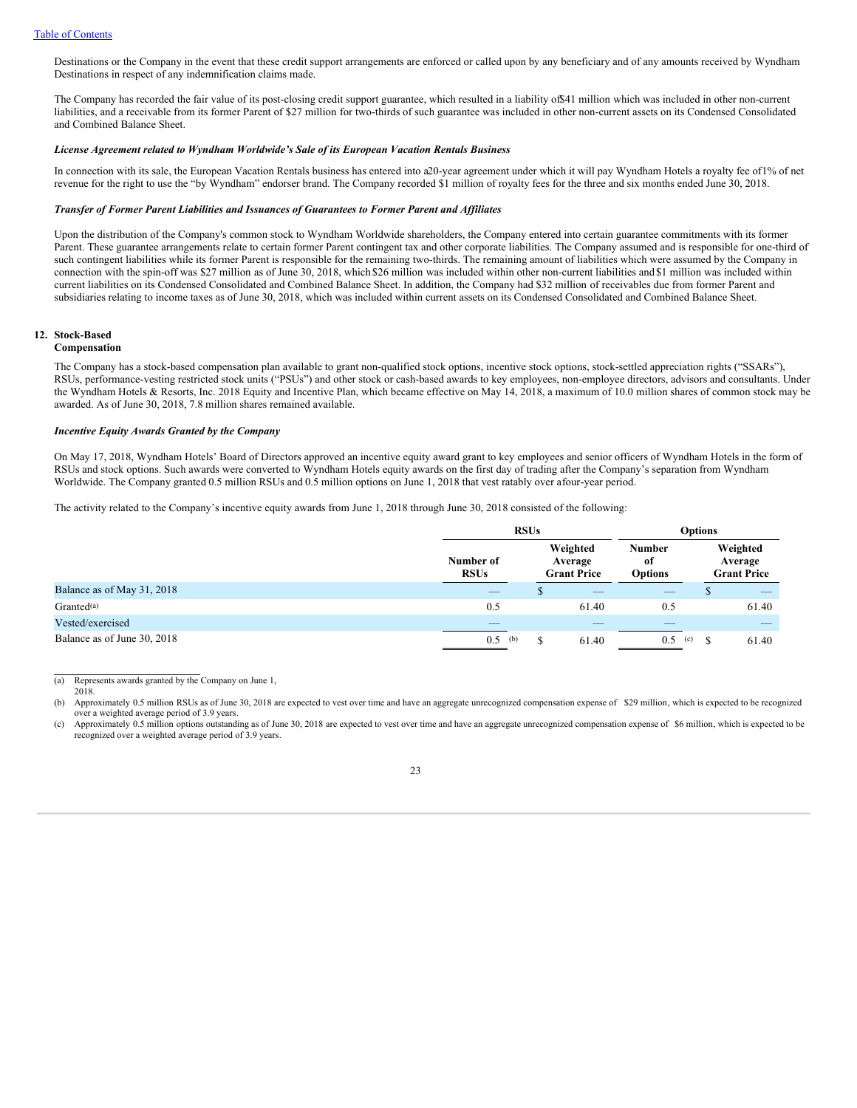Destinations or the Company in the event that these credit support arrangements are enforced or called upon by any beneficiary and of any amounts received by Wyndham Destinations in respect of any indemnification claims made.

The Company has recorded the fair value of its post-closing credit support guarantee, which resulted in a liability of \$41 million which was included in other non-current liabilities, and a receivable from its former Parent of \$27 million for two-thirds of such guarantee was included in other non-current assets on its Condensed Consolidated and Combined Balance Sheet.

#### *License Agreement related to Wyndham Worldwide's Sale of its European Vacation Rentals Business*

In connection with its sale, the European Vacation Rentals business has entered into a20-year agreement under which it will pay Wyndham Hotels a royalty fee of1% of net revenue for the right to use the "by Wyndham" endorser brand. The Company recorded \$1 million of royalty fees for the three and six months ended June 30, 2018.

#### *Transfer of Former Parent Liabilities and Issuances of Guarantees to Former Parent and Af iliates*

Upon the distribution of the Company's common stock to Wyndham Worldwide shareholders, the Company entered into certain guarantee commitments with its former Parent. These guarantee arrangements relate to certain former Parent contingent tax and other corporate liabilities. The Company assumed and is responsible for one-third of such contingent liabilities while its former Parent is responsible for the remaining two-thirds. The remaining amount of liabilities which were assumed by the Company in connection with the spin-off was \$27 million as of June 30, 2018, which \$26 million was included within other non-current liabilities and \$1 million was included within current liabilities on its Condensed Consolidated and Combined Balance Sheet. In addition, the Company had \$32 million of receivables due from former Parent and subsidiaries relating to income taxes as of June 30, 2018, which was included within current assets on its Condensed Consolidated and Combined Balance Sheet.

# **12. Stock-Based**

### **Compensation**

The Company has a stock-based compensation plan available to grant non-qualified stock options, incentive stock options, stock-settled appreciation rights ("SSARs"), RSUs, performance-vesting restricted stock units ("PSUs") and other stock or cash-based awards to key employees, non-employee directors, advisors and consultants. Under the Wyndham Hotels & Resorts, Inc. 2018 Equity and Incentive Plan, which became effective on May 14, 2018, a maximum of 10.0 million shares of common stock may be awarded. As of June 30, 2018, 7.8 million shares remained available.

### *Incentive Equity Awards Granted by the Company*

On May 17, 2018, Wyndham Hotels' Board of Directors approved an incentive equity award grant to key employees and senior officers of Wyndham Hotels in the form of RSUs and stock options. Such awards were converted to Wyndham Hotels equity awards on the first day of trading after the Company's separation from Wyndham Worldwide. The Company granted 0.5 million RSUs and 0.5 million options on June 1, 2018 that vest ratably over afour-year period.

The activity related to the Company's incentive equity awards from June 1, 2018 through June 30, 2018 consisted of the following:

|                             | <b>RSUs</b>              |                                           |       | <b>Options</b>                         |    |                                           |  |
|-----------------------------|--------------------------|-------------------------------------------|-------|----------------------------------------|----|-------------------------------------------|--|
|                             | Number of<br><b>RSUs</b> | Weighted<br>Average<br><b>Grant Price</b> |       | <b>Number</b><br>-of<br><b>Options</b> |    | Weighted<br>Average<br><b>Grant Price</b> |  |
| Balance as of May 31, 2018  | _                        |                                           | _     | _                                      |    |                                           |  |
| Granted <sup>(a)</sup>      | 0.5                      |                                           | 61.40 | 0.5                                    |    | 61.40                                     |  |
| Vested/exercised            | _                        |                                           | _     | _                                      |    |                                           |  |
| Balance as of June 30, 2018 | 0.5<br>(b)               |                                           | 61.40 | 0.5<br>(c)                             | £. | 61.40                                     |  |

(a) Represents awards granted by the Company on June 1, 2018.

(b) Approximately 0.5 million RSUs as of June 30, 2018 are expected to vest over time and have an aggregate unrecognized compensation expense of \$29 million, which is expected to be recognized over a weighted average period of 3.9 years.

(c) Approximately 0.5 million options outstanding as of June 30, 2018 are expected to vest over time and have an aggregate unrecognized compensation expense of \$6 million, which is expected to be recognized over a weighted average period of 3.9 years.

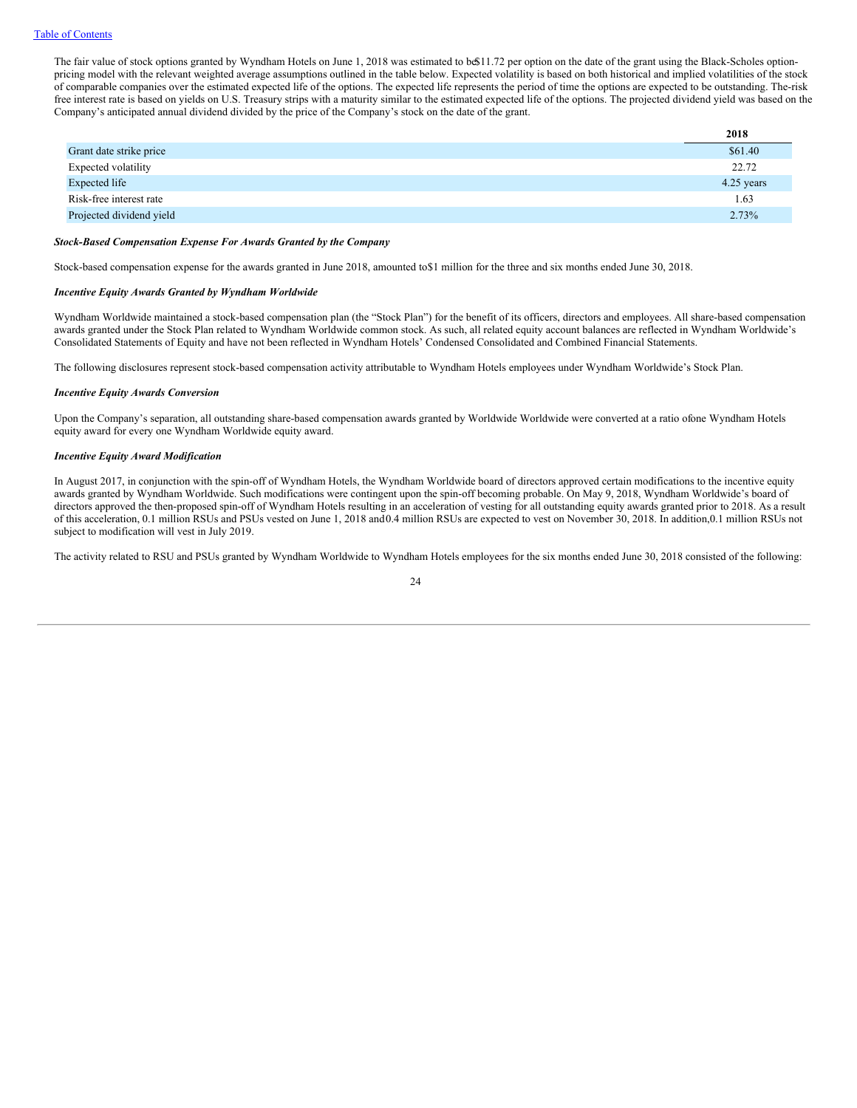The fair value of stock options granted by Wyndham Hotels on June 1, 2018 was estimated to be\$11.72 per option on the date of the grant using the Black-Scholes optionpricing model with the relevant weighted average assumptions outlined in the table below. Expected volatility is based on both historical and implied volatilities of the stock of comparable companies over the estimated expected life of the options. The expected life represents the period of time the options are expected to be outstanding. The-risk free interest rate is based on yields on U.S. Treasury strips with a maturity similar to the estimated expected life of the options. The projected dividend yield was based on the Company's anticipated annual dividend divided by the price of the Company's stock on the date of the grant.

|                          | 2018       |
|--------------------------|------------|
| Grant date strike price  | \$61.40    |
| Expected volatility      | 22.72      |
| Expected life            | 4.25 years |
| Risk-free interest rate  | 1.63       |
| Projected dividend yield | 2.73%      |

#### *Stock-Based Compensation Expense For Awards Granted by the Company*

Stock-based compensation expense for the awards granted in June 2018, amounted to\$1 million for the three and six months ended June 30, 2018.

### *Incentive Equity Awards Granted by Wyndham Worldwide*

Wyndham Worldwide maintained a stock-based compensation plan (the "Stock Plan") for the benefit of its officers, directors and employees. All share-based compensation awards granted under the Stock Plan related to Wyndham Worldwide common stock. As such, all related equity account balances are reflected in Wyndham Worldwide's Consolidated Statements of Equity and have not been reflected in Wyndham Hotels' Condensed Consolidated and Combined Financial Statements.

The following disclosures represent stock-based compensation activity attributable to Wyndham Hotels employees under Wyndham Worldwide's Stock Plan.

#### *Incentive Equity Awards Conversion*

Upon the Company's separation, all outstanding share-based compensation awards granted by Worldwide Worldwide were converted at a ratio ofone Wyndham Hotels equity award for every one Wyndham Worldwide equity award.

### *Incentive Equity Award Modification*

In August 2017, in conjunction with the spin-off of Wyndham Hotels, the Wyndham Worldwide board of directors approved certain modifications to the incentive equity awards granted by Wyndham Worldwide. Such modifications were contingent upon the spin-off becoming probable. On May 9, 2018, Wyndham Worldwide's board of directors approved the then-proposed spin-off of Wyndham Hotels resulting in an acceleration of vesting for all outstanding equity awards granted prior to 2018. As a result of this acceleration, 0.1 million RSUs and PSUs vested on June 1, 2018 and0.4 million RSUs are expected to vest on November 30, 2018. In addition,0.1 million RSUs not subject to modification will vest in July 2019.

The activity related to RSU and PSUs granted by Wyndham Worldwide to Wyndham Hotels employees for the six months ended June 30, 2018 consisted of the following:

24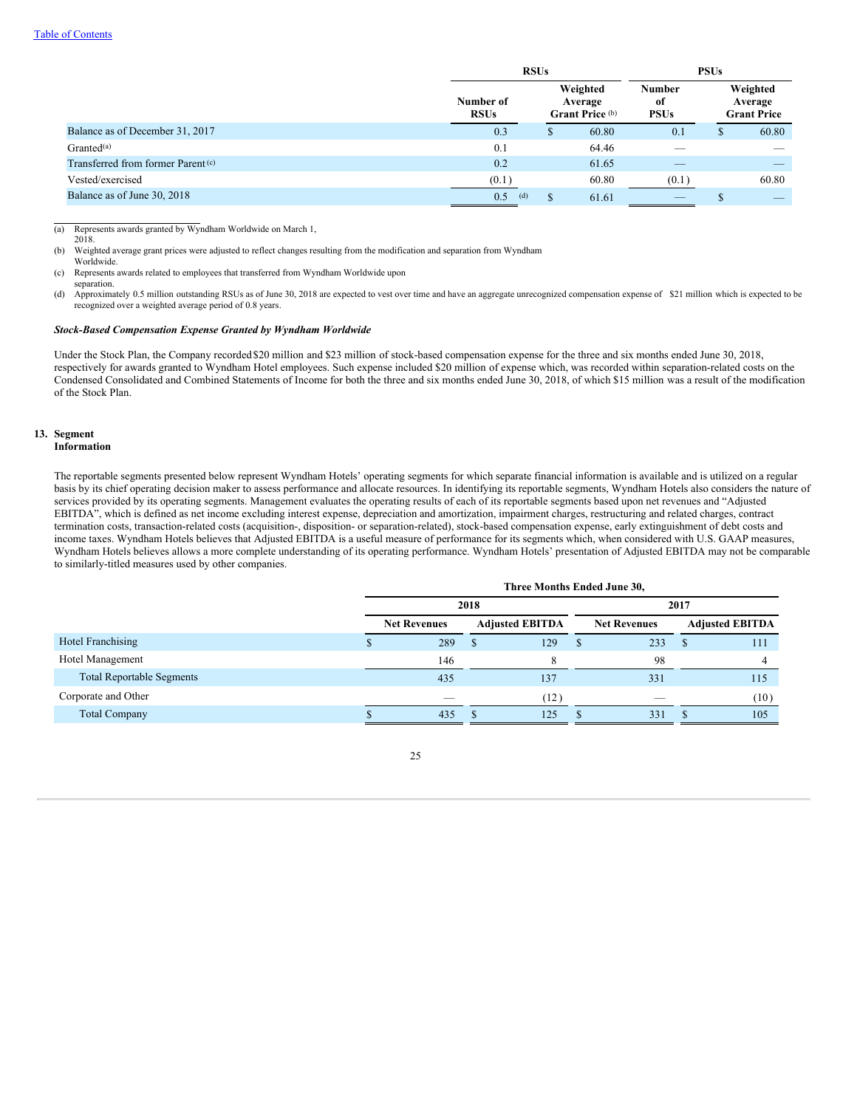|                                               |                          | <b>RSUs</b>                            |       |                                    |                                           |       |
|-----------------------------------------------|--------------------------|----------------------------------------|-------|------------------------------------|-------------------------------------------|-------|
|                                               | Number of<br><b>RSUs</b> | Weighted<br>Average<br>Grant Price (b) |       | <b>Number</b><br>оf<br><b>PSUs</b> | Weighted<br>Average<br><b>Grant Price</b> |       |
| Balance as of December 31, 2017               | 0.3                      | <sup>S</sup>                           | 60.80 | 0.1                                | ۰D                                        | 60.80 |
| Granted <sup>(a)</sup>                        | 0.1                      |                                        | 64.46 |                                    |                                           |       |
| Transferred from former Parent <sup>(c)</sup> | 0.2                      |                                        | 61.65 |                                    |                                           |       |
| Vested/exercised                              | (0.1)                    |                                        | 60.80 | (0.1)                              |                                           | 60.80 |
| Balance as of June 30, 2018                   | 0.5<br>(d)               | S                                      | 61.61 |                                    |                                           |       |

(a) Represents awards granted by Wyndham Worldwide on March 1,

2018.

(b) Weighted average grant prices were adjusted to reflect changes resulting from the modification and separation from Wyndham Worldwide.

(c) Represents awards related to employees that transferred from Wyndham Worldwide upon

separation. (d) Approximately 0.5 million outstanding RSUs as of June 30, 2018 are expected to vest over time and have an aggregate unrecognized compensation expense of \$21 million which is expected to be recognized over a weighted average period of 0.8 years.

### *Stock-Based Compensation Expense Granted by Wyndham Worldwide*

Under the Stock Plan, the Company recorded\$20 million and \$23 million of stock-based compensation expense for the three and six months ended June 30, 2018, respectively for awards granted to Wyndham Hotel employees. Such expense included \$20 million of expense which, was recorded within separation-related costs on the Condensed Consolidated and Combined Statements of Income for both the three and six months ended June 30, 2018, of which \$15 million was a result of the modification of the Stock Plan.

#### **13. Segment Information**

The reportable segments presented below represent Wyndham Hotels' operating segments for which separate financial information is available and is utilized on a regular basis by its chief operating decision maker to assess performance and allocate resources. In identifying its reportable segments, Wyndham Hotels also considers the nature of services provided by its operating segments. Management evaluates the operating results of each of its reportable segments based upon net revenues and "Adjusted EBITDA", which is defined as net income excluding interest expense, depreciation and amortization, impairment charges, restructuring and related charges, contract termination costs, transaction-related costs (acquisition-, disposition- or separation-related), stock-based compensation expense, early extinguishment of debt costs and income taxes. Wyndham Hotels believes that Adjusted EBITDA is a useful measure of performance for its segments which, when considered with U.S. GAAP measures, Wyndham Hotels believes allows a more complete understanding of its operating performance. Wyndham Hotels' presentation of Adjusted EBITDA may not be comparable to similarly-titled measures used by other companies.

|                                  |                                               | Three Months Ended June 30, |  |                     |      |                        |  |      |  |  |  |
|----------------------------------|-----------------------------------------------|-----------------------------|--|---------------------|------|------------------------|--|------|--|--|--|
|                                  |                                               | 2018                        |  |                     | 2017 |                        |  |      |  |  |  |
|                                  | <b>Net Revenues</b><br><b>Adjusted EBITDA</b> |                             |  | <b>Net Revenues</b> |      | <b>Adjusted EBITDA</b> |  |      |  |  |  |
| Hotel Franchising                |                                               | 289                         |  | 129                 | \$   | 233                    |  | 111  |  |  |  |
| Hotel Management                 |                                               | 146                         |  |                     |      | 98                     |  |      |  |  |  |
| <b>Total Reportable Segments</b> |                                               | 435                         |  | 137                 |      | 331                    |  | 115  |  |  |  |
| Corporate and Other              |                                               | _                           |  | (12)                |      | -                      |  | (10) |  |  |  |
| <b>Total Company</b>             |                                               | 435                         |  | 125                 |      | 331                    |  | 105  |  |  |  |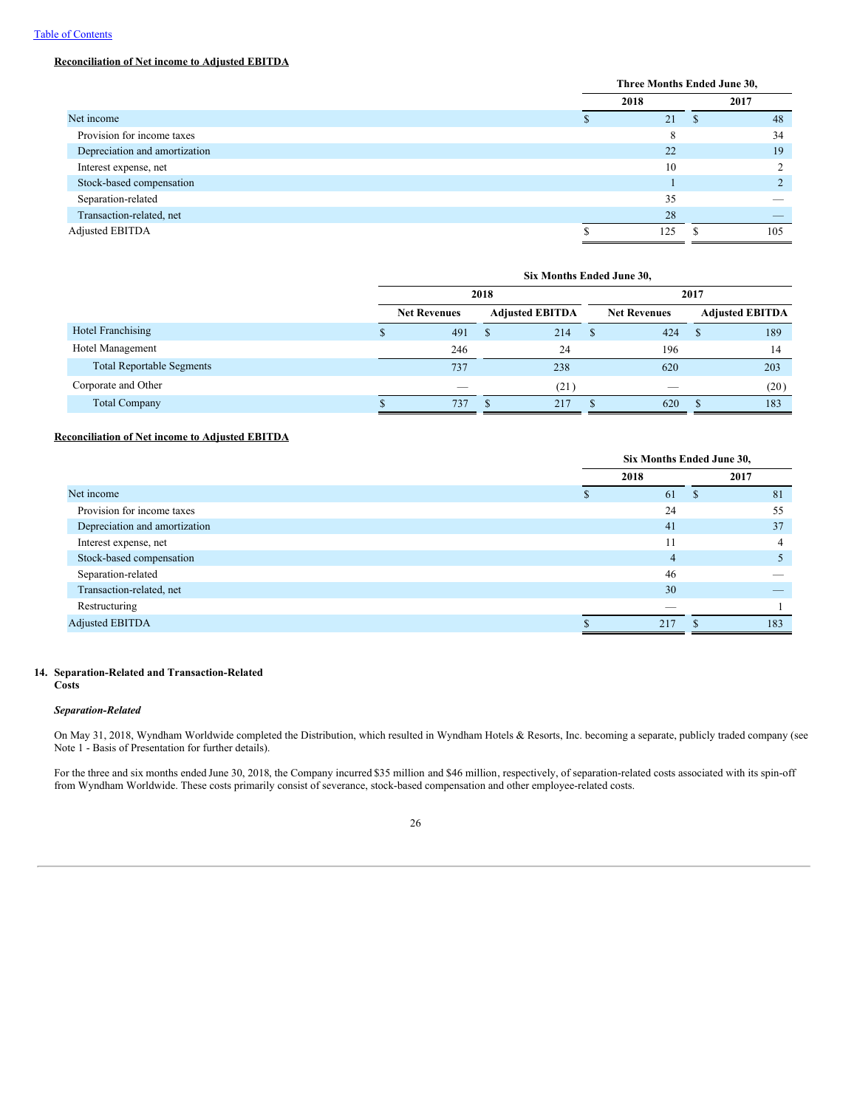# **Reconciliation of Net income to Adjusted EBITDA**

| Three Months Ended June 30, |     |      |      |  |
|-----------------------------|-----|------|------|--|
|                             |     |      | 2017 |  |
|                             | 21  | - 35 | 48   |  |
|                             | 8   |      | 34   |  |
|                             | 22  |      | 19   |  |
|                             | 10  |      | 2    |  |
|                             |     |      |      |  |
|                             | 35  |      |      |  |
|                             | 28  |      |      |  |
|                             | 125 |      | 105  |  |
|                             |     | 2018 |      |  |

|                                  | Six Months Ended June 30,                     |      |                     |                        |   |     |   |      |  |  |
|----------------------------------|-----------------------------------------------|------|---------------------|------------------------|---|-----|---|------|--|--|
|                                  |                                               | 2018 |                     | 2017                   |   |     |   |      |  |  |
|                                  | <b>Net Revenues</b><br><b>Adjusted EBITDA</b> |      | <b>Net Revenues</b> | <b>Adjusted EBITDA</b> |   |     |   |      |  |  |
| Hotel Franchising                | ъ                                             | 491  | S                   | 214                    | S | 424 | S | 189  |  |  |
| Hotel Management                 |                                               | 246  |                     | 24                     |   | 196 |   | 14   |  |  |
| <b>Total Reportable Segments</b> |                                               | 737  |                     | 238                    |   | 620 |   | 203  |  |  |
| Corporate and Other              |                                               | ___  |                     | (21)                   |   | -   |   | (20) |  |  |
| <b>Total Company</b>             |                                               | 737  |                     |                        |   | 620 |   | 183  |  |  |

# **Reconciliation of Net income to Adjusted EBITDA**

|                               | Six Months Ended June 30, |                          |    |     |  |
|-------------------------------|---------------------------|--------------------------|----|-----|--|
|                               | 2018                      |                          |    |     |  |
| Net income                    |                           | 61                       | -S | 81  |  |
| Provision for income taxes    |                           | 24                       |    | 55  |  |
| Depreciation and amortization |                           | 41                       |    | 37  |  |
| Interest expense, net         |                           | 11                       |    | 4   |  |
| Stock-based compensation      |                           | $\overline{4}$           |    |     |  |
| Separation-related            |                           | 46                       |    |     |  |
| Transaction-related, net      |                           | 30                       |    |     |  |
| Restructuring                 |                           | $\overline{\phantom{a}}$ |    |     |  |
| <b>Adjusted EBITDA</b>        |                           | 217                      |    | 183 |  |

# **14. Separation-Related and Transaction-Related**

# **Costs**

# *Separation-Related*

On May 31, 2018, Wyndham Worldwide completed the Distribution, which resulted in Wyndham Hotels & Resorts, Inc. becoming a separate, publicly traded company (see Note 1 - Basis of Presentation for further details).

For the three and six months ended June 30, 2018, the Company incurred \$35 million and \$46 million, respectively, of separation-related costs associated with its spin-off from Wyndham Worldwide. These costs primarily consist of severance, stock-based compensation and other employee-related costs.

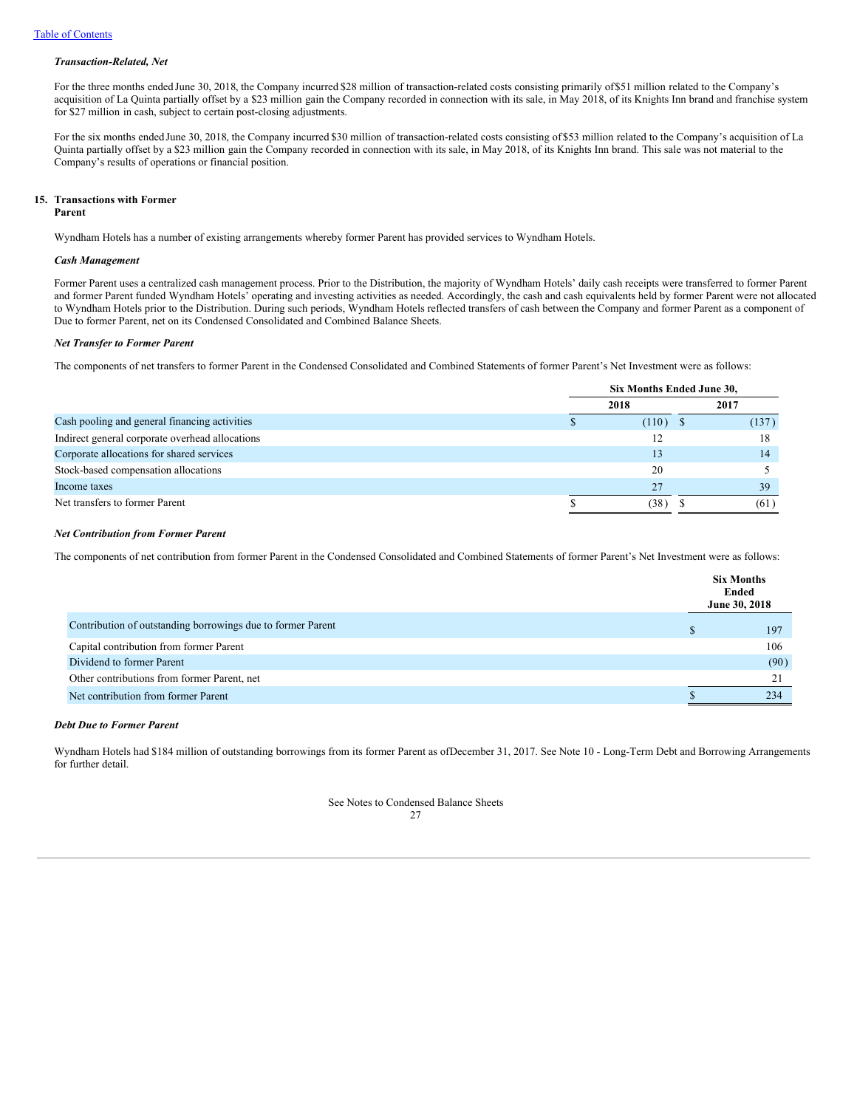### *Transaction-Related, Net*

For the three months ended June 30, 2018, the Company incurred \$28 million of transaction-related costs consisting primarily of\$51 million related to the Company's acquisition of La Quinta partially offset by a \$23 million gain the Company recorded in connection with its sale, in May 2018, of its Knights Inn brand and franchise system for \$27 million in cash, subject to certain post-closing adjustments.

For the six months ended June 30, 2018, the Company incurred \$30 million of transaction-related costs consisting of \$53 million related to the Company's acquisition of La Quinta partially offset by a \$23 million gain the Company recorded in connection with its sale, in May 2018, of its Knights Inn brand. This sale was not material to the Company's results of operations or financial position.

### **15. Transactions with Former**

### **Parent**

Wyndham Hotels has a number of existing arrangements whereby former Parent has provided services to Wyndham Hotels.

### *Cash Management*

Former Parent uses a centralized cash management process. Prior to the Distribution, the majority of Wyndham Hotels' daily cash receipts were transferred to former Parent and former Parent funded Wyndham Hotels' operating and investing activities as needed. Accordingly, the cash and cash equivalents held by former Parent were not allocated to Wyndham Hotels prior to the Distribution. During such periods, Wyndham Hotels reflected transfers of cash between the Company and former Parent as a component of Due to former Parent, net on its Condensed Consolidated and Combined Balance Sheets.

### *Net Transfer to Former Parent*

The components of net transfers to former Parent in the Condensed Consolidated and Combined Statements of former Parent's Net Investment were as follows:

|                                                 | Six Months Ended June 30, |       |  |  |  |
|-------------------------------------------------|---------------------------|-------|--|--|--|
|                                                 | 2018                      | 2017  |  |  |  |
| Cash pooling and general financing activities   | $(110)$ \$                | (137) |  |  |  |
| Indirect general corporate overhead allocations | 12                        | 18    |  |  |  |
| Corporate allocations for shared services       | 13                        | 14    |  |  |  |
| Stock-based compensation allocations            | 20                        |       |  |  |  |
| Income taxes                                    | 27                        | 39    |  |  |  |
| Net transfers to former Parent                  | (38)                      | (61)  |  |  |  |

### *Net Contribution from Former Parent*

The components of net contribution from former Parent in the Condensed Consolidated and Combined Statements of former Parent's Net Investment were as follows:

|                                                             | <b>Six Months</b><br>Ended<br>June 30, 2018 |
|-------------------------------------------------------------|---------------------------------------------|
| Contribution of outstanding borrowings due to former Parent | 197                                         |
| Capital contribution from former Parent                     | 106                                         |
| Dividend to former Parent                                   | (90)                                        |
| Other contributions from former Parent, net                 | 21                                          |
| Net contribution from former Parent                         | 234                                         |

# *Debt Due to Former Parent*

Wyndham Hotels had \$184 million of outstanding borrowings from its former Parent as ofDecember 31, 2017. See Note 10 - Long-Term Debt and Borrowing Arrangements for further detail.

> See Notes to Condensed Balance Sheets  $27$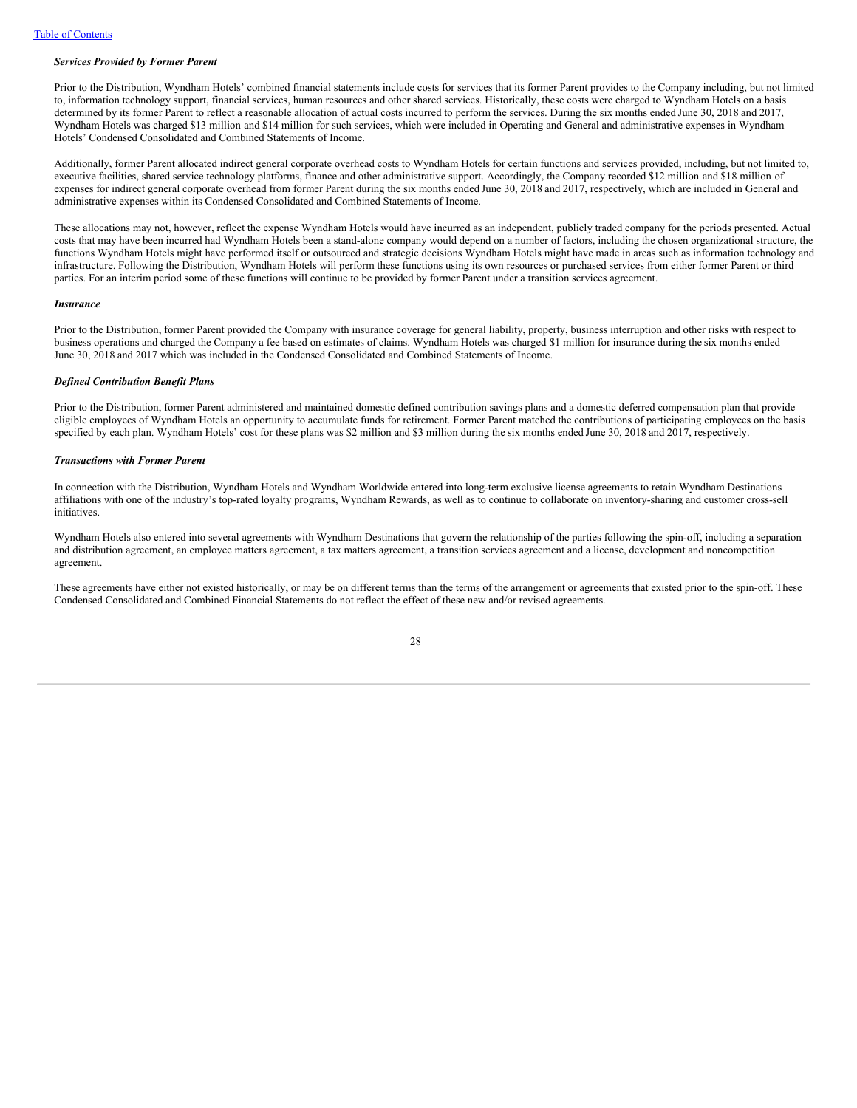### *Services Provided by Former Parent*

Prior to the Distribution, Wyndham Hotels' combined financial statements include costs for services that its former Parent provides to the Company including, but not limited to, information technology support, financial services, human resources and other shared services. Historically, these costs were charged to Wyndham Hotels on a basis determined by its former Parent to reflect a reasonable allocation of actual costs incurred to perform the services. During the six months ended June 30, 2018 and 2017, Wyndham Hotels was charged \$13 million and \$14 million for such services, which were included in Operating and General and administrative expenses in Wyndham Hotels' Condensed Consolidated and Combined Statements of Income.

Additionally, former Parent allocated indirect general corporate overhead costs to Wyndham Hotels for certain functions and services provided, including, but not limited to, executive facilities, shared service technology platforms, finance and other administrative support. Accordingly, the Company recorded \$12 million and \$18 million of expenses for indirect general corporate overhead from former Parent during the six months ended June 30, 2018 and 2017, respectively, which are included in General and administrative expenses within its Condensed Consolidated and Combined Statements of Income.

These allocations may not, however, reflect the expense Wyndham Hotels would have incurred as an independent, publicly traded company for the periods presented. Actual costs that may have been incurred had Wyndham Hotels been a stand-alone company would depend on a number of factors, including the chosen organizational structure, the functions Wyndham Hotels might have performed itself or outsourced and strategic decisions Wyndham Hotels might have made in areas such as information technology and infrastructure. Following the Distribution, Wyndham Hotels will perform these functions using its own resources or purchased services from either former Parent or third parties. For an interim period some of these functions will continue to be provided by former Parent under a transition services agreement.

#### *Insurance*

Prior to the Distribution, former Parent provided the Company with insurance coverage for general liability, property, business interruption and other risks with respect to business operations and charged the Company a fee based on estimates of claims. Wyndham Hotels was charged \$1 million for insurance during the six months ended June 30, 2018 and 2017 which was included in the Condensed Consolidated and Combined Statements of Income.

### *Defined Contribution Benefit Plans*

Prior to the Distribution, former Parent administered and maintained domestic defined contribution savings plans and a domestic deferred compensation plan that provide eligible employees of Wyndham Hotels an opportunity to accumulate funds for retirement. Former Parent matched the contributions of participating employees on the basis specified by each plan. Wyndham Hotels' cost for these plans was \$2 million and \$3 million during the six months ended June 30, 2018 and 2017, respectively.

### *Transactions with Former Parent*

In connection with the Distribution, Wyndham Hotels and Wyndham Worldwide entered into long-term exclusive license agreements to retain Wyndham Destinations affiliations with one of the industry's top-rated loyalty programs, Wyndham Rewards, as well as to continue to collaborate on inventory-sharing and customer cross-sell initiatives.

Wyndham Hotels also entered into several agreements with Wyndham Destinations that govern the relationship of the parties following the spin-off, including a separation and distribution agreement, an employee matters agreement, a tax matters agreement, a transition services agreement and a license, development and noncompetition agreement.

These agreements have either not existed historically, or may be on different terms than the terms of the arrangement or agreements that existed prior to the spin-off. These Condensed Consolidated and Combined Financial Statements do not reflect the effect of these new and/or revised agreements.

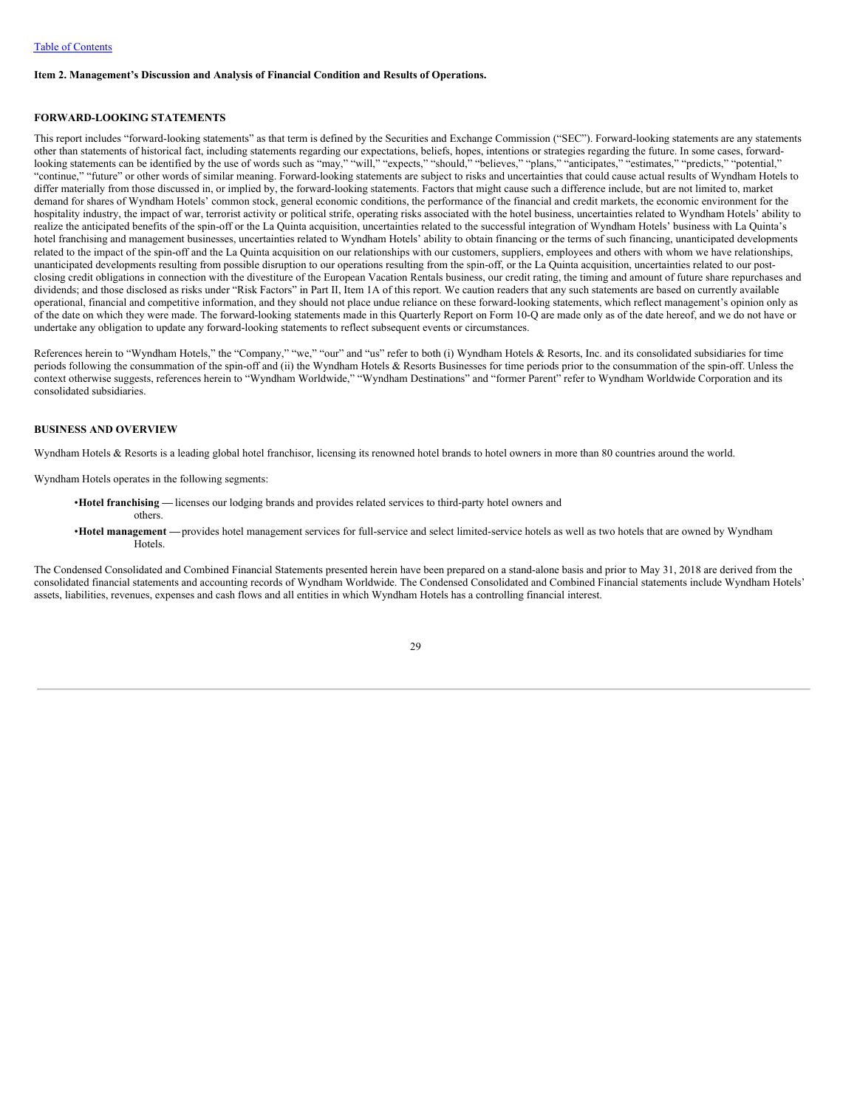### <span id="page-30-0"></span>**Item 2. Management's Discussion and Analysis of Financial Condition and Results of Operations.**

### <span id="page-30-1"></span>**FORWARD-LOOKING STATEMENTS**

This report includes "forward-looking statements" as that term is defined by the Securities and Exchange Commission ("SEC"). Forward-looking statements are any statements other than statements of historical fact, including statements regarding our expectations, beliefs, hopes, intentions or strategies regarding the future. In some cases, forwardlooking statements can be identified by the use of words such as "may," "will," "expects," "should," "believes," "plans," "anticipates," "estimates," "predicts," "potential," "continue," "future" or other words of similar meaning. Forward-looking statements are subject to risks and uncertainties that could cause actual results of Wyndham Hotels to differ materially from those discussed in, or implied by, the forward-looking statements. Factors that might cause such a difference include, but are not limited to, market demand for shares of Wyndham Hotels' common stock, general economic conditions, the performance of the financial and credit markets, the economic environment for the hospitality industry, the impact of war, terrorist activity or political strife, operating risks associated with the hotel business, uncertainties related to Wyndham Hotels' ability to realize the anticipated benefits of the spin-off or the La Quinta acquisition, uncertainties related to the successful integration of Wyndham Hotels' business with La Quinta's hotel franchising and management businesses, uncertainties related to Wyndham Hotels' ability to obtain financing or the terms of such financing, unanticipated developments related to the impact of the spin-off and the La Quinta acquisition on our relationships with our customers, suppliers, employees and others with whom we have relationships, unanticipated developments resulting from possible disruption to our operations resulting from the spin-off, or the La Quinta acquisition, uncertainties related to our postclosing credit obligations in connection with the divestiture of the European Vacation Rentals business, our credit rating, the timing and amount of future share repurchases and dividends; and those disclosed as risks under "Risk Factors" in Part II, Item 1A of this report. We caution readers that any such statements are based on currently available operational, financial and competitive information, and they should not place undue reliance on these forward-looking statements, which reflect management's opinion only as of the date on which they were made. The forward-looking statements made in this Quarterly Report on Form 10-Q are made only as of the date hereof, and we do not have or undertake any obligation to update any forward-looking statements to reflect subsequent events or circumstances.

References herein to "Wyndham Hotels," the "Company," "we," "our" and "us" refer to both (i) Wyndham Hotels & Resorts, Inc. and its consolidated subsidiaries for time periods following the consummation of the spin-off and (ii) the Wyndham Hotels & Resorts Businesses for time periods prior to the consummation of the spin-off. Unless the context otherwise suggests, references herein to "Wyndham Worldwide," "Wyndham Destinations" and "former Parent" refer to Wyndham Worldwide Corporation and its consolidated subsidiaries.

# **BUSINESS AND OVERVIEW**

Wyndham Hotels & Resorts is a leading global hotel franchisor, licensing its renowned hotel brands to hotel owners in more than 80 countries around the world.

Wyndham Hotels operates in the following segments:

**Hotels**.

•**Hotel franchising —** licenses our lodging brands and provides related services to third-party hotel owners and others. •**Hotel management —**provides hotel management services for full-service and select limited-service hotels as well as two hotels that are owned by Wyndham

The Condensed Consolidated and Combined Financial Statements presented herein have been prepared on a stand-alone basis and prior to May 31, 2018 are derived from the consolidated financial statements and accounting records of Wyndham Worldwide. The Condensed Consolidated and Combined Financial statements include Wyndham Hotels' assets, liabilities, revenues, expenses and cash flows and all entities in which Wyndham Hotels has a controlling financial interest.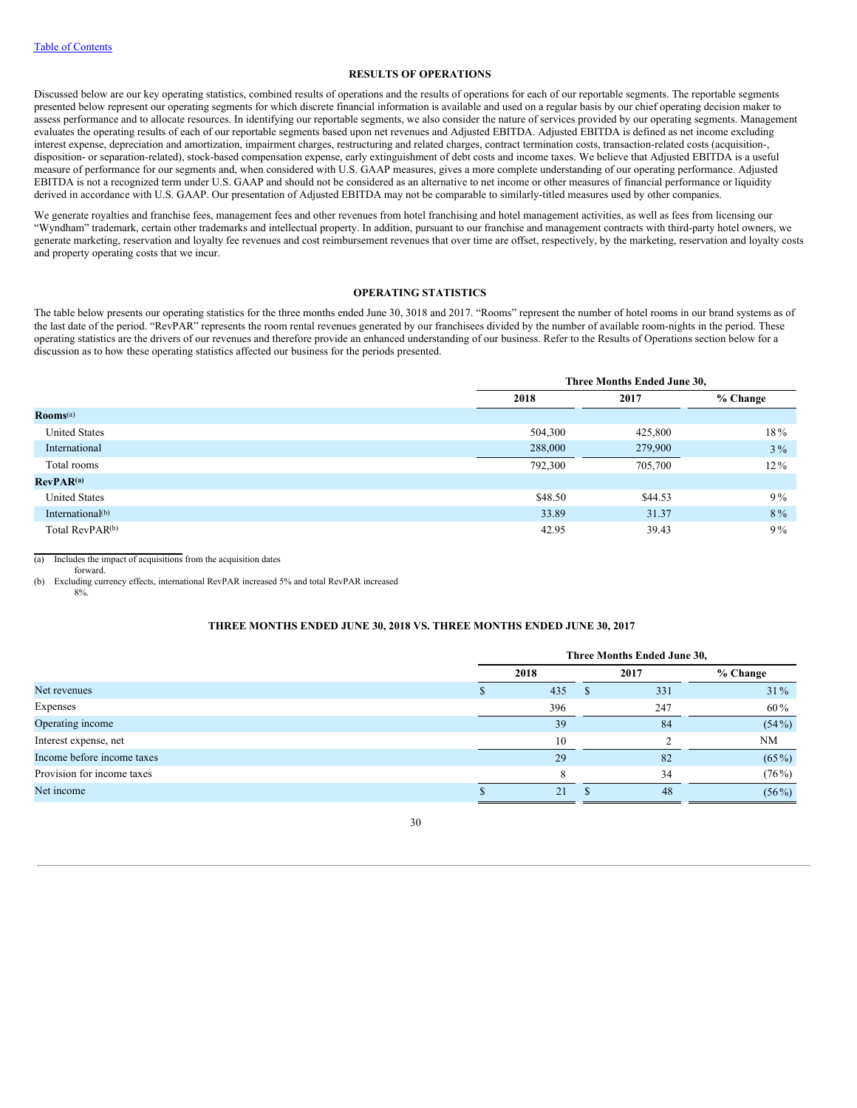# **RESULTS OF OPERATIONS**

Discussed below are our key operating statistics, combined results of operations and the results of operations for each of our reportable segments. The reportable segments presented below represent our operating segments for which discrete financial information is available and used on a regular basis by our chief operating decision maker to assess performance and to allocate resources. In identifying our reportable segments, we also consider the nature of services provided by our operating segments. Management evaluates the operating results of each of our reportable segments based upon net revenues and Adjusted EBITDA. Adjusted EBITDA is defined as net income excluding interest expense, depreciation and amortization, impairment charges, restructuring and related charges, contract termination costs, transaction-related costs (acquisition-, disposition- or separation-related), stock-based compensation expense, early extinguishment of debt costs and income taxes. We believe that Adjusted EBITDA is a useful measure of performance for our segments and, when considered with U.S. GAAP measures, gives a more complete understanding of our operating performance. Adjusted EBITDA is not a recognized term under U.S. GAAP and should not be considered as an alternative to net income or other measures of financial performance or liquidity derived in accordance with U.S. GAAP. Our presentation of Adjusted EBITDA may not be comparable to similarly-titled measures used by other companies.

We generate royalties and franchise fees, management fees and other revenues from hotel franchising and hotel management activities, as well as fees from licensing our "Wyndham" trademark, certain other trademarks and intellectual property. In addition, pursuant to our franchise and management contracts with third-party hotel owners, we generate marketing, reservation and loyalty fee revenues and cost reimbursement revenues that over time are offset, respectively, by the marketing, reservation and loyalty costs and property operating costs that we incur.

# **OPERATING STATISTICS**

The table below presents our operating statistics for the three months ended June 30, 3018 and 2017. "Rooms" represent the number of hotel rooms in our brand systems as of the last date of the period. "RevPAR" represents the room rental revenues generated by our franchisees divided by the number of available room-nights in the period. These operating statistics are the drivers of our revenues and therefore provide an enhanced understanding of our business. Refer to the Results of Operations section below for a discussion as to how these operating statistics affected our business for the periods presented.

|                               |         | Three Months Ended June 30, |            |  |  |  |  |
|-------------------------------|---------|-----------------------------|------------|--|--|--|--|
|                               | 2018    | 2017                        | $%$ Change |  |  |  |  |
| $\mathbf{Rooms}^{\text{(a)}}$ |         |                             |            |  |  |  |  |
| <b>United States</b>          | 504,300 | 425,800                     | 18%        |  |  |  |  |
| International                 | 288,000 | 279,900                     | $3\%$      |  |  |  |  |
| Total rooms                   | 792,300 | 705,700                     | $12\%$     |  |  |  |  |
| RevPAR <sup>(a)</sup>         |         |                             |            |  |  |  |  |
| <b>United States</b>          | \$48.50 | \$44.53                     | $9\%$      |  |  |  |  |
| International <sup>(b)</sup>  | 33.89   | 31.37                       | $8\%$      |  |  |  |  |
| Total RevPAR <sup>(b)</sup>   | 42.95   | 39.43                       | $9\%$      |  |  |  |  |

(a) Includes the impact of acquisitions from the acquisition dates

forward.

(b) Excluding currency effects, international RevPAR increased 5% and total RevPAR increased 8%.

### **THREE MONTHS ENDED JUNE 30, 2018 VS. THREE MONTHS ENDED JUNE 30, 2017**

|                            |      | Three Months Ended June 30, |  |      |            |  |  |  |  |
|----------------------------|------|-----------------------------|--|------|------------|--|--|--|--|
|                            | 2018 |                             |  | 2017 | $%$ Change |  |  |  |  |
| Net revenues               |      | 435                         |  | 331  | $31\%$     |  |  |  |  |
| Expenses                   |      | 396                         |  | 247  | 60%        |  |  |  |  |
| Operating income           |      | 39                          |  | 84   | $(54\%)$   |  |  |  |  |
| Interest expense, net      |      | 10                          |  |      | <b>NM</b>  |  |  |  |  |
| Income before income taxes |      | 29                          |  | 82   | $(65\%)$   |  |  |  |  |
| Provision for income taxes |      | 8                           |  | 34   | $(76\%)$   |  |  |  |  |
| Net income                 |      | 21                          |  | 48   | $(56\%)$   |  |  |  |  |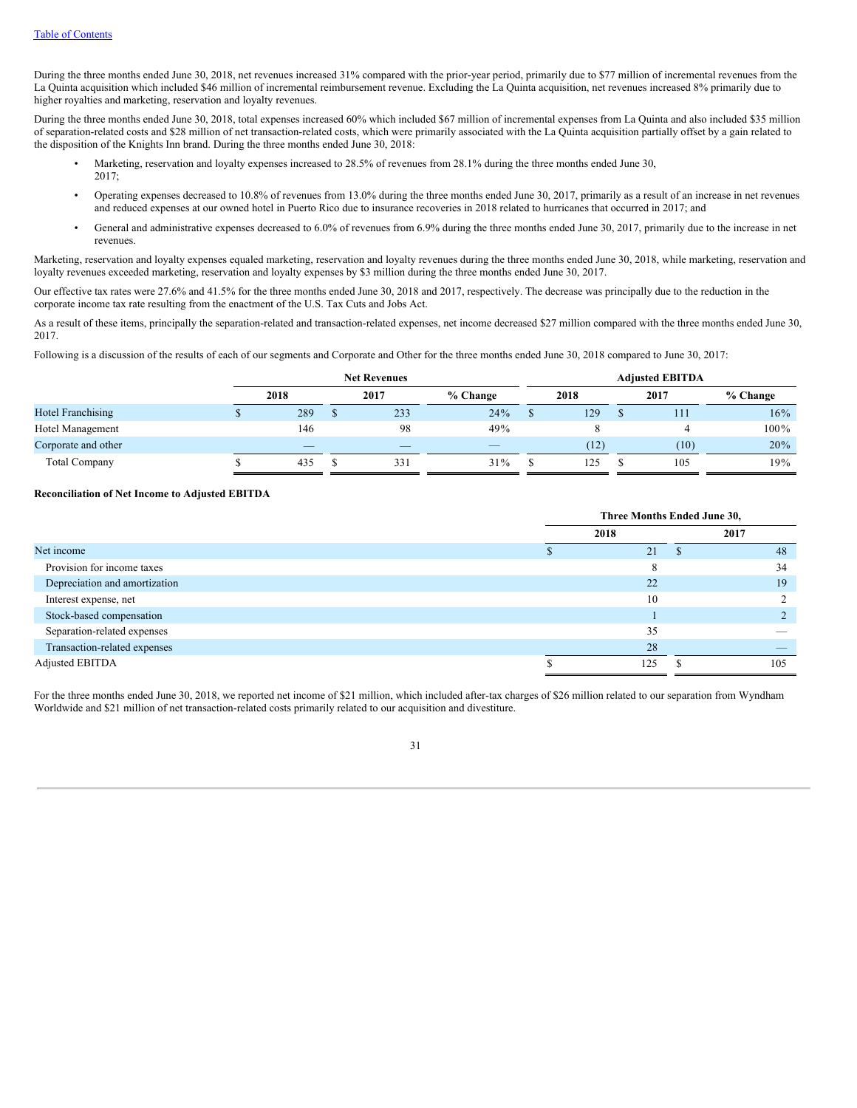During the three months ended June 30, 2018, net revenues increased 31% compared with the prior-year period, primarily due to \$77 million of incremental revenues from the La Quinta acquisition which included \$46 million of incremental reimbursement revenue. Excluding the La Quinta acquisition, net revenues increased 8% primarily due to higher royalties and marketing, reservation and loyalty revenues.

During the three months ended June 30, 2018, total expenses increased 60% which included \$67 million of incremental expenses from La Quinta and also included \$35 million of separation-related costs and \$28 million of net transaction-related costs, which were primarily associated with the La Quinta acquisition partially offset by a gain related to the disposition of the Knights Inn brand. During the three months ended June 30, 2018:

- Marketing, reservation and loyalty expenses increased to 28.5% of revenues from 28.1% during the three months ended June 30, 2017;
- Operating expenses decreased to 10.8% of revenues from 13.0% during the three months ended June 30, 2017, primarily as a result of an increase in net revenues and reduced expenses at our owned hotel in Puerto Rico due to insurance recoveries in 2018 related to hurricanes that occurred in 2017; and
- General and administrative expenses decreased to 6.0% of revenues from 6.9% during the three months ended June 30, 2017, primarily due to the increase in net revenues.

Marketing, reservation and loyalty expenses equaled marketing, reservation and loyalty revenues during the three months ended June 30, 2018, while marketing, reservation and loyalty revenues exceeded marketing, reservation and loyalty expenses by \$3 million during the three months ended June 30, 2017.

Our effective tax rates were 27.6% and 41.5% for the three months ended June 30, 2018 and 2017, respectively. The decrease was principally due to the reduction in the corporate income tax rate resulting from the enactment of the U.S. Tax Cuts and Jobs Act.

As a result of these items, principally the separation-related and transaction-related expenses, net income decreased \$27 million compared with the three months ended June 30, 2017.

Following is a discussion of the results of each of our segments and Corporate and Other for the three months ended June 30, 2018 compared to June 30, 2017:

|                          | <b>Net Revenues</b>      |  |                          |            |      |      | <b>Adjusted EBITDA</b> |        |      |          |
|--------------------------|--------------------------|--|--------------------------|------------|------|------|------------------------|--------|------|----------|
|                          | 2018                     |  | 2017                     | $%$ Change | 2018 |      |                        |        | 2017 | % Change |
| <b>Hotel Franchising</b> | 289                      |  | 233                      | 24%        |      | 129  | 111                    | $16\%$ |      |          |
| Hotel Management         | 146                      |  | 98                       | 49%        |      |      |                        | 100%   |      |          |
| Corporate and other      | $\overline{\phantom{a}}$ |  | $\overline{\phantom{a}}$ | __         |      | (12) | (10)                   | 20%    |      |          |
| <b>Total Company</b>     | 435                      |  | 331                      | 31%        |      | 125  | 105                    | 19%    |      |          |

# **Reconciliation of Net Income to Adjusted EBITDA**

|                               | Three Months Ended June 30, |      |   |      |  |  |
|-------------------------------|-----------------------------|------|---|------|--|--|
|                               |                             | 2018 |   | 2017 |  |  |
| Net income                    |                             | 21   | Ф | 48   |  |  |
| Provision for income taxes    |                             | 8    |   | 34   |  |  |
| Depreciation and amortization |                             | 22   |   | 19   |  |  |
| Interest expense, net         |                             | 10   |   |      |  |  |
| Stock-based compensation      |                             |      |   |      |  |  |
| Separation-related expenses   |                             | 35   |   |      |  |  |
| Transaction-related expenses  |                             | 28   |   |      |  |  |
| Adjusted EBITDA               |                             | 125  |   | 105  |  |  |

For the three months ended June 30, 2018, we reported net income of \$21 million, which included after-tax charges of \$26 million related to our separation from Wyndham Worldwide and \$21 million of net transaction-related costs primarily related to our acquisition and divestiture.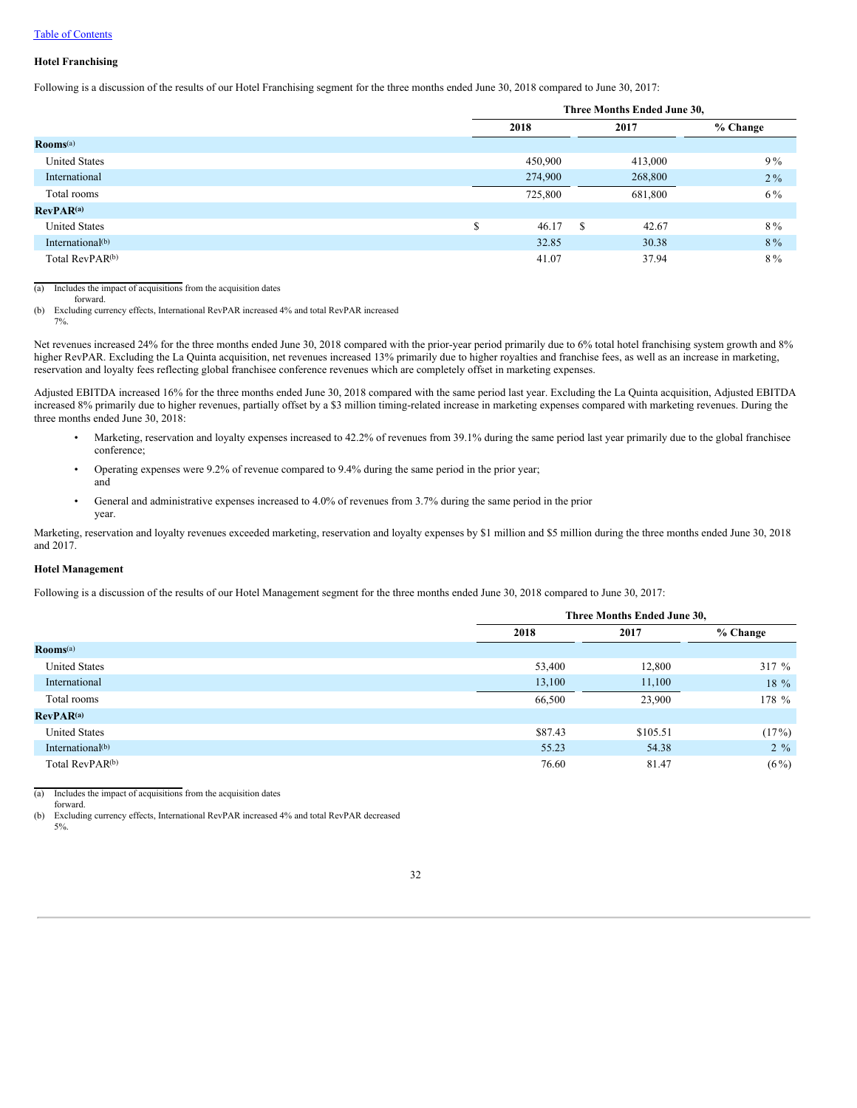# Table of Contents

### **Hotel Franchising**

Following is a discussion of the results of our Hotel Franchising segment for the three months ended June 30, 2018 compared to June 30, 2017:

|                              |   | Three Months Ended June 30, |                        |            |  |  |  |
|------------------------------|---|-----------------------------|------------------------|------------|--|--|--|
|                              |   | 2018                        | 2017                   | $%$ Change |  |  |  |
| Rooms <sup>(a)</sup>         |   |                             |                        |            |  |  |  |
| <b>United States</b>         |   | 450,900                     | 413,000                | $9\%$      |  |  |  |
| International                |   | 274,900                     | 268,800                | $2\%$      |  |  |  |
| Total rooms                  |   | 725,800                     | 681,800                | 6 %        |  |  |  |
| RevPAR <sup>(a)</sup>        |   |                             |                        |            |  |  |  |
| <b>United States</b>         | ¢ | 46.17                       | 42.67<br><sup>\$</sup> | $8\%$      |  |  |  |
| International <sup>(b)</sup> |   | 32.85                       | 30.38                  | 8 %        |  |  |  |
| Total RevPAR <sup>(b)</sup>  |   | 41.07                       | 37.94                  | 8%         |  |  |  |

(a) Includes the impact of acquisitions from the acquisition dates

forward.

(b) Excluding currency effects, International RevPAR increased 4% and total RevPAR increased

7%.

Net revenues increased 24% for the three months ended June 30, 2018 compared with the prior-year period primarily due to 6% total hotel franchising system growth and 8% higher RevPAR. Excluding the La Quinta acquisition, net revenues increased 13% primarily due to higher royalties and franchise fees, as well as an increase in marketing, reservation and loyalty fees reflecting global franchisee conference revenues which are completely offset in marketing expenses.

Adjusted EBITDA increased 16% for the three months ended June 30, 2018 compared with the same period last year. Excluding the La Quinta acquisition, Adjusted EBITDA increased 8% primarily due to higher revenues, partially offset by a \$3 million timing-related increase in marketing expenses compared with marketing revenues. During the three months ended June 30, 2018:

- Marketing, reservation and loyalty expenses increased to 42.2% of revenues from 39.1% during the same period last year primarily due to the global franchisee conference;
- Operating expenses were 9.2% of revenue compared to 9.4% during the same period in the prior year; and
- General and administrative expenses increased to 4.0% of revenues from 3.7% during the same period in the prior year.

Marketing, reservation and loyalty revenues exceeded marketing, reservation and loyalty expenses by \$1 million and \$5 million during the three months ended June 30, 2018 and 2017.

# **Hotel Management**

Following is a discussion of the results of our Hotel Management segment for the three months ended June 30, 2018 compared to June 30, 2017:

|                               |         | Three Months Ended June 30, |            |  |  |  |
|-------------------------------|---------|-----------------------------|------------|--|--|--|
|                               | 2018    | 2017                        | $%$ Change |  |  |  |
| $\mathbf{Rooms}^{\text{(a)}}$ |         |                             |            |  |  |  |
| <b>United States</b>          | 53,400  | 12,800                      | $317 \%$   |  |  |  |
| International                 | 13,100  | 11,100                      | $18\%$     |  |  |  |
| Total rooms                   | 66,500  | 23,900                      | 178 %      |  |  |  |
| RevPAR <sup>(a)</sup>         |         |                             |            |  |  |  |
| <b>United States</b>          | \$87.43 | \$105.51                    | (17%)      |  |  |  |
| International <sup>(b)</sup>  | 55.23   | 54.38                       | $2\%$      |  |  |  |
| Total RevPAR <sup>(b)</sup>   | 76.60   | 81.47                       | $(6\%)$    |  |  |  |

(a) Includes the impact of acquisitions from the acquisition dates

forward.

(b) Excluding currency effects, International RevPAR increased 4% and total RevPAR decreased

5%.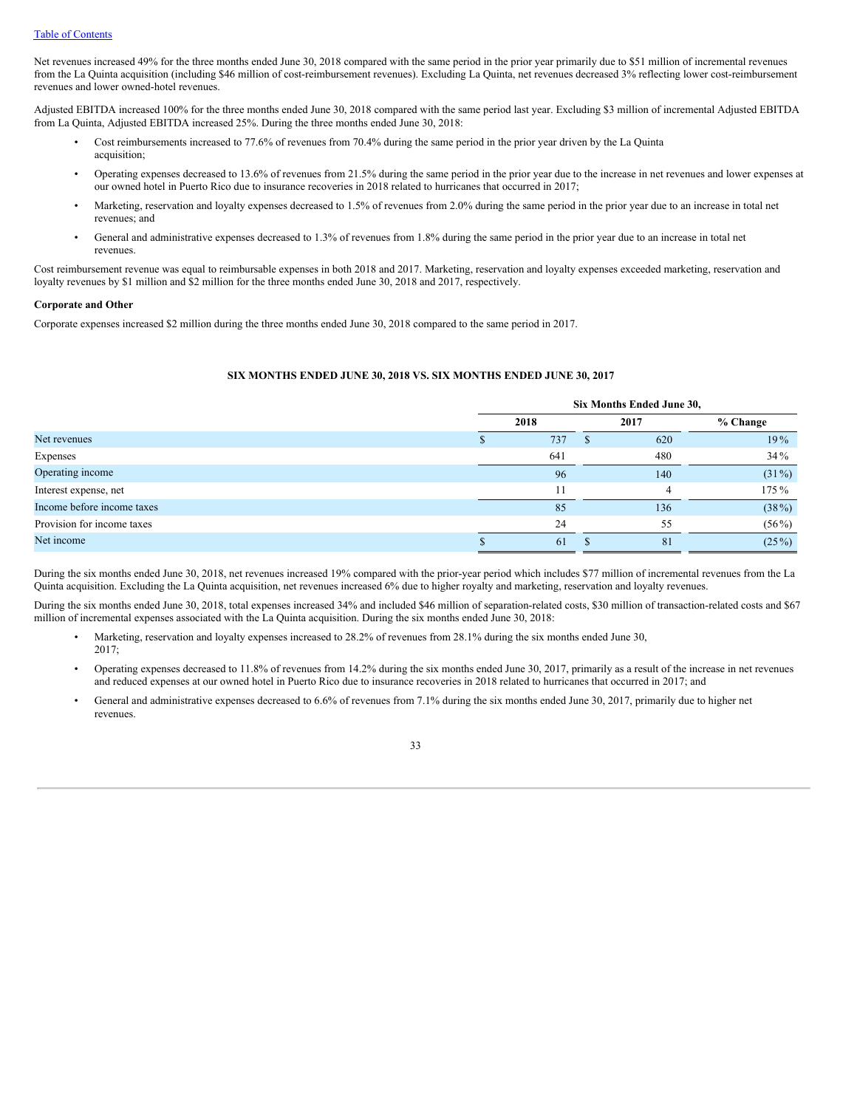Net revenues increased 49% for the three months ended June 30, 2018 compared with the same period in the prior year primarily due to \$51 million of incremental revenues from the La Quinta acquisition (including \$46 million of cost-reimbursement revenues). Excluding La Quinta, net revenues decreased 3% reflecting lower cost-reimbursement revenues and lower owned-hotel revenues.

Adjusted EBITDA increased 100% for the three months ended June 30, 2018 compared with the same period last year. Excluding \$3 million of incremental Adjusted EBITDA from La Quinta, Adjusted EBITDA increased 25%. During the three months ended June 30, 2018:

- Cost reimbursements increased to 77.6% of revenues from 70.4% during the same period in the prior year driven by the La Quinta acquisition;
- Operating expenses decreased to 13.6% of revenues from 21.5% during the same period in the prior year due to the increase in net revenues and lower expenses at our owned hotel in Puerto Rico due to insurance recoveries in 2018 related to hurricanes that occurred in 2017;
- Marketing, reservation and loyalty expenses decreased to 1.5% of revenues from 2.0% during the same period in the prior year due to an increase in total net revenues; and
- General and administrative expenses decreased to 1.3% of revenues from 1.8% during the same period in the prior year due to an increase in total net revenues.

Cost reimbursement revenue was equal to reimbursable expenses in both 2018 and 2017. Marketing, reservation and loyalty expenses exceeded marketing, reservation and loyalty revenues by \$1 million and \$2 million for the three months ended June 30, 2018 and 2017, respectively.

### **Corporate and Other**

Corporate expenses increased \$2 million during the three months ended June 30, 2018 compared to the same period in 2017.

# **SIX MONTHS ENDED JUNE 30, 2018 VS. SIX MONTHS ENDED JUNE 30, 2017**

|                            | Six Months Ended June 30, |      |              |      |            |  |  |
|----------------------------|---------------------------|------|--------------|------|------------|--|--|
|                            |                           | 2018 |              | 2017 | $%$ Change |  |  |
| Net revenues               |                           | 737  | <sup>S</sup> | 620  | 19%        |  |  |
| Expenses                   |                           | 641  |              | 480  | 34%        |  |  |
| Operating income           |                           | 96   |              | 140  | $(31\%)$   |  |  |
| Interest expense, net      |                           | 11   |              | 4    | 175 %      |  |  |
| Income before income taxes |                           | 85   |              | 136  | $(38\%)$   |  |  |
| Provision for income taxes |                           | 24   |              | 55   | $(56\%)$   |  |  |
| Net income                 |                           | 61   |              | 81   | $(25\%)$   |  |  |

During the six months ended June 30, 2018, net revenues increased 19% compared with the prior-year period which includes \$77 million of incremental revenues from the La Quinta acquisition. Excluding the La Quinta acquisition, net revenues increased 6% due to higher royalty and marketing, reservation and loyalty revenues.

During the six months ended June 30, 2018, total expenses increased 34% and included \$46 million of separation-related costs, \$30 million of transaction-related costs and \$67 million of incremental expenses associated with the La Quinta acquisition. During the six months ended June 30, 2018:

- Marketing, reservation and loyalty expenses increased to 28.2% of revenues from 28.1% during the six months ended June 30, 2017;
- Operating expenses decreased to 11.8% of revenues from 14.2% during the six months ended June 30, 2017, primarily as a result of the increase in net revenues and reduced expenses at our owned hotel in Puerto Rico due to insurance recoveries in 2018 related to hurricanes that occurred in 2017; and
- General and administrative expenses decreased to 6.6% of revenues from 7.1% during the six months ended June 30, 2017, primarily due to higher net revenues.

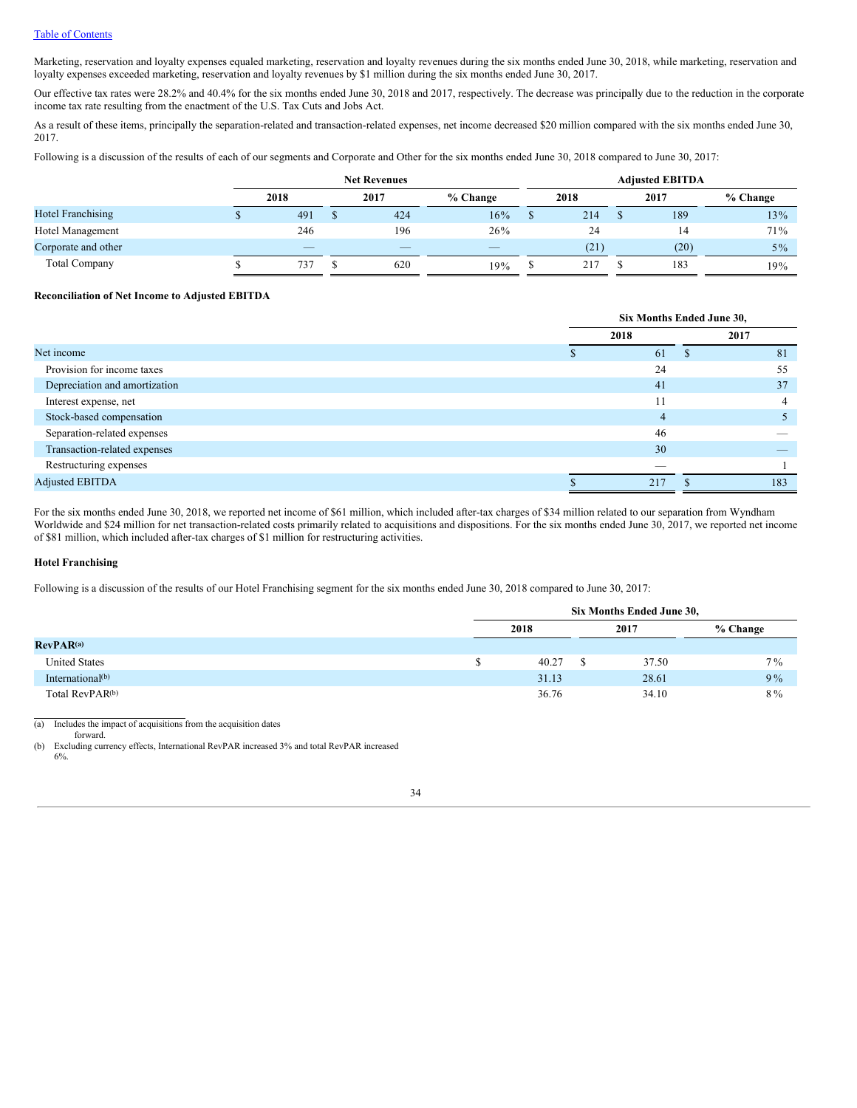# Table of Contents

Marketing, reservation and loyalty expenses equaled marketing, reservation and loyalty revenues during the six months ended June 30, 2018, while marketing, reservation and loyalty expenses exceeded marketing, reservation and loyalty revenues by \$1 million during the six months ended June 30, 2017.

Our effective tax rates were 28.2% and 40.4% for the six months ended June 30, 2018 and 2017, respectively. The decrease was principally due to the reduction in the corporate income tax rate resulting from the enactment of the U.S. Tax Cuts and Jobs Act.

As a result of these items, principally the separation-related and transaction-related expenses, net income decreased \$20 million compared with the six months ended June 30, 2017.

Following is a discussion of the results of each of our segments and Corporate and Other for the six months ended June 30, 2018 compared to June 30, 2017:

|                          | <b>Net Revenues</b> |      |  |                          |            | <b>Adjusted EBITDA</b> |      |  |      |            |
|--------------------------|---------------------|------|--|--------------------------|------------|------------------------|------|--|------|------------|
|                          |                     | 2018 |  | 2017                     | $%$ Change |                        | 2018 |  | 2017 | $%$ Change |
| <b>Hotel Franchising</b> |                     | 491  |  | 424                      | 16%        |                        | 214  |  | 189  | 13%        |
| Hotel Management         |                     | 246  |  | 196                      | 26%        |                        | 24   |  | 14   | 71%        |
| Corporate and other      |                     | $-$  |  | $\overline{\phantom{a}}$ | $-$        |                        | (21) |  | (20) | $5\%$      |
| <b>Total Company</b>     |                     | 737  |  | 620                      | 19%        |                        | 217  |  | 183  | 19%        |

### **Reconciliation of Net Income to Adjusted EBITDA**

|                               | Six Months Ended June 30,<br>2018<br>2017<br>61<br><b>S</b><br>24<br>41<br>11<br>4 |  |     |  |  |
|-------------------------------|------------------------------------------------------------------------------------|--|-----|--|--|
|                               |                                                                                    |  |     |  |  |
| Net income                    |                                                                                    |  | 81  |  |  |
| Provision for income taxes    |                                                                                    |  | 55  |  |  |
| Depreciation and amortization |                                                                                    |  | 37  |  |  |
| Interest expense, net         |                                                                                    |  | 4   |  |  |
| Stock-based compensation      |                                                                                    |  |     |  |  |
| Separation-related expenses   | 46                                                                                 |  |     |  |  |
| Transaction-related expenses  | 30                                                                                 |  |     |  |  |
| Restructuring expenses        | ___                                                                                |  |     |  |  |
| <b>Adjusted EBITDA</b>        | 217                                                                                |  | 183 |  |  |
|                               |                                                                                    |  |     |  |  |

For the six months ended June 30, 2018, we reported net income of \$61 million, which included after-tax charges of \$34 million related to our separation from Wyndham Worldwide and \$24 million for net transaction-related costs primarily related to acquisitions and dispositions. For the six months ended June 30, 2017, we reported net income of \$81 million, which included after-tax charges of \$1 million for restructuring activities.

### **Hotel Franchising**

6%.

Following is a discussion of the results of our Hotel Franchising segment for the six months ended June 30, 2018 compared to June 30, 2017:

|                             | Six Months Ended June 30, |       |  |       |          |  |  |
|-----------------------------|---------------------------|-------|--|-------|----------|--|--|
|                             | 2018<br>2017              |       |  |       | % Change |  |  |
| RevPAR <sup>(a)</sup>       |                           |       |  |       |          |  |  |
| <b>United States</b>        |                           | 40.27 |  | 37.50 | $7\%$    |  |  |
| International $(b)$         |                           | 31.13 |  | 28.61 | 9%       |  |  |
| Total RevPAR <sup>(b)</sup> |                           | 36.76 |  | 34.10 | $8\%$    |  |  |

(a) Includes the impact of acquisitions from the acquisition dates

forward. (b) Excluding currency effects, International RevPAR increased 3% and total RevPAR increased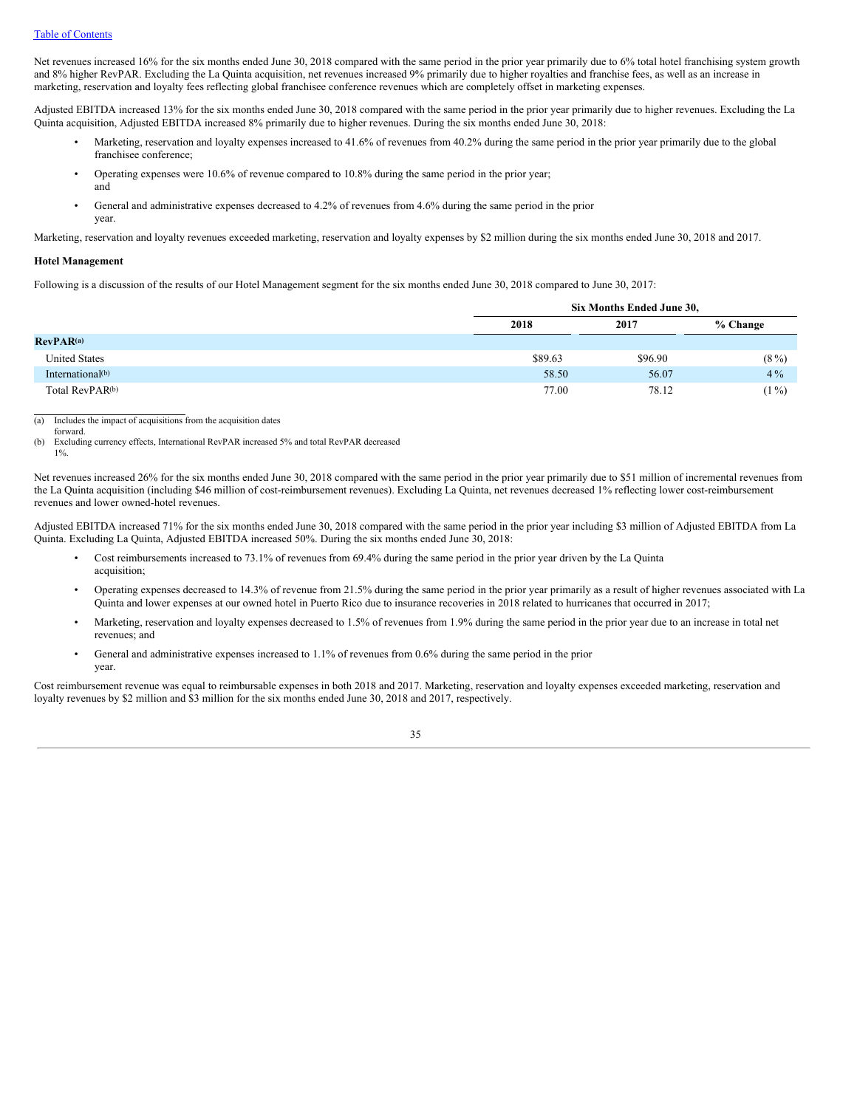Net revenues increased 16% for the six months ended June 30, 2018 compared with the same period in the prior year primarily due to 6% total hotel franchising system growth and 8% higher RevPAR. Excluding the La Quinta acquisition, net revenues increased 9% primarily due to higher royalties and franchise fees, as well as an increase in marketing, reservation and loyalty fees reflecting global franchisee conference revenues which are completely offset in marketing expenses.

Adjusted EBITDA increased 13% for the six months ended June 30, 2018 compared with the same period in the prior year primarily due to higher revenues. Excluding the La Quinta acquisition, Adjusted EBITDA increased 8% primarily due to higher revenues. During the six months ended June 30, 2018:

- Marketing, reservation and loyalty expenses increased to 41.6% of revenues from 40.2% during the same period in the prior year primarily due to the global franchisee conference;
- Operating expenses were 10.6% of revenue compared to 10.8% during the same period in the prior year; and
- General and administrative expenses decreased to 4.2% of revenues from 4.6% during the same period in the prior year.

Marketing, reservation and loyalty revenues exceeded marketing, reservation and loyalty expenses by \$2 million during the six months ended June 30, 2018 and 2017.

### **Hotel Management**

Following is a discussion of the results of our Hotel Management segment for the six months ended June 30, 2018 compared to June 30, 2017:

|                             |         | Six Months Ended June 30, |          |  |  |  |  |
|-----------------------------|---------|---------------------------|----------|--|--|--|--|
|                             | 2018    | 2017                      | % Change |  |  |  |  |
| RevPAR <sup>(a)</sup>       |         |                           |          |  |  |  |  |
| <b>United States</b>        | \$89.63 | \$96.90                   | $(8\%)$  |  |  |  |  |
| International $(b)$         | 58.50   | 56.07                     | $4\%$    |  |  |  |  |
| Total RevPAR <sup>(b)</sup> | 77.00   | 78.12                     | $(1\%)$  |  |  |  |  |

(a) Includes the impact of acquisitions from the acquisition dates

forward. (b) Excluding currency effects, International RevPAR increased 5% and total RevPAR decreased

1%.

Net revenues increased 26% for the six months ended June 30, 2018 compared with the same period in the prior year primarily due to \$51 million of incremental revenues from the La Quinta acquisition (including \$46 million of cost-reimbursement revenues). Excluding La Quinta, net revenues decreased 1% reflecting lower cost-reimbursement revenues and lower owned-hotel revenues.

Adjusted EBITDA increased 71% for the six months ended June 30, 2018 compared with the same period in the prior year including \$3 million of Adjusted EBITDA from La Quinta. Excluding La Quinta, Adjusted EBITDA increased 50%. During the six months ended June 30, 2018:

- Cost reimbursements increased to 73.1% of revenues from 69.4% during the same period in the prior year driven by the La Quinta acquisition;
- Operating expenses decreased to 14.3% of revenue from 21.5% during the same period in the prior year primarily as a result of higher revenues associated with La Quinta and lower expenses at our owned hotel in Puerto Rico due to insurance recoveries in 2018 related to hurricanes that occurred in 2017;
- Marketing, reservation and loyalty expenses decreased to 1.5% of revenues from 1.9% during the same period in the prior year due to an increase in total net revenues; and
- General and administrative expenses increased to 1.1% of revenues from 0.6% during the same period in the prior year.

Cost reimbursement revenue was equal to reimbursable expenses in both 2018 and 2017. Marketing, reservation and loyalty expenses exceeded marketing, reservation and loyalty revenues by \$2 million and \$3 million for the six months ended June 30, 2018 and 2017, respectively.

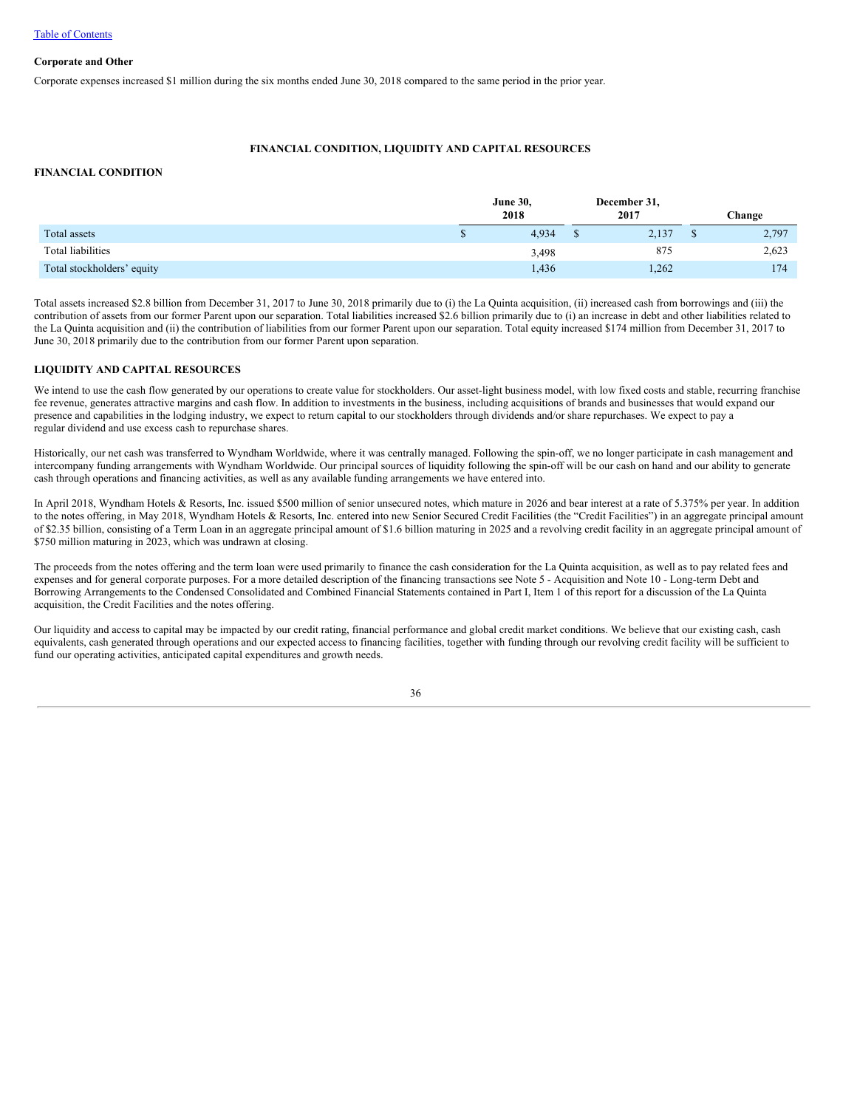# **Corporate and Other**

Corporate expenses increased \$1 million during the six months ended June 30, 2018 compared to the same period in the prior year.

# **FINANCIAL CONDITION, LIQUIDITY AND CAPITAL RESOURCES**

### **FINANCIAL CONDITION**

|                            | <b>June 30,</b><br>2018 | December 31,<br>2017 | <b>Change</b> |
|----------------------------|-------------------------|----------------------|---------------|
| Total assets               | 4,934                   | 2,137                | 2,797         |
| Total liabilities          | 3,498                   | 875                  | 2,623         |
| Total stockholders' equity | 1,436                   | 1,262                | 174           |

Total assets increased \$2.8 billion from December 31, 2017 to June 30, 2018 primarily due to (i) the La Quinta acquisition, (ii) increased cash from borrowings and (iii) the contribution of assets from our former Parent upon our separation. Total liabilities increased \$2.6 billion primarily due to (i) an increase in debt and other liabilities related to the La Quinta acquisition and (ii) the contribution of liabilities from our former Parent upon our separation. Total equity increased \$174 million from December 31, 2017 to June 30, 2018 primarily due to the contribution from our former Parent upon separation.

# **LIQUIDITY AND CAPITAL RESOURCES**

We intend to use the cash flow generated by our operations to create value for stockholders. Our asset-light business model, with low fixed costs and stable, recurring franchise fee revenue, generates attractive margins and cash flow. In addition to investments in the business, including acquisitions of brands and businesses that would expand our presence and capabilities in the lodging industry, we expect to return capital to our stockholders through dividends and/or share repurchases. We expect to pay a regular dividend and use excess cash to repurchase shares.

Historically, our net cash was transferred to Wyndham Worldwide, where it was centrally managed. Following the spin-off, we no longer participate in cash management and intercompany funding arrangements with Wyndham Worldwide. Our principal sources of liquidity following the spin-off will be our cash on hand and our ability to generate cash through operations and financing activities, as well as any available funding arrangements we have entered into.

In April 2018, Wyndham Hotels & Resorts, Inc. issued \$500 million of senior unsecured notes, which mature in 2026 and bear interest at a rate of 5.375% per year. In addition to the notes offering, in May 2018, Wyndham Hotels & Resorts, Inc. entered into new Senior Secured Credit Facilities (the "Credit Facilities") in an aggregate principal amount of \$2.35 billion, consisting of a Term Loan in an aggregate principal amount of \$1.6 billion maturing in 2025 and a revolving credit facility in an aggregate principal amount of \$750 million maturing in 2023, which was undrawn at closing.

The proceeds from the notes offering and the term loan were used primarily to finance the cash consideration for the La Quinta acquisition, as well as to pay related fees and expenses and for general corporate purposes. For a more detailed description of the financing transactions see Note 5 - Acquisition and Note 10 - Long-term Debt and Borrowing Arrangements to the Condensed Consolidated and Combined Financial Statements contained in Part I, Item 1 of this report for a discussion of the La Quinta acquisition, the Credit Facilities and the notes offering.

Our liquidity and access to capital may be impacted by our credit rating, financial performance and global credit market conditions. We believe that our existing cash, cash equivalents, cash generated through operations and our expected access to financing facilities, together with funding through our revolving credit facility will be sufficient to fund our operating activities, anticipated capital expenditures and growth needs.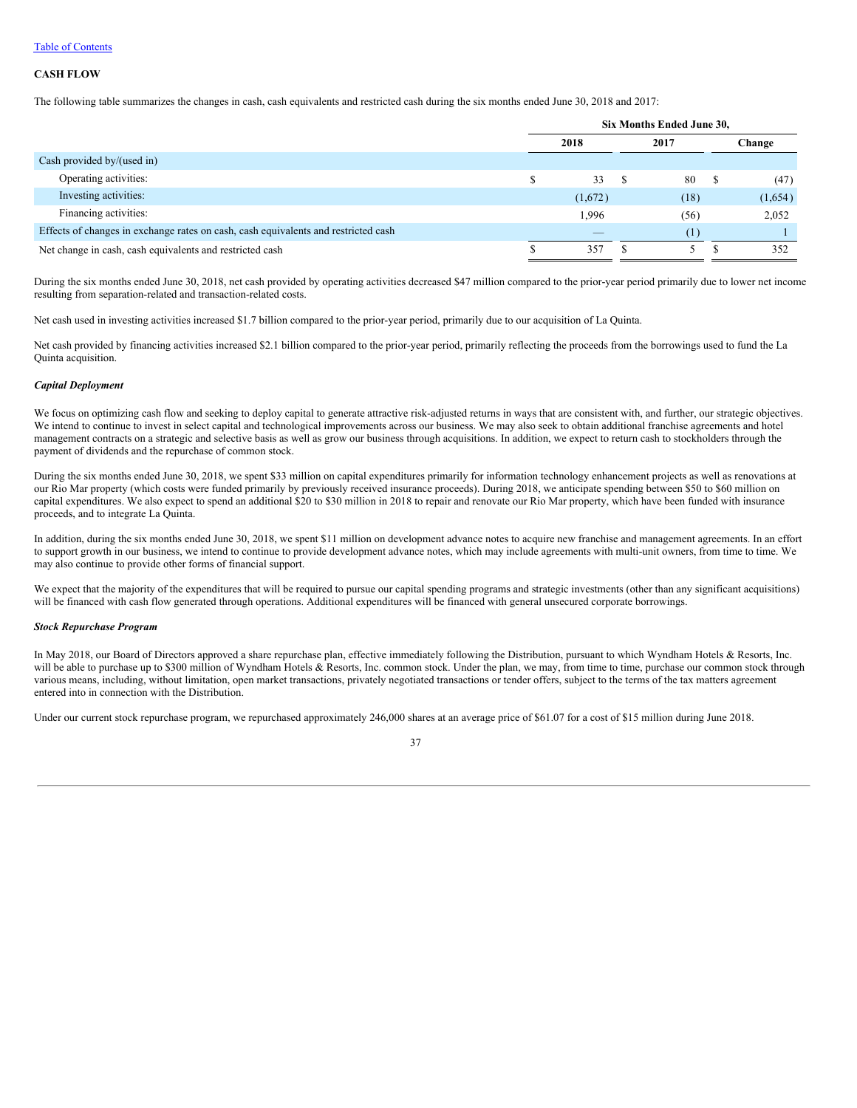### Table of Contents

### **CASH FLOW**

The following table summarizes the changes in cash, cash equivalents and restricted cash during the six months ended June 30, 2018 and 2017:

|                                                                                    | Six Months Ended June 30, |     |      |   |         |
|------------------------------------------------------------------------------------|---------------------------|-----|------|---|---------|
|                                                                                    | 2018                      |     | 2017 |   | Change  |
| Cash provided by/(used in)                                                         |                           |     |      |   |         |
| Operating activities:                                                              | 33                        | - S | 80   | S | (47)    |
| Investing activities:                                                              | (1,672)                   |     | (18) |   | (1,654) |
| Financing activities:                                                              | 1,996                     |     | (56) |   | 2,052   |
| Effects of changes in exchange rates on cash, cash equivalents and restricted cash | _                         |     | (1)  |   |         |
| Net change in cash, cash equivalents and restricted cash                           | 35′                       |     |      |   | 352     |

During the six months ended June 30, 2018, net cash provided by operating activities decreased \$47 million compared to the prior-year period primarily due to lower net income resulting from separation-related and transaction-related costs.

Net cash used in investing activities increased \$1.7 billion compared to the prior-year period, primarily due to our acquisition of La Quinta.

Net cash provided by financing activities increased \$2.1 billion compared to the prior-year period, primarily reflecting the proceeds from the borrowings used to fund the La Quinta acquisition.

### *Capital Deployment*

We focus on optimizing cash flow and seeking to deploy capital to generate attractive risk-adjusted returns in ways that are consistent with, and further, our strategic objectives. We intend to continue to invest in select capital and technological improvements across our business. We may also seek to obtain additional franchise agreements and hotel management contracts on a strategic and selective basis as well as grow our business through acquisitions. In addition, we expect to return cash to stockholders through the payment of dividends and the repurchase of common stock.

During the six months ended June 30, 2018, we spent \$33 million on capital expenditures primarily for information technology enhancement projects as well as renovations at our Rio Mar property (which costs were funded primarily by previously received insurance proceeds). During 2018, we anticipate spending between \$50 to \$60 million on capital expenditures. We also expect to spend an additional \$20 to \$30 million in 2018 to repair and renovate our Rio Mar property, which have been funded with insurance proceeds, and to integrate La Quinta.

In addition, during the six months ended June 30, 2018, we spent \$11 million on development advance notes to acquire new franchise and management agreements. In an effort to support growth in our business, we intend to continue to provide development advance notes, which may include agreements with multi-unit owners, from time to time. We may also continue to provide other forms of financial support.

We expect that the majority of the expenditures that will be required to pursue our capital spending programs and strategic investments (other than any significant acquisitions) will be financed with cash flow generated through operations. Additional expenditures will be financed with general unsecured corporate borrowings.

### *Stock Repurchase Program*

In May 2018, our Board of Directors approved a share repurchase plan, effective immediately following the Distribution, pursuant to which Wyndham Hotels & Resorts, Inc. will be able to purchase up to \$300 million of Wyndham Hotels & Resorts, Inc. common stock. Under the plan, we may, from time to time, purchase our common stock through various means, including, without limitation, open market transactions, privately negotiated transactions or tender offers, subject to the terms of the tax matters agreement entered into in connection with the Distribution.

Under our current stock repurchase program, we repurchased approximately 246,000 shares at an average price of \$61.07 for a cost of \$15 million during June 2018.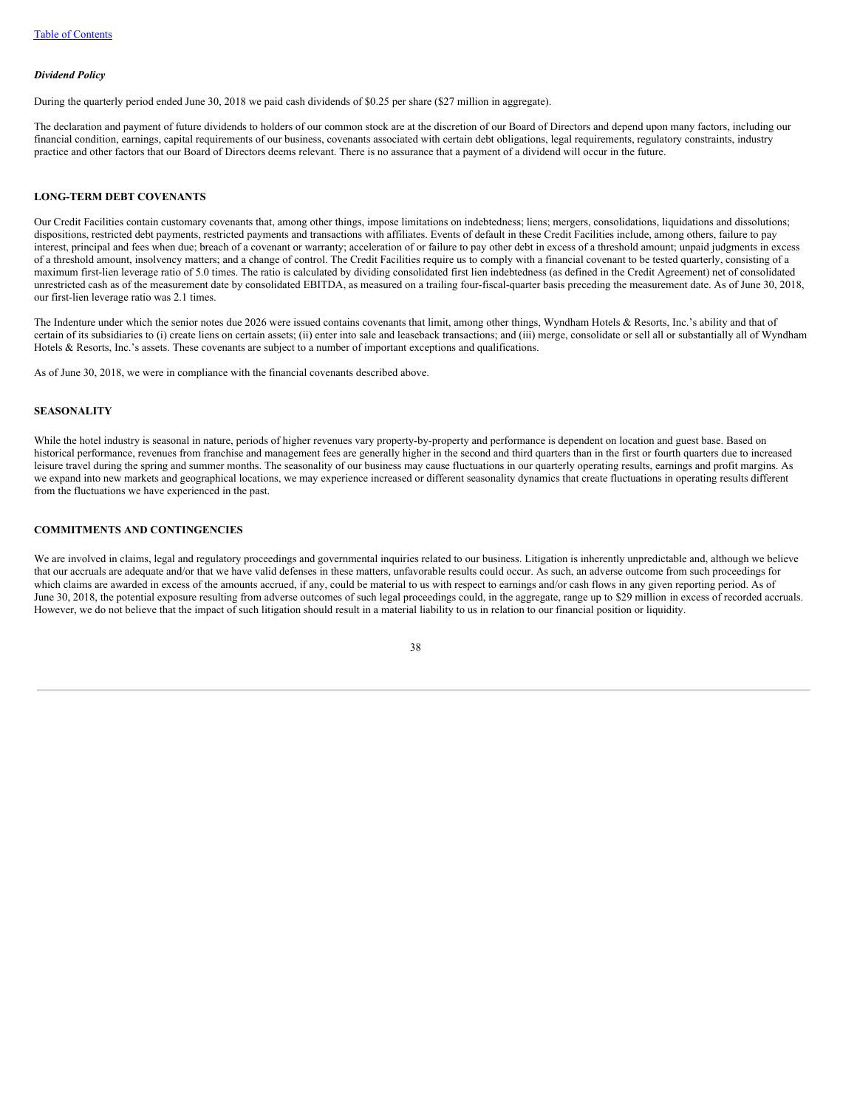### *Dividend Policy*

During the quarterly period ended June 30, 2018 we paid cash dividends of \$0.25 per share (\$27 million in aggregate).

The declaration and payment of future dividends to holders of our common stock are at the discretion of our Board of Directors and depend upon many factors, including our financial condition, earnings, capital requirements of our business, covenants associated with certain debt obligations, legal requirements, regulatory constraints, industry practice and other factors that our Board of Directors deems relevant. There is no assurance that a payment of a dividend will occur in the future.

### **LONG-TERM DEBT COVENANTS**

Our Credit Facilities contain customary covenants that, among other things, impose limitations on indebtedness; liens; mergers, consolidations, liquidations and dissolutions; dispositions, restricted debt payments, restricted payments and transactions with affiliates. Events of default in these Credit Facilities include, among others, failure to pay interest, principal and fees when due; breach of a covenant or warranty; acceleration of or failure to pay other debt in excess of a threshold amount; unpaid judgments in excess of a threshold amount, insolvency matters; and a change of control. The Credit Facilities require us to comply with a financial covenant to be tested quarterly, consisting of a maximum first-lien leverage ratio of 5.0 times. The ratio is calculated by dividing consolidated first lien indebtedness (as defined in the Credit Agreement) net of consolidated unrestricted cash as of the measurement date by consolidated EBITDA, as measured on a trailing four-fiscal-quarter basis preceding the measurement date. As of June 30, 2018, our first-lien leverage ratio was 2.1 times.

The Indenture under which the senior notes due 2026 were issued contains covenants that limit, among other things, Wyndham Hotels & Resorts, Inc.'s ability and that of certain of its subsidiaries to (i) create liens on certain assets; (ii) enter into sale and leaseback transactions; and (iii) merge, consolidate or sell all or substantially all of Wyndham Hotels & Resorts, Inc.'s assets. These covenants are subject to a number of important exceptions and qualifications.

As of June 30, 2018, we were in compliance with the financial covenants described above.

#### **SEASONALITY**

While the hotel industry is seasonal in nature, periods of higher revenues vary property-by-property and performance is dependent on location and guest base. Based on historical performance, revenues from franchise and management fees are generally higher in the second and third quarters than in the first or fourth quarters due to increased leisure travel during the spring and summer months. The seasonality of our business may cause fluctuations in our quarterly operating results, earnings and profit margins. As we expand into new markets and geographical locations, we may experience increased or different seasonality dynamics that create fluctuations in operating results different from the fluctuations we have experienced in the past.

# **COMMITMENTS AND CONTINGENCIES**

We are involved in claims, legal and regulatory proceedings and governmental inquiries related to our business. Litigation is inherently unpredictable and, although we believe that our accruals are adequate and/or that we have valid defenses in these matters, unfavorable results could occur. As such, an adverse outcome from such proceedings for which claims are awarded in excess of the amounts accrued, if any, could be material to us with respect to earnings and/or cash flows in any given reporting period. As of June 30, 2018, the potential exposure resulting from adverse outcomes of such legal proceedings could, in the aggregate, range up to \$29 million in excess of recorded accruals. However, we do not believe that the impact of such litigation should result in a material liability to us in relation to our financial position or liquidity.

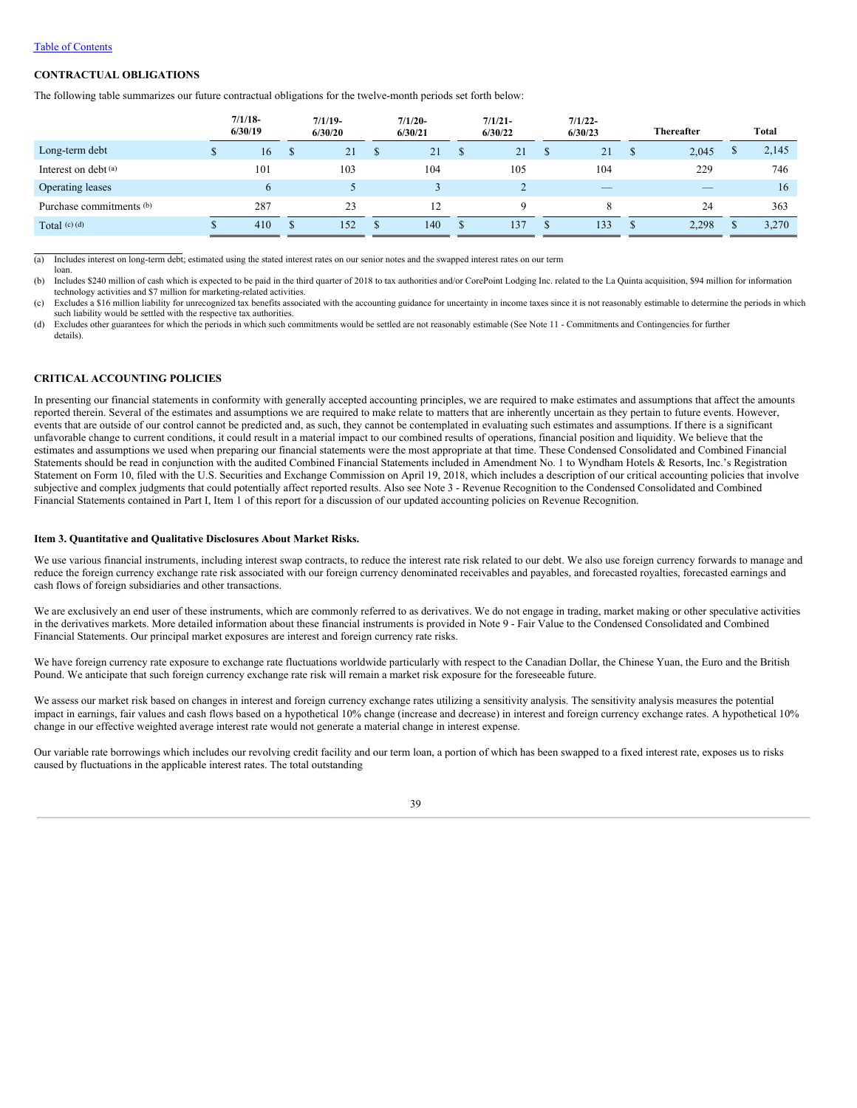### Table of Contents

loan.

# **CONTRACTUAL OBLIGATIONS**

The following table summarizes our future contractual obligations for the twelve-month periods set forth below:

|                          | $7/1/18$ -<br>6/30/19 | $7/1/19$ -<br>6/30/20 |   | $7/1/20-$<br>6/30/21 |   | $7/1/21$ -<br>6/30/22 | $7/1/22 -$<br>6/30/23           | <b>Thereafter</b> | Total |
|--------------------------|-----------------------|-----------------------|---|----------------------|---|-----------------------|---------------------------------|-------------------|-------|
| Long-term debt           | 16                    | 21                    | ъ | 21                   | D | 21                    | 21                              | 2,045             | 2,145 |
| Interest on debt (a)     | 101                   | 103                   |   | 104                  |   | 105                   | 104                             | 229               | 746   |
| <b>Operating leases</b>  | 6                     |                       |   |                      |   |                       | $\hspace{0.1mm}-\hspace{0.1mm}$ |                   | 16    |
| Purchase commitments (b) | 287                   | 23                    |   | 12                   |   | Q                     | ◠                               | 24                | 363   |
| Total $(c)$ $(d)$        | 410                   | 152                   |   | 140                  |   | 137                   | 133                             | 2,298             | 3,270 |

(a) Includes interest on long-term debt; estimated using the stated interest rates on our senior notes and the swapped interest rates on our term

(b) Includes \$240 million of cash which is expected to be paid in the third quarter of 2018 to tax authorities and/or CorePoint Lodging Inc. related to the La Quinta acquisition, \$94 million for information technology activities and \$7 million for marketing-related activities.

(c) Excludes a \$16 million liability for unrecognized tax benefits associated with the accounting guidance for uncertainty in income taxes since it is not reasonably estimable to determine the periods in which such liability would be settled with the respective tax authorities.

(d) Excludes other guarantees for which the periods in which such commitments would be settled are not reasonably estimable (See Note 11 - Commitments and Contingencies for further details).

# **CRITICAL ACCOUNTING POLICIES**

In presenting our financial statements in conformity with generally accepted accounting principles, we are required to make estimates and assumptions that affect the amounts reported therein. Several of the estimates and assumptions we are required to make relate to matters that are inherently uncertain as they pertain to future events. However, events that are outside of our control cannot be predicted and, as such, they cannot be contemplated in evaluating such estimates and assumptions. If there is a significant unfavorable change to current conditions, it could result in a material impact to our combined results of operations, financial position and liquidity. We believe that the estimates and assumptions we used when preparing our financial statements were the most appropriate at that time. These Condensed Consolidated and Combined Financial Statements should be read in conjunction with the audited Combined Financial Statements included in Amendment No. 1 to Wyndham Hotels & Resorts, Inc.'s Registration Statement on Form 10, filed with the U.S. Securities and Exchange Commission on April 19, 2018, which includes a description of our critical accounting policies that involve subjective and complex judgments that could potentially affect reported results. Also see Note 3 - Revenue Recognition to the Condensed Consolidated and Combined Financial Statements contained in Part I, Item 1 of this report for a discussion of our updated accounting policies on Revenue Recognition.

### <span id="page-40-0"></span>**Item 3. Quantitative and Qualitative Disclosures About Market Risks.**

We use various financial instruments, including interest swap contracts, to reduce the interest rate risk related to our debt. We also use foreign currency forwards to manage and reduce the foreign currency exchange rate risk associated with our foreign currency denominated receivables and payables, and forecasted royalties, forecasted earnings and cash flows of foreign subsidiaries and other transactions.

We are exclusively an end user of these instruments, which are commonly referred to as derivatives. We do not engage in trading, market making or other speculative activities in the derivatives markets. More detailed information about these financial instruments is provided in Note 9 - Fair Value to the Condensed Consolidated and Combined Financial Statements. Our principal market exposures are interest and foreign currency rate risks.

We have foreign currency rate exposure to exchange rate fluctuations worldwide particularly with respect to the Canadian Dollar, the Chinese Yuan, the Euro and the British Pound. We anticipate that such foreign currency exchange rate risk will remain a market risk exposure for the foreseeable future.

We assess our market risk based on changes in interest and foreign currency exchange rates utilizing a sensitivity analysis. The sensitivity analysis measures the potential impact in earnings, fair values and cash flows based on a hypothetical 10% change (increase and decrease) in interest and foreign currency exchange rates. A hypothetical 10% change in our effective weighted average interest rate would not generate a material change in interest expense.

Our variable rate borrowings which includes our revolving credit facility and our term loan, a portion of which has been swapped to a fixed interest rate, exposes us to risks caused by fluctuations in the applicable interest rates. The total outstanding

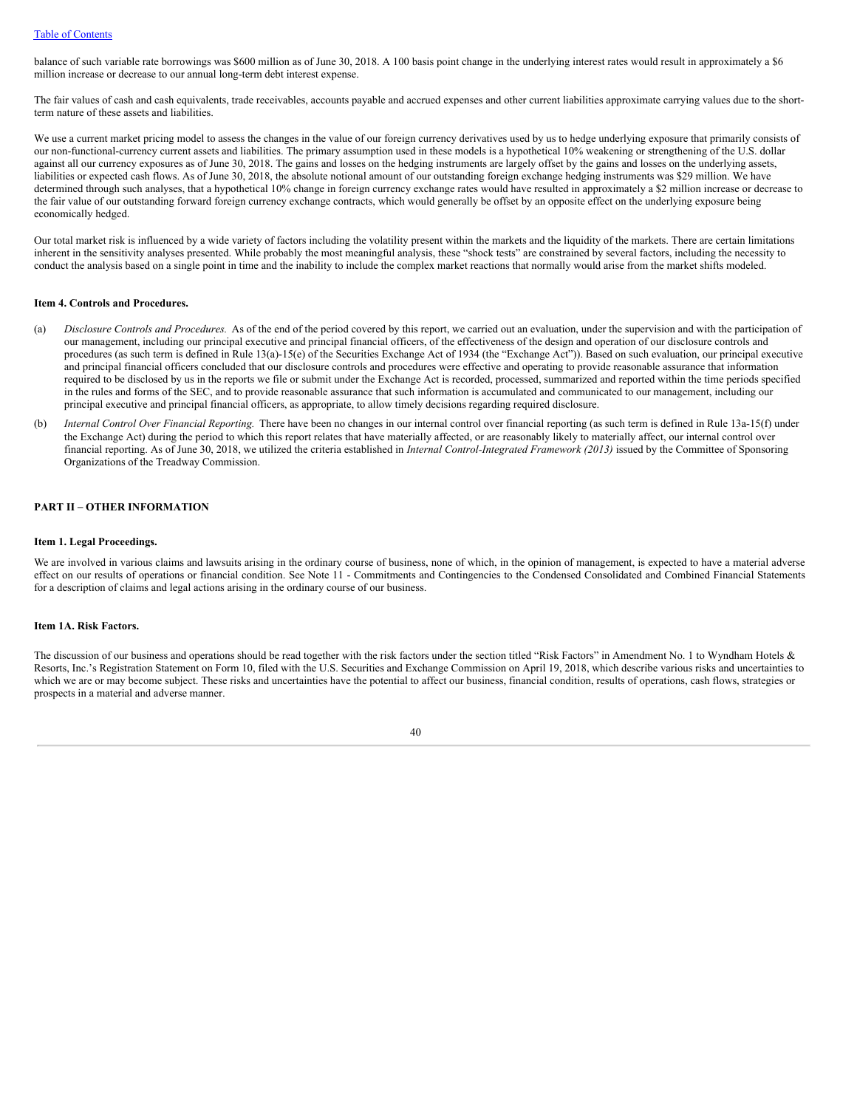balance of such variable rate borrowings was \$600 million as of June 30, 2018. A 100 basis point change in the underlying interest rates would result in approximately a \$6 million increase or decrease to our annual long-term debt interest expense.

The fair values of cash and cash equivalents, trade receivables, accounts payable and accrued expenses and other current liabilities approximate carrying values due to the shortterm nature of these assets and liabilities.

We use a current market pricing model to assess the changes in the value of our foreign currency derivatives used by us to hedge underlying exposure that primarily consists of our non-functional-currency current assets and liabilities. The primary assumption used in these models is a hypothetical 10% weakening or strengthening of the U.S. dollar against all our currency exposures as of June 30, 2018. The gains and losses on the hedging instruments are largely offset by the gains and losses on the underlying assets, liabilities or expected cash flows. As of June 30, 2018, the absolute notional amount of our outstanding foreign exchange hedging instruments was \$29 million. We have determined through such analyses, that a hypothetical 10% change in foreign currency exchange rates would have resulted in approximately a \$2 million increase or decrease to the fair value of our outstanding forward foreign currency exchange contracts, which would generally be offset by an opposite effect on the underlying exposure being economically hedged.

Our total market risk is influenced by a wide variety of factors including the volatility present within the markets and the liquidity of the markets. There are certain limitations inherent in the sensitivity analyses presented. While probably the most meaningful analysis, these "shock tests" are constrained by several factors, including the necessity to conduct the analysis based on a single point in time and the inability to include the complex market reactions that normally would arise from the market shifts modeled.

## <span id="page-41-0"></span>**Item 4. Controls and Procedures.**

- (a) *Disclosure Controls and Procedures*. As of the end of the period covered by this report, we carried out an evaluation, under the supervision and with the participation of our management, including our principal executive and principal financial officers, of the effectiveness of the design and operation of our disclosure controls and procedures (as such term is defined in Rule 13(a)-15(e) of the Securities Exchange Act of 1934 (the "Exchange Act")). Based on such evaluation, our principal executive and principal financial officers concluded that our disclosure controls and procedures were effective and operating to provide reasonable assurance that information required to be disclosed by us in the reports we file or submit under the Exchange Act is recorded, processed, summarized and reported within the time periods specified in the rules and forms of the SEC, and to provide reasonable assurance that such information is accumulated and communicated to our management, including our principal executive and principal financial officers, as appropriate, to allow timely decisions regarding required disclosure.
- (b) *Internal Control Over Financial Reporting.* There have been no changes in our internal control over financial reporting (as such term is defined in Rule 13a-15(f) under the Exchange Act) during the period to which this report relates that have materially affected, or are reasonably likely to materially affect, our internal control over financial reporting. As of June 30, 2018, we utilized the criteria established in *Internal Control-Integrated Framework (2013)* issued by the Committee of Sponsoring Organizations of the Treadway Commission.

# <span id="page-41-1"></span>**PART II – OTHER INFORMATION**

#### **Item 1. Legal Proceedings.**

We are involved in various claims and lawsuits arising in the ordinary course of business, none of which, in the opinion of management, is expected to have a material adverse effect on our results of operations or financial condition. See Note 11 - Commitments and Contingencies to the Condensed Consolidated and Combined Financial Statements for a description of claims and legal actions arising in the ordinary course of our business.

### <span id="page-41-2"></span>**Item 1A. Risk Factors.**

The discussion of our business and operations should be read together with the risk factors under the section titled "Risk Factors" in Amendment No. 1 to Wyndham Hotels & Resorts, Inc.'s Registration Statement on Form 10, filed with the U.S. Securities and Exchange Commission on April 19, 2018, which describe various risks and uncertainties to which we are or may become subject. These risks and uncertainties have the potential to affect our business, financial condition, results of operations, cash flows, strategies or prospects in a material and adverse manner.

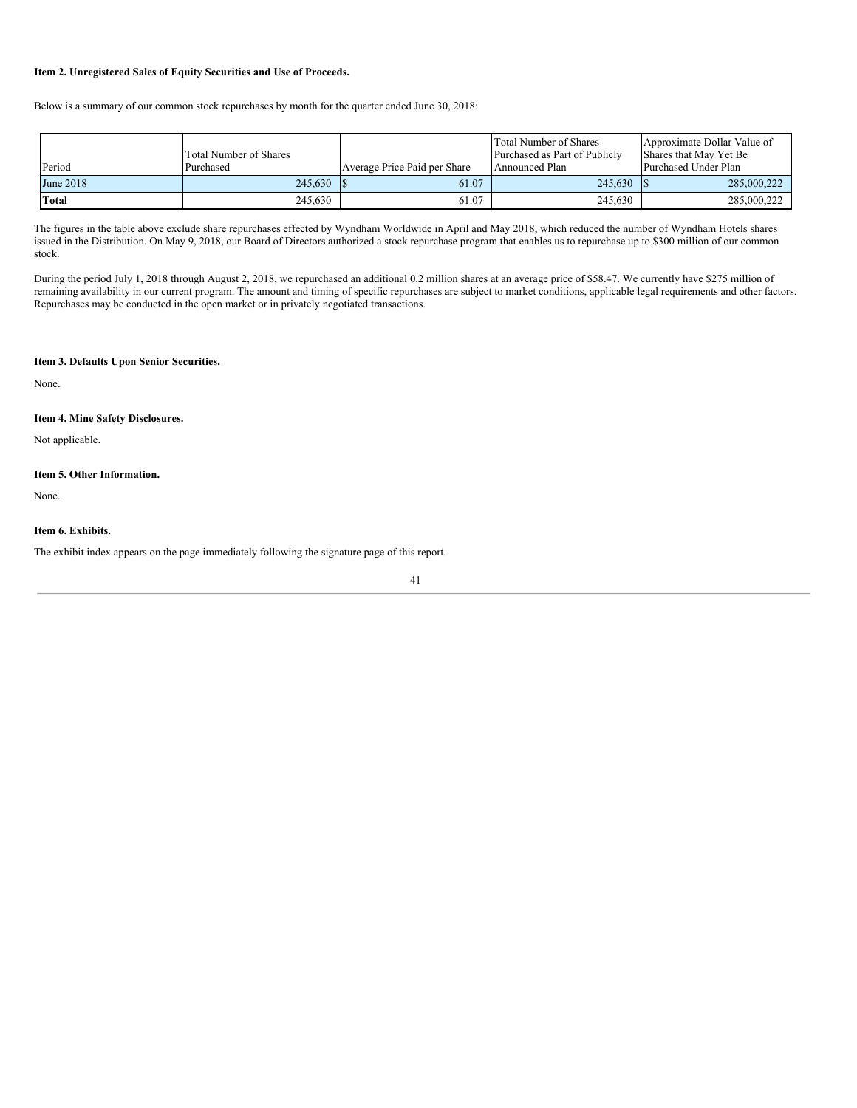# <span id="page-42-0"></span>**Item 2. Unregistered Sales of Equity Securities and Use of Proceeds.**

Below is a summary of our common stock repurchases by month for the quarter ended June 30, 2018:

| Period    | <b>Total Number of Shares</b><br>Purchased | Average Price Paid per Share | Total Number of Shares<br>Purchased as Part of Publicly<br>Announced Plan | Approximate Dollar Value of<br>Shares that May Yet Be<br>Purchased Under Plan |
|-----------|--------------------------------------------|------------------------------|---------------------------------------------------------------------------|-------------------------------------------------------------------------------|
| June 2018 | 245,630                                    | 61.07                        | 245,630                                                                   | 285,000,222                                                                   |
| Total     | 245.630                                    | 61.07                        | 245.630                                                                   | 285,000,222                                                                   |

The figures in the table above exclude share repurchases effected by Wyndham Worldwide in April and May 2018, which reduced the number of Wyndham Hotels shares issued in the Distribution. On May 9, 2018, our Board of Directors authorized a stock repurchase program that enables us to repurchase up to \$300 million of our common stock.

During the period July 1, 2018 through August 2, 2018, we repurchased an additional 0.2 million shares at an average price of \$58.47. We currently have \$275 million of remaining availability in our current program. The amount and timing of specific repurchases are subject to market conditions, applicable legal requirements and other factors. Repurchases may be conducted in the open market or in privately negotiated transactions.

### <span id="page-42-1"></span>**Item 3. Defaults Upon Senior Securities.**

<span id="page-42-2"></span>None.

# **Item 4. Mine Safety Disclosures.**

<span id="page-42-3"></span>Not applicable.

### **Item 5. Other Information.**

<span id="page-42-4"></span>None.

# **Item 6. Exhibits.**

The exhibit index appears on the page immediately following the signature page of this report.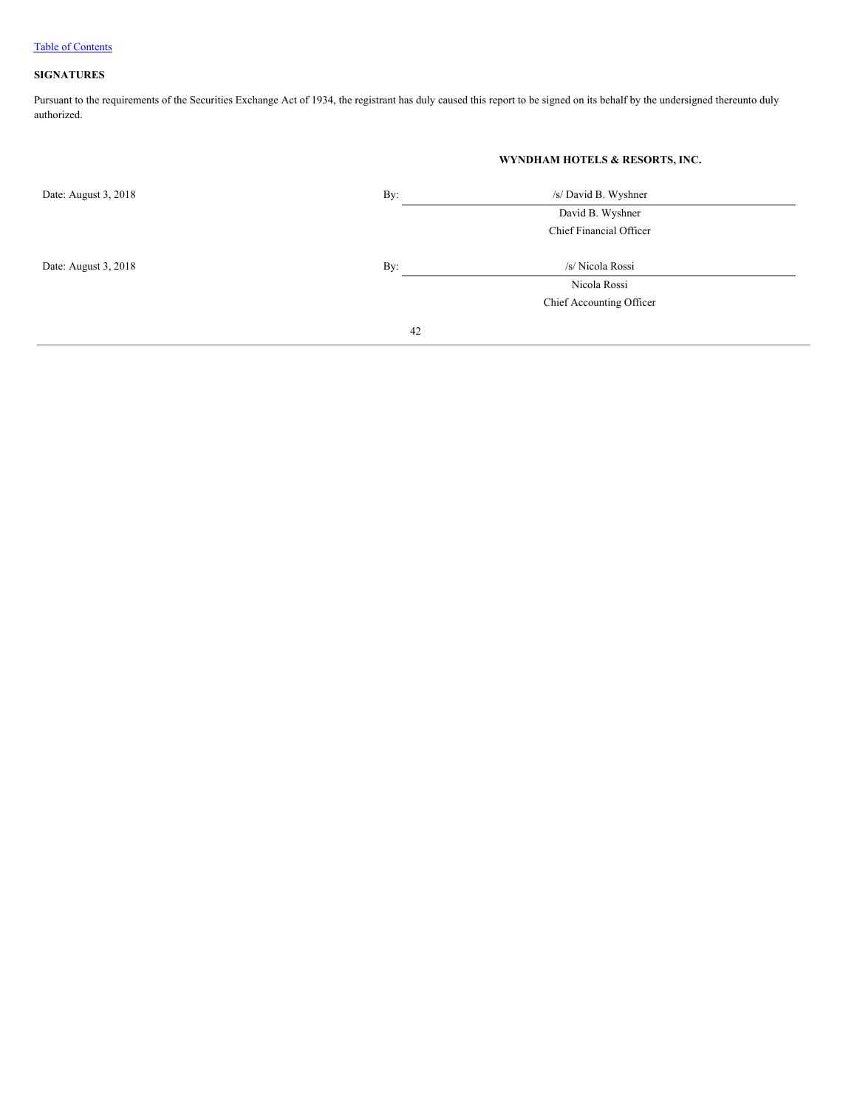# <span id="page-43-0"></span>**SIGNATURES**

Pursuant to the requirements of the Securities Exchange Act of 1934, the registrant has duly caused this report to be signed on its behalf by the undersigned thereunto duly authorized.

|                      |     | WYNDHAM HOTELS & RESORTS, INC. |  |
|----------------------|-----|--------------------------------|--|
| Date: August 3, 2018 | By: | /s/ David B. Wyshner           |  |
|                      |     | David B. Wyshner               |  |
|                      |     | Chief Financial Officer        |  |
| Date: August 3, 2018 | By: | /s/ Nicola Rossi               |  |
|                      |     | Nicola Rossi                   |  |
|                      |     | Chief Accounting Officer       |  |
|                      | 42  |                                |  |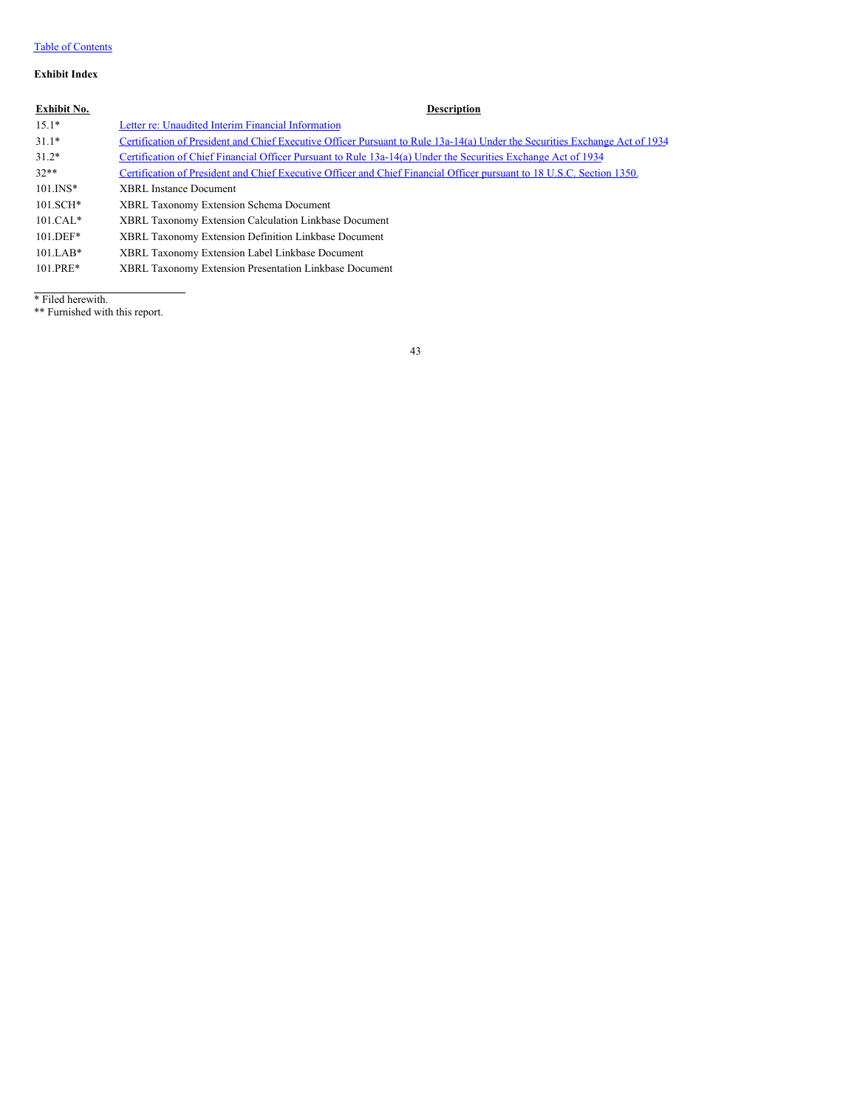# Table of Contents

# **Exhibit Index**

# **Exhibit No. Description**

| $15.1*$     | Letter re: Unaudited Interim Financial Information                                                                          |
|-------------|-----------------------------------------------------------------------------------------------------------------------------|
| $31.1*$     | Certification of President and Chief Executive Officer Pursuant to Rule 13a-14(a) Under the Securities Exchange Act of 1934 |
| $31.2*$     | Certification of Chief Financial Officer Pursuant to Rule 13a-14(a) Under the Securities Exchange Act of 1934               |
| $32**$      | Certification of President and Chief Executive Officer and Chief Financial Officer pursuant to 18 U.S.C. Section 1350.      |
| $101.$ INS* | <b>XBRL Instance Document</b>                                                                                               |
| $101.SCH*$  | XBRL Taxonomy Extension Schema Document                                                                                     |
| $101.CAL*$  | XBRL Taxonomy Extension Calculation Linkbase Document                                                                       |
| $101.$ DEF* | XBRL Taxonomy Extension Definition Linkbase Document                                                                        |
| $101.LAB*$  | XBRL Taxonomy Extension Label Linkbase Document                                                                             |
| $101.PRE*$  | XBRL Taxonomy Extension Presentation Linkbase Document                                                                      |

\* Filed herewith.

\*\* Furnished with this report.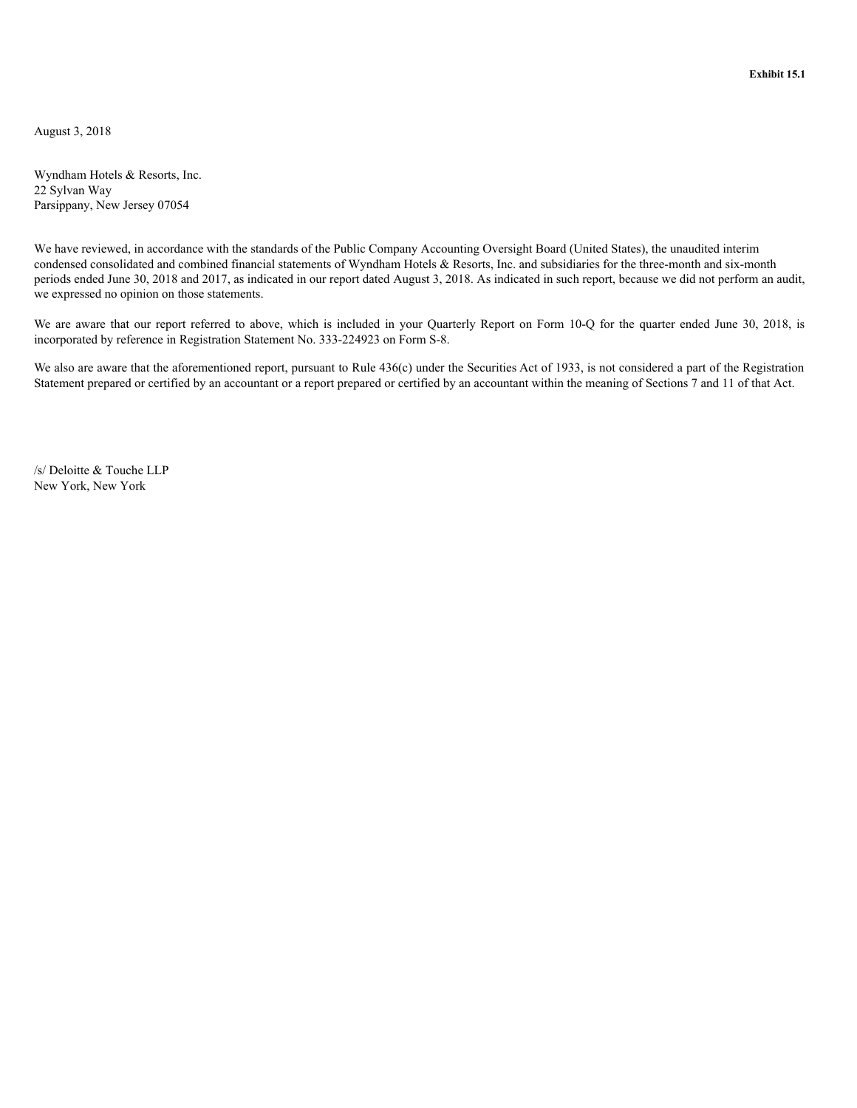**Exhibit 15.1**

<span id="page-45-0"></span>August 3, 2018

Wyndham Hotels & Resorts, Inc. 22 Sylvan Way Parsippany, New Jersey 07054

We have reviewed, in accordance with the standards of the Public Company Accounting Oversight Board (United States), the unaudited interim condensed consolidated and combined financial statements of Wyndham Hotels & Resorts, Inc. and subsidiaries for the three-month and six-month periods ended June 30, 2018 and 2017, as indicated in our report dated August 3, 2018. As indicated in such report, because we did not perform an audit, we expressed no opinion on those statements.

We are aware that our report referred to above, which is included in your Quarterly Report on Form 10-Q for the quarter ended June 30, 2018, is incorporated by reference in Registration Statement No. 333-224923 on Form S-8.

We also are aware that the aforementioned report, pursuant to Rule 436(c) under the Securities Act of 1933, is not considered a part of the Registration Statement prepared or certified by an accountant or a report prepared or certified by an accountant within the meaning of Sections 7 and 11 of that Act.

/s/ Deloitte & Touche LLP New York, New York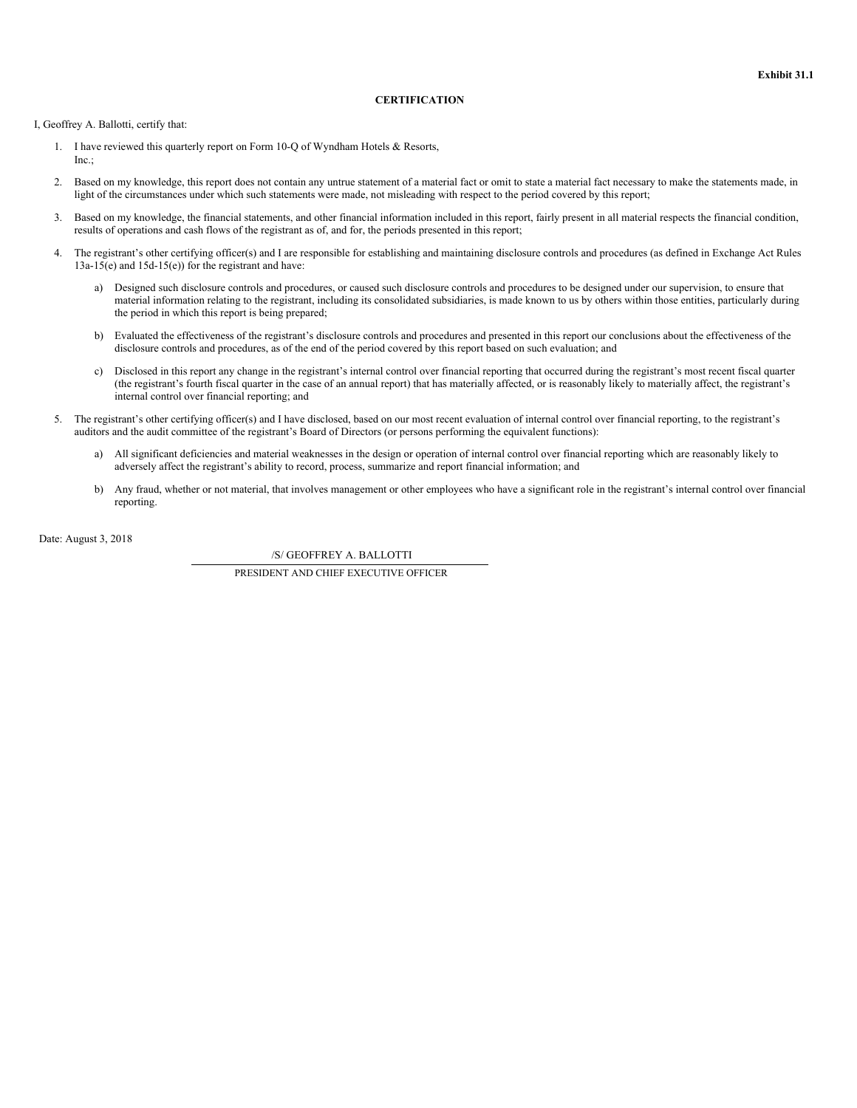# **CERTIFICATION**

<span id="page-46-0"></span>I, Geoffrey A. Ballotti, certify that:

- 1. I have reviewed this quarterly report on Form 10-Q of Wyndham Hotels & Resorts, Inc.;
- 2. Based on my knowledge, this report does not contain any untrue statement of a material fact or omit to state a material fact necessary to make the statements made, in light of the circumstances under which such statements were made, not misleading with respect to the period covered by this report;
- 3. Based on my knowledge, the financial statements, and other financial information included in this report, fairly present in all material respects the financial condition, results of operations and cash flows of the registrant as of, and for, the periods presented in this report;
- 4. The registrant's other certifying officer(s) and I are responsible for establishing and maintaining disclosure controls and procedures (as defined in Exchange Act Rules  $13a-15(e)$  and  $15d-15(e)$  for the registrant and have:
	- a) Designed such disclosure controls and procedures, or caused such disclosure controls and procedures to be designed under our supervision, to ensure that material information relating to the registrant, including its consolidated subsidiaries, is made known to us by others within those entities, particularly during the period in which this report is being prepared;
	- b) Evaluated the effectiveness of the registrant's disclosure controls and procedures and presented in this report our conclusions about the effectiveness of the disclosure controls and procedures, as of the end of the period covered by this report based on such evaluation; and
	- c) Disclosed in this report any change in the registrant's internal control over financial reporting that occurred during the registrant's most recent fiscal quarter (the registrant's fourth fiscal quarter in the case of an annual report) that has materially affected, or is reasonably likely to materially affect, the registrant's internal control over financial reporting; and
- 5. The registrant's other certifying officer(s) and I have disclosed, based on our most recent evaluation of internal control over financial reporting, to the registrant's auditors and the audit committee of the registrant's Board of Directors (or persons performing the equivalent functions):
	- a) All significant deficiencies and material weaknesses in the design or operation of internal control over financial reporting which are reasonably likely to adversely affect the registrant's ability to record, process, summarize and report financial information; and
	- b) Any fraud, whether or not material, that involves management or other employees who have a significant role in the registrant's internal control over financial reporting.

Date: August 3, 2018

/S/ GEOFFREY A. BALLOTTI PRESIDENT AND CHIEF EXECUTIVE OFFICER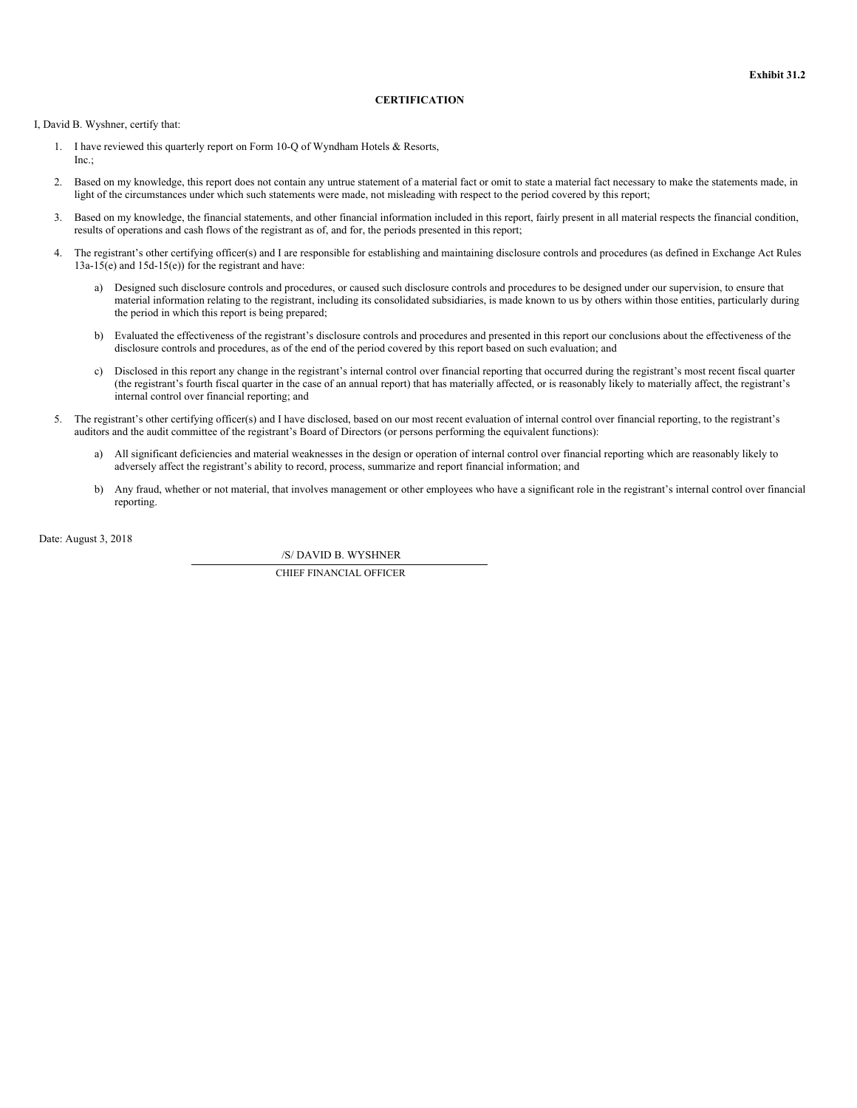# **CERTIFICATION**

<span id="page-47-0"></span>I, David B. Wyshner, certify that:

- 1. I have reviewed this quarterly report on Form 10-Q of Wyndham Hotels & Resorts, Inc.;
- 2. Based on my knowledge, this report does not contain any untrue statement of a material fact or omit to state a material fact necessary to make the statements made, in light of the circumstances under which such statements were made, not misleading with respect to the period covered by this report;
- 3. Based on my knowledge, the financial statements, and other financial information included in this report, fairly present in all material respects the financial condition, results of operations and cash flows of the registrant as of, and for, the periods presented in this report;
- 4. The registrant's other certifying officer(s) and I are responsible for establishing and maintaining disclosure controls and procedures (as defined in Exchange Act Rules  $13a-15(e)$  and  $15d-15(e)$  for the registrant and have:
	- a) Designed such disclosure controls and procedures, or caused such disclosure controls and procedures to be designed under our supervision, to ensure that material information relating to the registrant, including its consolidated subsidiaries, is made known to us by others within those entities, particularly during the period in which this report is being prepared;
	- b) Evaluated the effectiveness of the registrant's disclosure controls and procedures and presented in this report our conclusions about the effectiveness of the disclosure controls and procedures, as of the end of the period covered by this report based on such evaluation; and
	- c) Disclosed in this report any change in the registrant's internal control over financial reporting that occurred during the registrant's most recent fiscal quarter (the registrant's fourth fiscal quarter in the case of an annual report) that has materially affected, or is reasonably likely to materially affect, the registrant's internal control over financial reporting; and
- 5. The registrant's other certifying officer(s) and I have disclosed, based on our most recent evaluation of internal control over financial reporting, to the registrant's auditors and the audit committee of the registrant's Board of Directors (or persons performing the equivalent functions):
	- a) All significant deficiencies and material weaknesses in the design or operation of internal control over financial reporting which are reasonably likely to adversely affect the registrant's ability to record, process, summarize and report financial information; and
	- b) Any fraud, whether or not material, that involves management or other employees who have a significant role in the registrant's internal control over financial reporting.

Date: August 3, 2018

/S/ DAVID B. WYSHNER

CHIEF FINANCIAL OFFICER